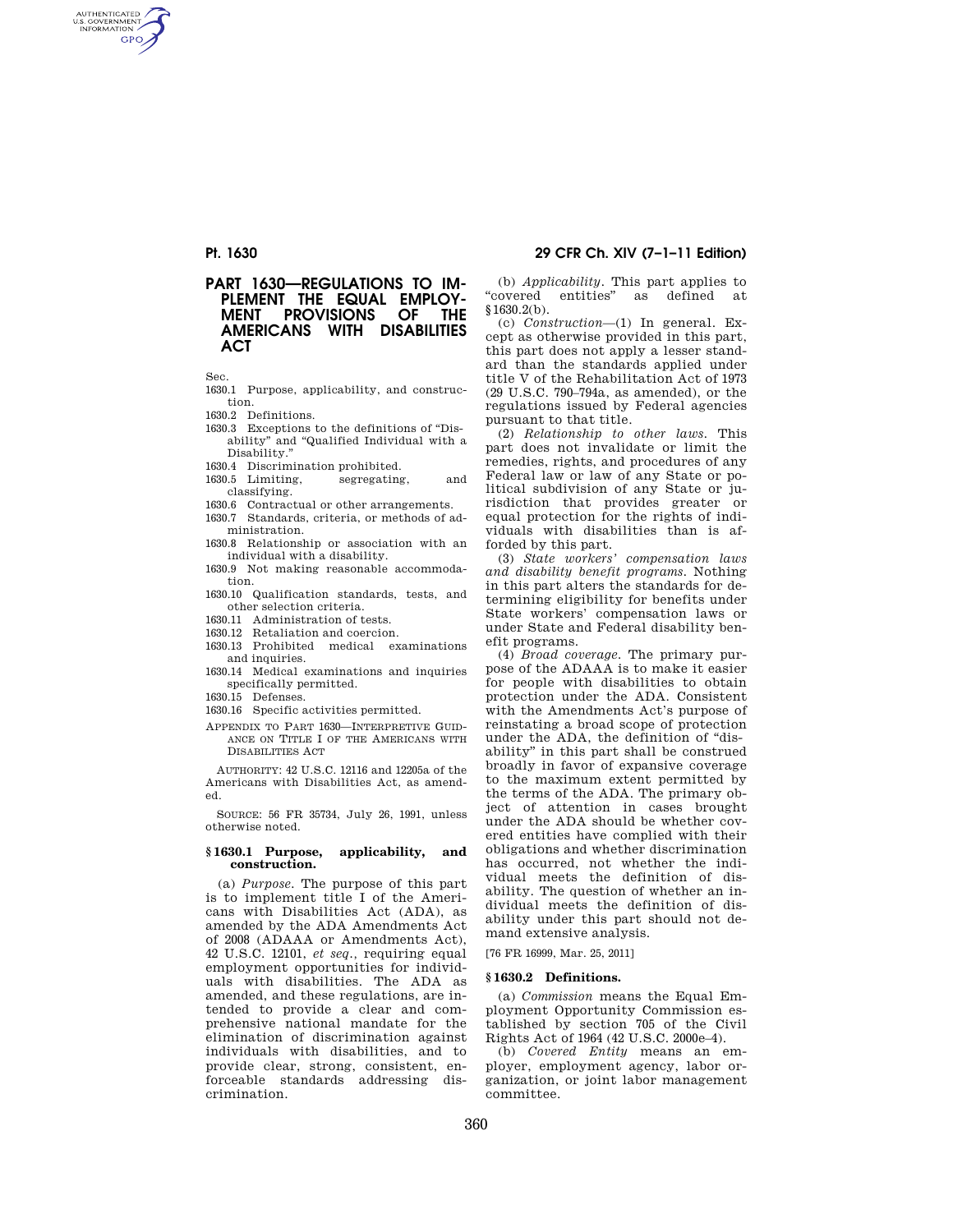AUTHENTICATED<br>U.S. GOVERNMENT<br>INFORMATION **GPO** 

# **PART 1630—REGULATIONS TO IM-PLEMENT THE EQUAL EMPLOY-MENT PROVISIONS OF THE AMERICANS WITH DISABILITIES ACT**

Sec.

- 1630.1 Purpose, applicability, and construction.
- 1630.2 Definitions.
- 1630.3 Exceptions to the definitions of ''Disability'' and ''Qualified Individual with a Disability.''
- 1630.4 Discrimination prohibited.
- 1630.5 Limiting, segregating, and classifying.
- 1630.6 Contractual or other arrangements.
- 1630.7 Standards, criteria, or methods of administration.
- 1630.8 Relationship or association with an individual with a disability.
- 1630.9 Not making reasonable accommodation.
- 1630.10 Qualification standards, tests, and other selection criteria.
- 1630.11 Administration of tests.
- 1630.12 Retaliation and coercion.
- 1630.13 Prohibited medical examinations and inquiries.
- 1630.14 Medical examinations and inquiries specifically permitted.
- 1630.15 Defenses.
- 1630.16 Specific activities permitted.
- APPENDIX TO PART 1630—INTERPRETIVE GUID-ANCE ON TITLE I OF THE AMERICANS WITH DISABILITIES ACT

AUTHORITY: 42 U.S.C. 12116 and 12205a of the Americans with Disabilities Act, as amended.

SOURCE: 56 FR 35734, July 26, 1991, unless otherwise noted.

### **§ 1630.1 Purpose, applicability, and construction.**

(a) *Purpose.* The purpose of this part is to implement title I of the Americans with Disabilities Act (ADA), as amended by the ADA Amendments Act of 2008 (ADAAA or Amendments Act), 42 U.S.C. 12101, *et seq.,* requiring equal employment opportunities for individuals with disabilities. The ADA as amended, and these regulations, are intended to provide a clear and comprehensive national mandate for the elimination of discrimination against individuals with disabilities, and to provide clear, strong, consistent, enforceable standards addressing discrimination.

**Pt. 1630 29 CFR Ch. XIV (7–1–11 Edition)** 

(b) *Applicability.* This part applies to "covered entities" as defined §1630.2(b).

(c) *Construction*—(1) In general. Except as otherwise provided in this part, this part does not apply a lesser standard than the standards applied under title V of the Rehabilitation Act of 1973 (29 U.S.C. 790–794a, as amended), or the regulations issued by Federal agencies pursuant to that title.

(2) *Relationship to other laws.* This part does not invalidate or limit the remedies, rights, and procedures of any Federal law or law of any State or political subdivision of any State or jurisdiction that provides greater or equal protection for the rights of individuals with disabilities than is afforded by this part.

(3) *State workers' compensation laws and disability benefit programs.* Nothing in this part alters the standards for determining eligibility for benefits under State workers' compensation laws or under State and Federal disability benefit programs.

(4) *Broad coverage.* The primary purpose of the ADAAA is to make it easier for people with disabilities to obtain protection under the ADA. Consistent with the Amendments Act's purpose of reinstating a broad scope of protection under the ADA, the definition of ''disability'' in this part shall be construed broadly in favor of expansive coverage to the maximum extent permitted by the terms of the ADA. The primary object of attention in cases brought under the ADA should be whether covered entities have complied with their obligations and whether discrimination has occurred, not whether the individual meets the definition of disability. The question of whether an individual meets the definition of disability under this part should not demand extensive analysis.

[76 FR 16999, Mar. 25, 2011]

## **§ 1630.2 Definitions.**

(a) *Commission* means the Equal Employment Opportunity Commission established by section 705 of the Civil Rights Act of 1964 (42 U.S.C. 2000e–4).

(b) *Covered Entity* means an employer, employment agency, labor organization, or joint labor management committee.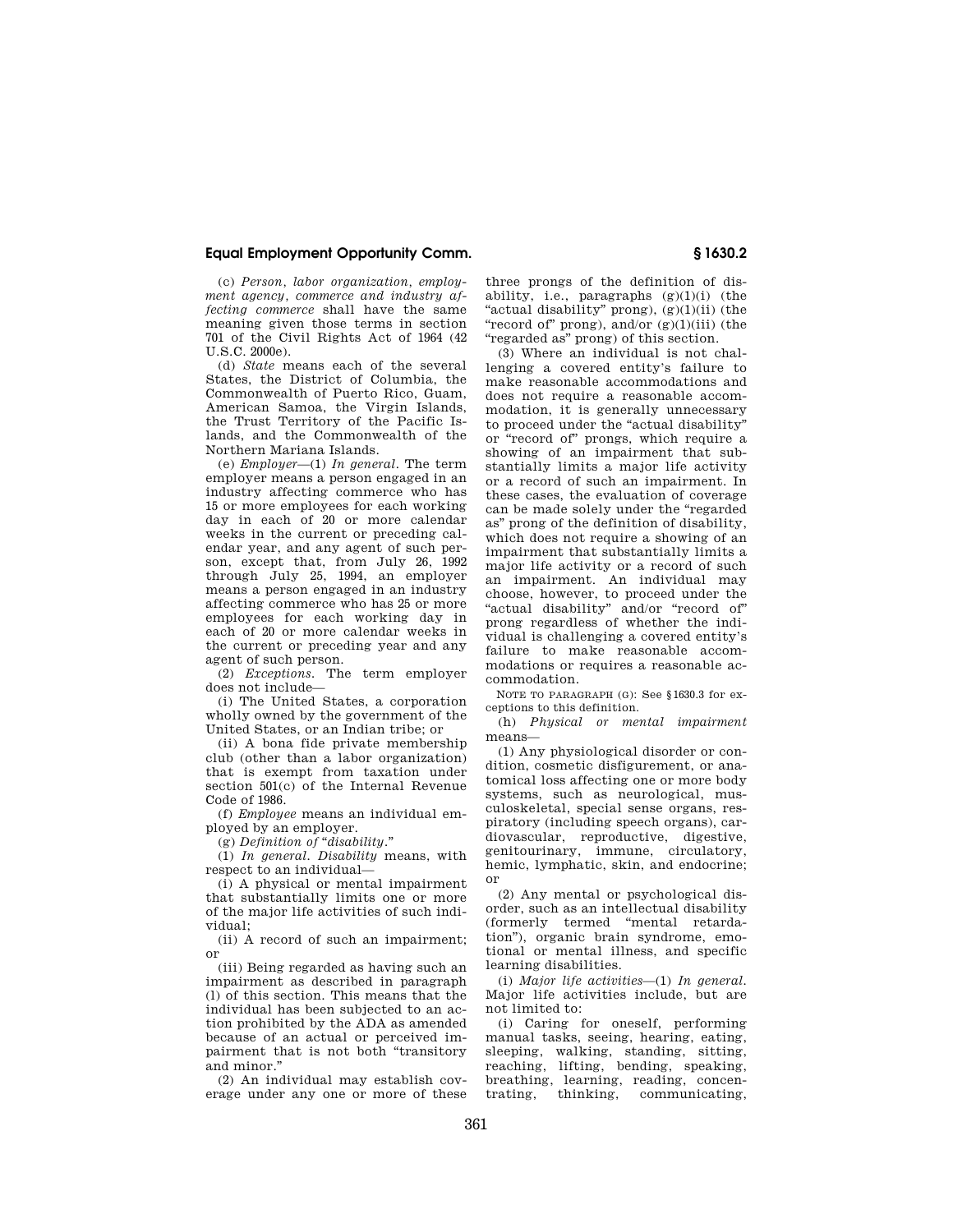(c) *Person, labor organization, employment agency, commerce and industry affecting commerce* shall have the same meaning given those terms in section 701 of the Civil Rights Act of 1964 (42  $U.S.C. 2000e$ 

(d) *State* means each of the several States, the District of Columbia, the Commonwealth of Puerto Rico, Guam, American Samoa, the Virgin Islands, the Trust Territory of the Pacific Islands, and the Commonwealth of the Northern Mariana Islands.

(e) *Employer*—(1) *In general.* The term employer means a person engaged in an industry affecting commerce who has 15 or more employees for each working day in each of 20 or more calendar weeks in the current or preceding calendar year, and any agent of such person, except that, from July 26, 1992 through July 25, 1994, an employer means a person engaged in an industry affecting commerce who has 25 or more employees for each working day in each of 20 or more calendar weeks in the current or preceding year and any agent of such person.

(2) *Exceptions.* The term employer does not include—

(i) The United States, a corporation wholly owned by the government of the United States, or an Indian tribe; or

(ii) A bona fide private membership club (other than a labor organization) that is exempt from taxation under section 501(c) of the Internal Revenue Code of 1986.

(f) *Employee* means an individual employed by an employer.

(g) *Definition of* ''*disability.*''

(1) *In general. Disability* means, with respect to an individual—

(i) A physical or mental impairment that substantially limits one or more of the major life activities of such individual;

(ii) A record of such an impairment; or

(iii) Being regarded as having such an impairment as described in paragraph (l) of this section. This means that the individual has been subjected to an action prohibited by the ADA as amended because of an actual or perceived impairment that is not both ''transitory and minor.''

(2) An individual may establish coverage under any one or more of these three prongs of the definition of disability, i.e., paragraphs  $(g)(1)(i)$  (the "actual disability" prong),  $(g)(1)(ii)$  (the "record of" prong), and/or  $(g)(1)(iii)$  (the "regarded as" prong) of this section.

(3) Where an individual is not challenging a covered entity's failure to make reasonable accommodations and does not require a reasonable accommodation, it is generally unnecessary to proceed under the "actual disability" or ''record of'' prongs, which require a showing of an impairment that substantially limits a major life activity or a record of such an impairment. In these cases, the evaluation of coverage can be made solely under the ''regarded as'' prong of the definition of disability, which does not require a showing of an impairment that substantially limits a major life activity or a record of such an impairment. An individual may choose, however, to proceed under the ''actual disability'' and/or ''record of'' prong regardless of whether the individual is challenging a covered entity's failure to make reasonable accommodations or requires a reasonable accommodation.

NOTE TO PARAGRAPH (G): See §1630.3 for exceptions to this definition.

(h) *Physical or mental impairment*  means—

(1) Any physiological disorder or condition, cosmetic disfigurement, or anatomical loss affecting one or more body systems, such as neurological, musculoskeletal, special sense organs, respiratory (including speech organs), cardiovascular, reproductive, digestive, genitourinary, immune, circulatory, hemic, lymphatic, skin, and endocrine; or

(2) Any mental or psychological disorder, such as an intellectual disability (formerly termed ''mental retardation''), organic brain syndrome, emotional or mental illness, and specific learning disabilities.

(i) *Major life activities*—(1) *In general.*  Major life activities include, but are not limited to:

(i) Caring for oneself, performing manual tasks, seeing, hearing, eating, sleeping, walking, standing, sitting, reaching, lifting, bending, speaking, breathing, learning, reading, concen-<br>trating, thinking, communicating, thinking, communicating,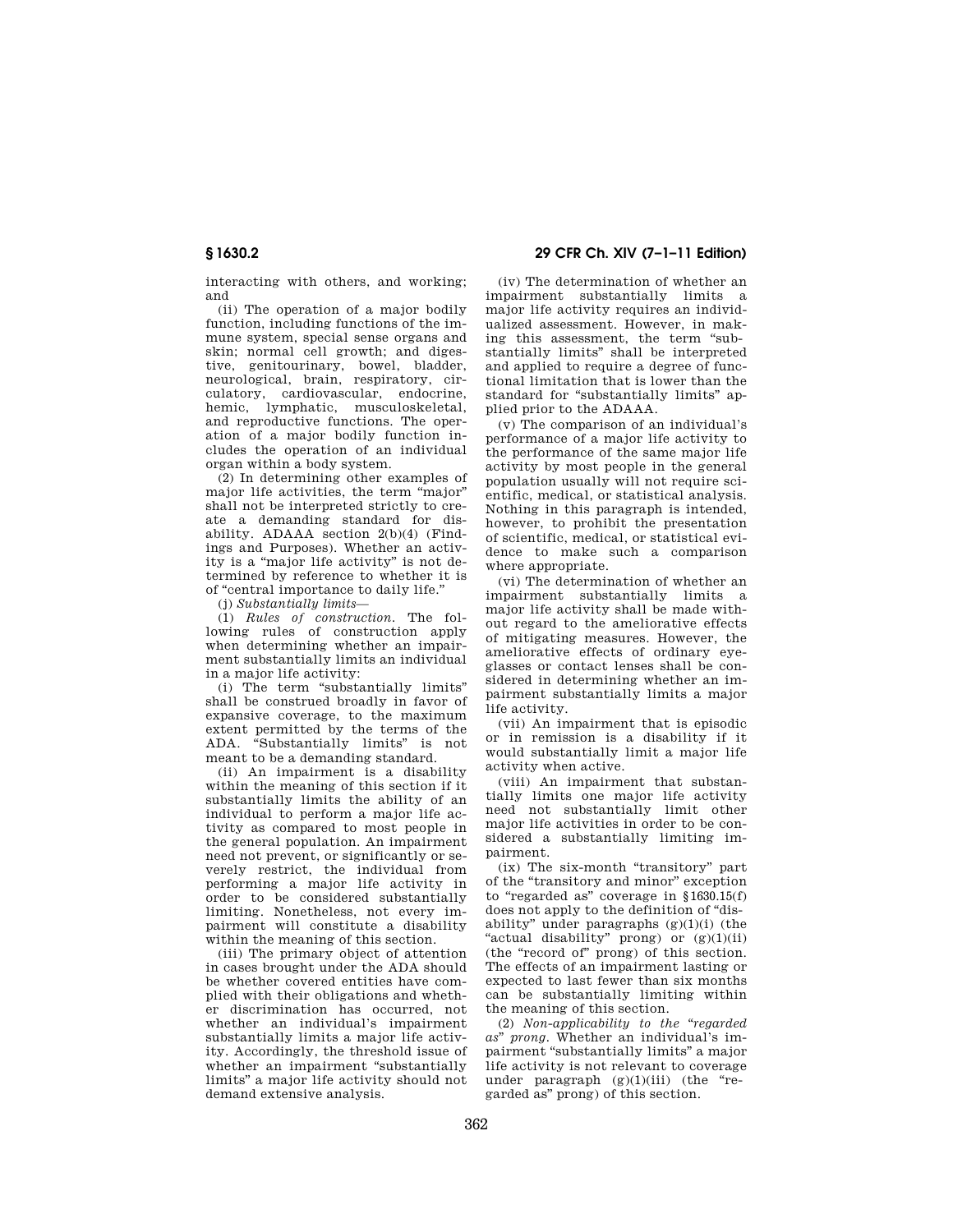interacting with others, and working; and

(ii) The operation of a major bodily function, including functions of the immune system, special sense organs and skin; normal cell growth; and digestive, genitourinary, bowel, bladder, neurological, brain, respiratory, circulatory, cardiovascular, endocrine, hemic, lymphatic, musculoskeletal, and reproductive functions. The operation of a major bodily function includes the operation of an individual organ within a body system.

(2) In determining other examples of major life activities, the term "major" shall not be interpreted strictly to create a demanding standard for disability. ADAAA section 2(b)(4) (Findings and Purposes). Whether an activity is a ''major life activity'' is not determined by reference to whether it is of ''central importance to daily life.''

(j) *Substantially limits*—

(1) *Rules of construction.* The following rules of construction apply when determining whether an impairment substantially limits an individual in a major life activity:

(i) The term ''substantially limits'' shall be construed broadly in favor of expansive coverage, to the maximum extent permitted by the terms of the ADA. ''Substantially limits'' is not meant to be a demanding standard.

(ii) An impairment is a disability within the meaning of this section if it substantially limits the ability of an individual to perform a major life activity as compared to most people in the general population. An impairment need not prevent, or significantly or severely restrict, the individual from performing a major life activity in order to be considered substantially limiting. Nonetheless, not every impairment will constitute a disability within the meaning of this section.

(iii) The primary object of attention in cases brought under the ADA should be whether covered entities have complied with their obligations and whether discrimination has occurred, not whether an individual's impairment substantially limits a major life activity. Accordingly, the threshold issue of whether an impairment "substantially limits'' a major life activity should not demand extensive analysis.

# **§ 1630.2 29 CFR Ch. XIV (7–1–11 Edition)**

(iv) The determination of whether an impairment substantially limits a major life activity requires an individualized assessment. However, in making this assessment, the term "substantially limits'' shall be interpreted and applied to require a degree of functional limitation that is lower than the standard for "substantially limits" applied prior to the ADAAA.

(v) The comparison of an individual's performance of a major life activity to the performance of the same major life activity by most people in the general population usually will not require scientific, medical, or statistical analysis. Nothing in this paragraph is intended, however, to prohibit the presentation of scientific, medical, or statistical evidence to make such a comparison where appropriate.

(vi) The determination of whether an impairment substantially limits a major life activity shall be made without regard to the ameliorative effects of mitigating measures. However, the ameliorative effects of ordinary eyeglasses or contact lenses shall be considered in determining whether an impairment substantially limits a major life activity.

(vii) An impairment that is episodic or in remission is a disability if it would substantially limit a major life activity when active.

(viii) An impairment that substantially limits one major life activity need not substantially limit other major life activities in order to be considered a substantially limiting impairment.

(ix) The six-month ''transitory'' part of the "transitory and minor" exception to "regarded as" coverage in  $§1630.15(f)$ does not apply to the definition of ''disability" under paragraphs  $(g)(1)(i)$  (the "actual disability" prong) or  $(g)(1)(ii)$ (the "record of" prong) of this section. The effects of an impairment lasting or expected to last fewer than six months can be substantially limiting within the meaning of this section.

(2) *Non-applicability to the* ''*regarded as*'' *prong.* Whether an individual's impairment ''substantially limits'' a major life activity is not relevant to coverage under paragraph  $(g)(1)(iii)$  (the "regarded as'' prong) of this section.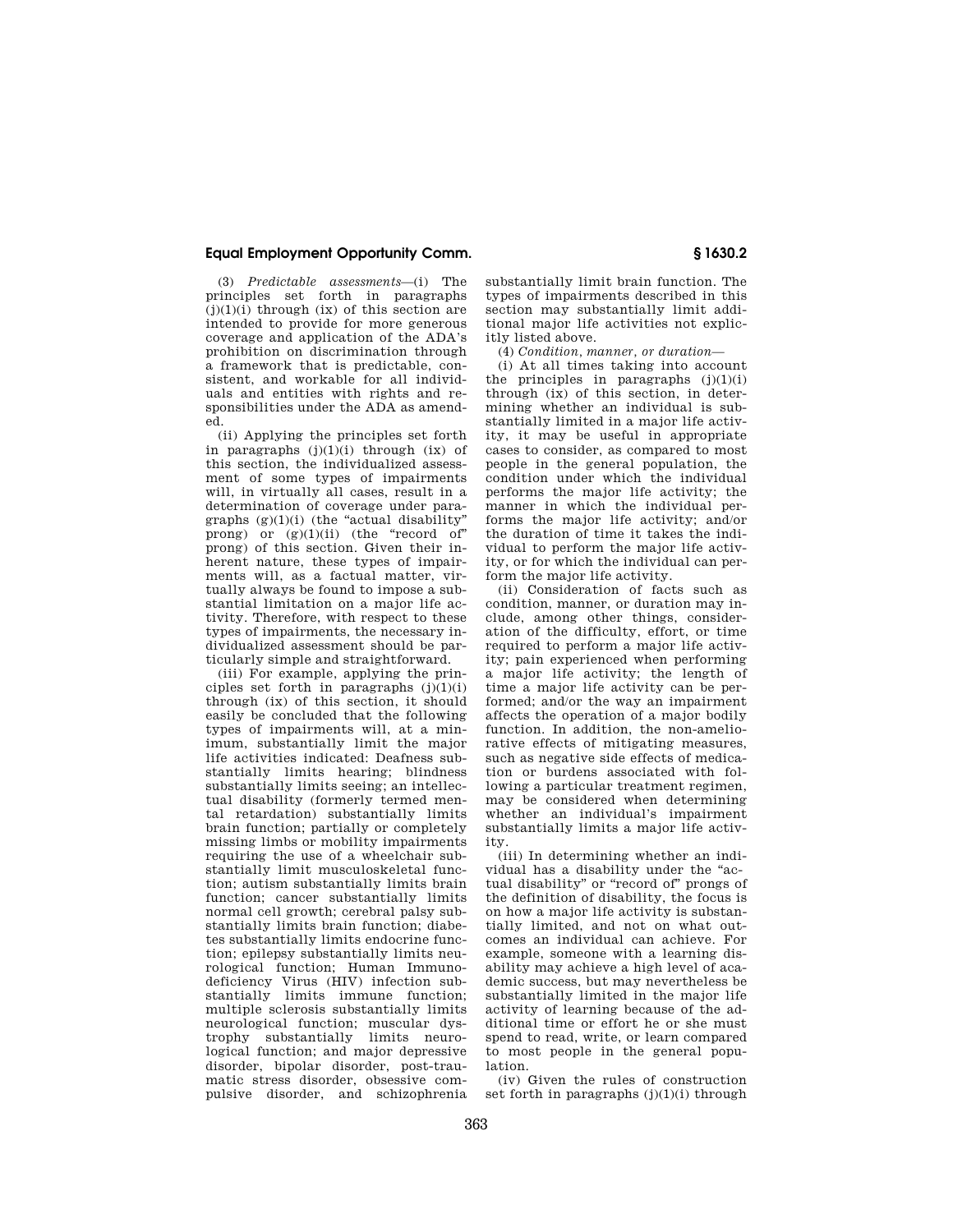(3) *Predictable assessments*—(i) The principles set forth in paragraphs  $(j)(1)(i)$  through (ix) of this section are intended to provide for more generous coverage and application of the ADA's prohibition on discrimination through a framework that is predictable, consistent, and workable for all individuals and entities with rights and responsibilities under the ADA as amended.

(ii) Applying the principles set forth in paragraphs  $(j)(1)(i)$  through  $(ix)$  of this section, the individualized assessment of some types of impairments will, in virtually all cases, result in a determination of coverage under paragraphs  $(g)(1)(i)$  (the "actual disability" prong) or  $(g)(1)(ii)$  (the "record of" prong) of this section. Given their inherent nature, these types of impairments will, as a factual matter, virtually always be found to impose a substantial limitation on a major life activity. Therefore, with respect to these types of impairments, the necessary individualized assessment should be particularly simple and straightforward.

(iii) For example, applying the principles set forth in paragraphs  $(j)(1)(i)$ through (ix) of this section, it should easily be concluded that the following types of impairments will, at a minimum, substantially limit the major life activities indicated: Deafness substantially limits hearing; blindness substantially limits seeing; an intellectual disability (formerly termed mental retardation) substantially limits brain function; partially or completely missing limbs or mobility impairments requiring the use of a wheelchair substantially limit musculoskeletal function; autism substantially limits brain function; cancer substantially limits normal cell growth; cerebral palsy substantially limits brain function; diabetes substantially limits endocrine function; epilepsy substantially limits neurological function; Human Immunodeficiency Virus (HIV) infection substantially limits immune function; multiple sclerosis substantially limits neurological function; muscular dystrophy substantially limits neurological function; and major depressive disorder, bipolar disorder, post-traumatic stress disorder, obsessive compulsive disorder, and schizophrenia substantially limit brain function. The types of impairments described in this section may substantially limit additional major life activities not explicitly listed above.

(4) *Condition, manner, or duration*—

(i) At all times taking into account the principles in paragraphs  $(j)(1)(i)$ through (ix) of this section, in determining whether an individual is substantially limited in a major life activity, it may be useful in appropriate cases to consider, as compared to most people in the general population, the condition under which the individual performs the major life activity; the manner in which the individual performs the major life activity; and/or the duration of time it takes the individual to perform the major life activity, or for which the individual can perform the major life activity.

(ii) Consideration of facts such as condition, manner, or duration may include, among other things, consideration of the difficulty, effort, or time required to perform a major life activity; pain experienced when performing a major life activity; the length of time a major life activity can be performed; and/or the way an impairment affects the operation of a major bodily function. In addition, the non-ameliorative effects of mitigating measures, such as negative side effects of medication or burdens associated with following a particular treatment regimen, may be considered when determining whether an individual's impairment substantially limits a major life activity.

(iii) In determining whether an individual has a disability under the "actual disability" or "record of" prongs of the definition of disability, the focus is on how a major life activity is substantially limited, and not on what outcomes an individual can achieve. For example, someone with a learning disability may achieve a high level of academic success, but may nevertheless be substantially limited in the major life activity of learning because of the additional time or effort he or she must spend to read, write, or learn compared to most people in the general population.

(iv) Given the rules of construction set forth in paragraphs  $(j)(1)(i)$  through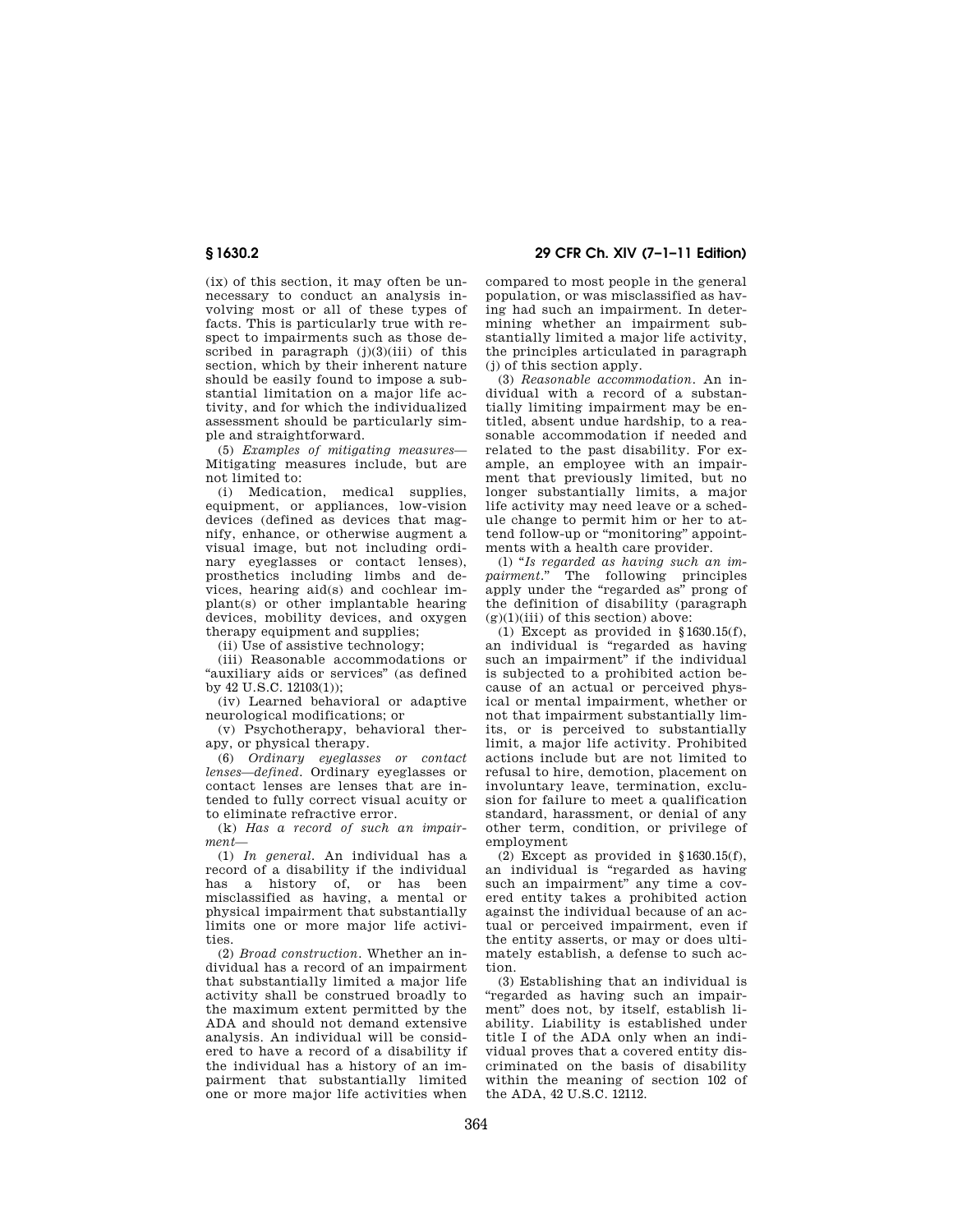(ix) of this section, it may often be unnecessary to conduct an analysis involving most or all of these types of facts. This is particularly true with respect to impairments such as those described in paragraph (j)(3)(iii) of this section, which by their inherent nature should be easily found to impose a substantial limitation on a major life activity, and for which the individualized assessment should be particularly simple and straightforward.

(5) *Examples of mitigating measures*— Mitigating measures include, but are not limited to:

(i) Medication, medical supplies, equipment, or appliances, low-vision devices (defined as devices that magnify, enhance, or otherwise augment a visual image, but not including ordinary eyeglasses or contact lenses), prosthetics including limbs and devices, hearing aid(s) and cochlear implant(s) or other implantable hearing devices, mobility devices, and oxygen therapy equipment and supplies;

(ii) Use of assistive technology;

(iii) Reasonable accommodations or "auxiliary aids or services" (as defined by 42 U.S.C. 12103(1));

(iv) Learned behavioral or adaptive neurological modifications; or

(v) Psychotherapy, behavioral therapy, or physical therapy.

(6) *Ordinary eyeglasses or contact lenses*—*defined.* Ordinary eyeglasses or contact lenses are lenses that are intended to fully correct visual acuity or to eliminate refractive error.

(k) *Has a record of such an impairment*—

(1) *In general.* An individual has a record of a disability if the individual has a history of, or has been misclassified as having, a mental or physical impairment that substantially limits one or more major life activities.

(2) *Broad construction.* Whether an individual has a record of an impairment that substantially limited a major life activity shall be construed broadly to the maximum extent permitted by the ADA and should not demand extensive analysis. An individual will be considered to have a record of a disability if the individual has a history of an impairment that substantially limited one or more major life activities when

**§ 1630.2 29 CFR Ch. XIV (7–1–11 Edition)** 

compared to most people in the general population, or was misclassified as having had such an impairment. In determining whether an impairment substantially limited a major life activity, the principles articulated in paragraph (j) of this section apply.

(3) *Reasonable accommodation.* An individual with a record of a substantially limiting impairment may be entitled, absent undue hardship, to a reasonable accommodation if needed and related to the past disability. For example, an employee with an impairment that previously limited, but no longer substantially limits, a major life activity may need leave or a schedule change to permit him or her to attend follow-up or "monitoring" appointments with a health care provider.

(l) ''*Is regarded as having such an impairment.*'' The following principles apply under the ''regarded as'' prong of the definition of disability (paragraph  $(g)(1)(iii)$  of this section) above:

(1) Except as provided in §1630.15(f), an individual is ''regarded as having such an impairment'' if the individual is subjected to a prohibited action because of an actual or perceived physical or mental impairment, whether or not that impairment substantially limits, or is perceived to substantially limit, a major life activity. Prohibited actions include but are not limited to refusal to hire, demotion, placement on involuntary leave, termination, exclusion for failure to meet a qualification standard, harassment, or denial of any other term, condition, or privilege of employment

(2) Except as provided in  $$1630.15(f)$ , an individual is "regarded as having such an impairment'' any time a covered entity takes a prohibited action against the individual because of an actual or perceived impairment, even if the entity asserts, or may or does ultimately establish, a defense to such action.

(3) Establishing that an individual is ''regarded as having such an impairment'' does not, by itself, establish liability. Liability is established under title I of the ADA only when an individual proves that a covered entity discriminated on the basis of disability within the meaning of section 102 of the ADA, 42 U.S.C. 12112.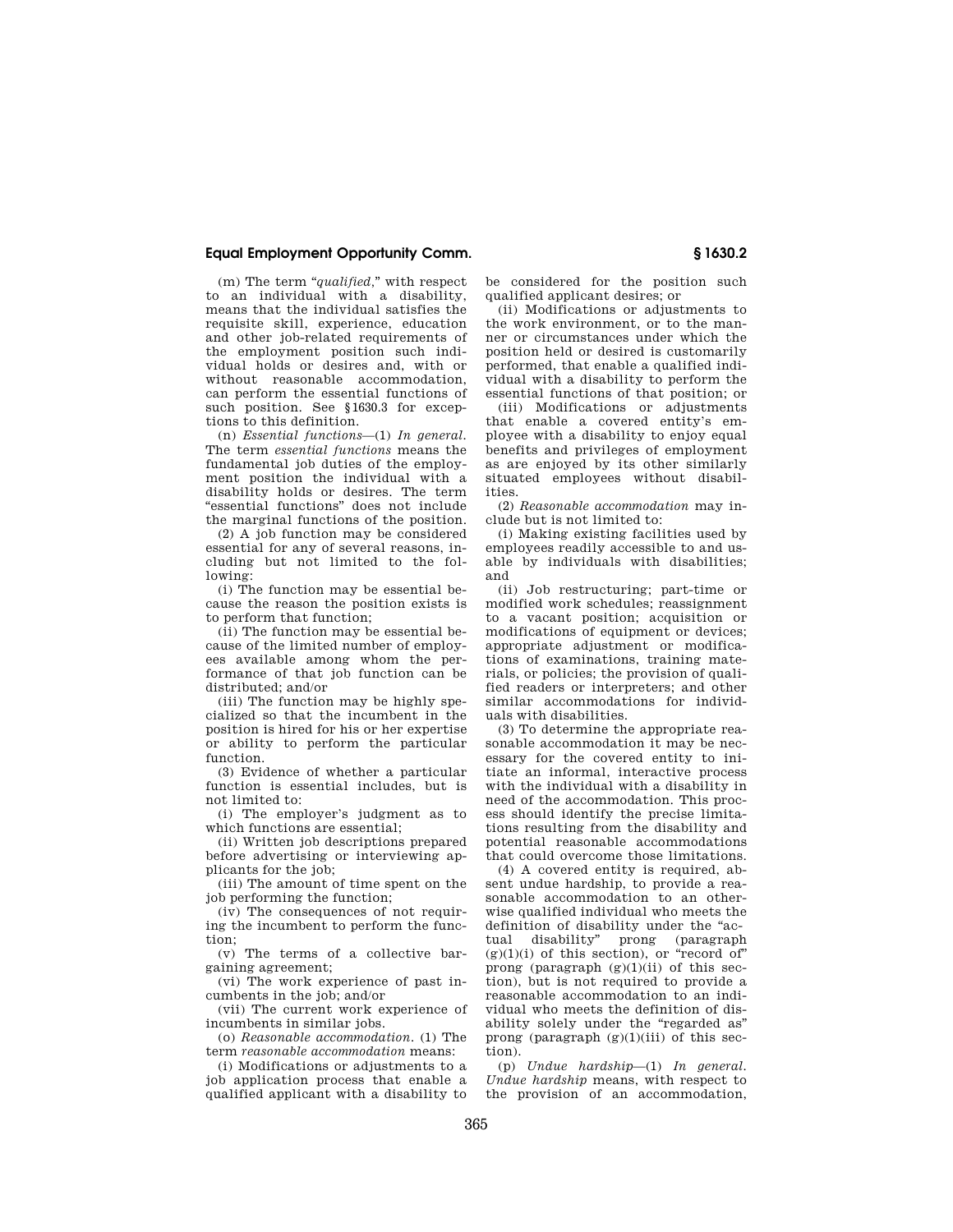(m) The term "*qualified*," with respect to an individual with a disability, means that the individual satisfies the requisite skill, experience, education and other job-related requirements of the employment position such individual holds or desires and, with or without reasonable accommodation, can perform the essential functions of such position. See §1630.3 for exceptions to this definition.

(n) *Essential functions*—(1) *In general.*  The term *essential functions* means the fundamental job duties of the employment position the individual with a disability holds or desires. The term ''essential functions'' does not include the marginal functions of the position.

(2) A job function may be considered essential for any of several reasons, including but not limited to the following:

(i) The function may be essential because the reason the position exists is to perform that function;

(ii) The function may be essential because of the limited number of employees available among whom the performance of that job function can be distributed; and/or

(iii) The function may be highly specialized so that the incumbent in the position is hired for his or her expertise or ability to perform the particular function.

(3) Evidence of whether a particular function is essential includes, but is not limited to:

(i) The employer's judgment as to which functions are essential;

(ii) Written job descriptions prepared before advertising or interviewing applicants for the job;

(iii) The amount of time spent on the job performing the function;

(iv) The consequences of not requiring the incumbent to perform the function;

(v) The terms of a collective bargaining agreement;

(vi) The work experience of past incumbents in the job; and/or

(vii) The current work experience of incumbents in similar jobs.

(o) *Reasonable accommodation.* (1) The term *reasonable accommodation* means:

(i) Modifications or adjustments to a job application process that enable a qualified applicant with a disability to be considered for the position such qualified applicant desires; or

(ii) Modifications or adjustments to the work environment, or to the manner or circumstances under which the position held or desired is customarily performed, that enable a qualified individual with a disability to perform the essential functions of that position; or

(iii) Modifications or adjustments that enable a covered entity's employee with a disability to enjoy equal benefits and privileges of employment as are enjoyed by its other similarly situated employees without disabilities.

(2) *Reasonable accommodation* may include but is not limited to:

(i) Making existing facilities used by employees readily accessible to and usable by individuals with disabilities; and

(ii) Job restructuring; part-time or modified work schedules; reassignment to a vacant position; acquisition or modifications of equipment or devices; appropriate adjustment or modifications of examinations, training materials, or policies; the provision of qualified readers or interpreters; and other similar accommodations for individuals with disabilities.

(3) To determine the appropriate reasonable accommodation it may be necessary for the covered entity to initiate an informal, interactive process with the individual with a disability in need of the accommodation. This process should identify the precise limitations resulting from the disability and potential reasonable accommodations that could overcome those limitations.

(4) A covered entity is required, absent undue hardship, to provide a reasonable accommodation to an otherwise qualified individual who meets the definition of disability under the "actual disability'' prong (paragraph  $(g)(1)(i)$  of this section), or "record of" prong (paragraph  $(g)(1)(ii)$  of this section), but is not required to provide a reasonable accommodation to an individual who meets the definition of disability solely under the "regarded as" prong (paragraph  $(g)(1)(iii)$  of this section).

(p) *Undue hardship*—(1) *In general. Undue hardship* means, with respect to the provision of an accommodation,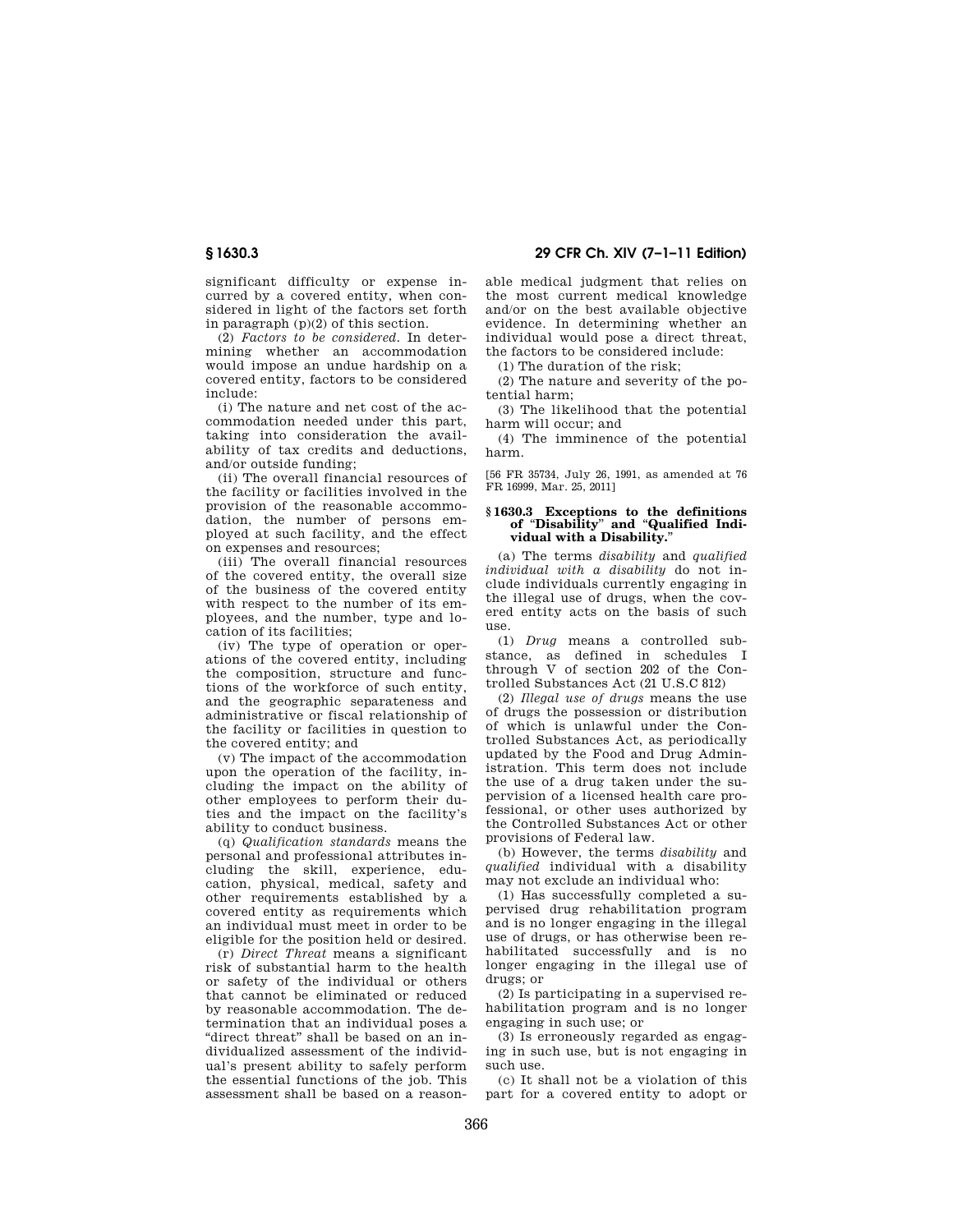significant difficulty or expense incurred by a covered entity, when considered in light of the factors set forth in paragraph (p)(2) of this section.

(2) *Factors to be considered.* In determining whether an accommodation would impose an undue hardship on a covered entity, factors to be considered include:

(i) The nature and net cost of the accommodation needed under this part, taking into consideration the availability of tax credits and deductions, and/or outside funding;

(ii) The overall financial resources of the facility or facilities involved in the provision of the reasonable accommodation, the number of persons employed at such facility, and the effect on expenses and resources;

(iii) The overall financial resources of the covered entity, the overall size of the business of the covered entity with respect to the number of its employees, and the number, type and location of its facilities;

(iv) The type of operation or operations of the covered entity, including the composition, structure and functions of the workforce of such entity, and the geographic separateness and administrative or fiscal relationship of the facility or facilities in question to the covered entity; and

(v) The impact of the accommodation upon the operation of the facility, including the impact on the ability of other employees to perform their duties and the impact on the facility's ability to conduct business.

(q) *Qualification standards* means the personal and professional attributes including the skill, experience, education, physical, medical, safety and other requirements established by a covered entity as requirements which an individual must meet in order to be eligible for the position held or desired.

(r) *Direct Threat* means a significant risk of substantial harm to the health or safety of the individual or others that cannot be eliminated or reduced by reasonable accommodation. The determination that an individual poses a ''direct threat'' shall be based on an individualized assessment of the individual's present ability to safely perform the essential functions of the job. This assessment shall be based on a reason-

# **§ 1630.3 29 CFR Ch. XIV (7–1–11 Edition)**

able medical judgment that relies on the most current medical knowledge and/or on the best available objective evidence. In determining whether an individual would pose a direct threat, the factors to be considered include:

(1) The duration of the risk;

(2) The nature and severity of the potential harm;

(3) The likelihood that the potential harm will occur; and

(4) The imminence of the potential harm.

[56 FR 35734, July 26, 1991, as amended at 76 FR 16999, Mar. 25, 2011]

#### **§ 1630.3 Exceptions to the definitions of** ''**Disability**'' **and** ''**Qualified Individual with a Disability.**''

(a) The terms *disability* and *qualified individual with a disability* do not include individuals currently engaging in the illegal use of drugs, when the covered entity acts on the basis of such use.

(1) *Drug* means a controlled substance, as defined in schedules I through V of section 202 of the Controlled Substances Act (21 U.S.C 812)

(2) *Illegal use of drugs* means the use of drugs the possession or distribution of which is unlawful under the Controlled Substances Act, as periodically updated by the Food and Drug Administration. This term does not include the use of a drug taken under the supervision of a licensed health care professional, or other uses authorized by the Controlled Substances Act or other provisions of Federal law.

(b) However, the terms *disability* and *qualified* individual with a disability may not exclude an individual who:

(1) Has successfully completed a supervised drug rehabilitation program and is no longer engaging in the illegal use of drugs, or has otherwise been rehabilitated successfully and is no longer engaging in the illegal use of drugs; or

(2) Is participating in a supervised rehabilitation program and is no longer engaging in such use; or

(3) Is erroneously regarded as engaging in such use, but is not engaging in such use.

(c) It shall not be a violation of this part for a covered entity to adopt or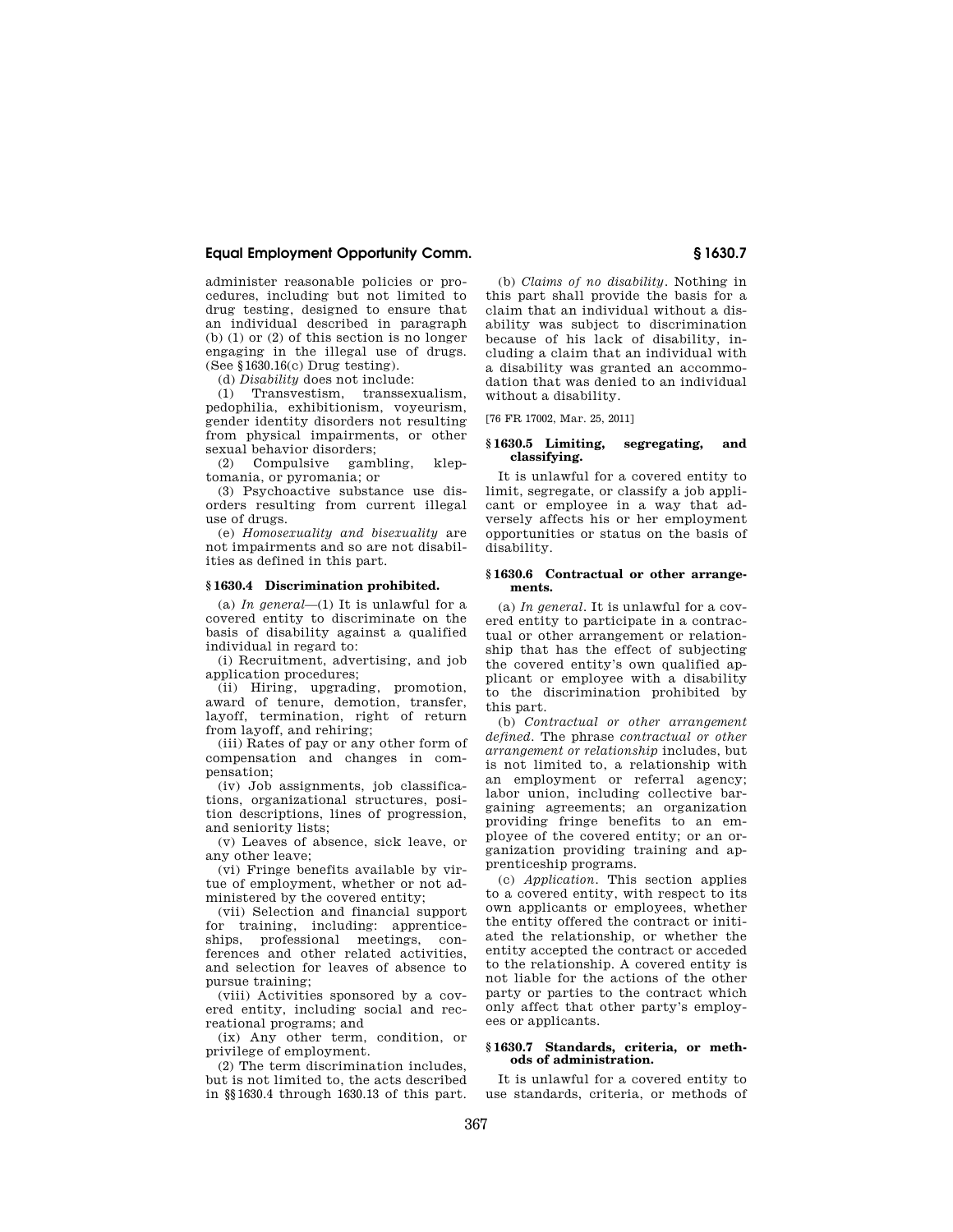administer reasonable policies or procedures, including but not limited to drug testing, designed to ensure that an individual described in paragraph (b) (1) or (2) of this section is no longer engaging in the illegal use of drugs.  $(See § 1630.16(c) Drug testing).$ 

(d) *Disability* does not include:

(1) Transvestism, transsexualism, pedophilia, exhibitionism, voyeurism, gender identity disorders not resulting from physical impairments, or other

sexual behavior disorders;<br>(2) Compulsive gambling, (2) Compulsive gambling, kleptomania, or pyromania; or

(3) Psychoactive substance use disorders resulting from current illegal use of drugs.

(e) *Homosexuality and bisexuality* are not impairments and so are not disabilities as defined in this part.

### **§ 1630.4 Discrimination prohibited.**

(a) *In general*—(1) It is unlawful for a covered entity to discriminate on the basis of disability against a qualified individual in regard to:

(i) Recruitment, advertising, and job application procedures;

(ii) Hiring, upgrading, promotion, award of tenure, demotion, transfer, layoff, termination, right of return from layoff, and rehiring;

(iii) Rates of pay or any other form of compensation and changes in compensation;

(iv) Job assignments, job classifications, organizational structures, position descriptions, lines of progression, and seniority lists;

(v) Leaves of absence, sick leave, or any other leave;

(vi) Fringe benefits available by virtue of employment, whether or not administered by the covered entity;

(vii) Selection and financial support for training, including: apprenticeships, professional meetings, conferences and other related activities, and selection for leaves of absence to pursue training;

(viii) Activities sponsored by a covered entity, including social and recreational programs; and

(ix) Any other term, condition, or privilege of employment.

(2) The term discrimination includes, but is not limited to, the acts described in §§1630.4 through 1630.13 of this part.

(b) *Claims of no disability.* Nothing in this part shall provide the basis for a claim that an individual without a disability was subject to discrimination because of his lack of disability, including a claim that an individual with a disability was granted an accommodation that was denied to an individual without a disability.

[76 FR 17002, Mar. 25, 2011]

## **§ 1630.5 Limiting, segregating, and classifying.**

It is unlawful for a covered entity to limit, segregate, or classify a job applicant or employee in a way that adversely affects his or her employment opportunities or status on the basis of disability.

### **§ 1630.6 Contractual or other arrangements.**

(a) *In general.* It is unlawful for a covered entity to participate in a contractual or other arrangement or relationship that has the effect of subjecting the covered entity's own qualified applicant or employee with a disability to the discrimination prohibited by this part.

(b) *Contractual or other arrangement defined.* The phrase *contractual or other arrangement or relationship* includes, but is not limited to, a relationship with an employment or referral agency; labor union, including collective bargaining agreements; an organization providing fringe benefits to an employee of the covered entity; or an organization providing training and apprenticeship programs.

(c) *Application.* This section applies to a covered entity, with respect to its own applicants or employees, whether the entity offered the contract or initiated the relationship, or whether the entity accepted the contract or acceded to the relationship. A covered entity is not liable for the actions of the other party or parties to the contract which only affect that other party's employees or applicants.

## **§ 1630.7 Standards, criteria, or methods of administration.**

It is unlawful for a covered entity to use standards, criteria, or methods of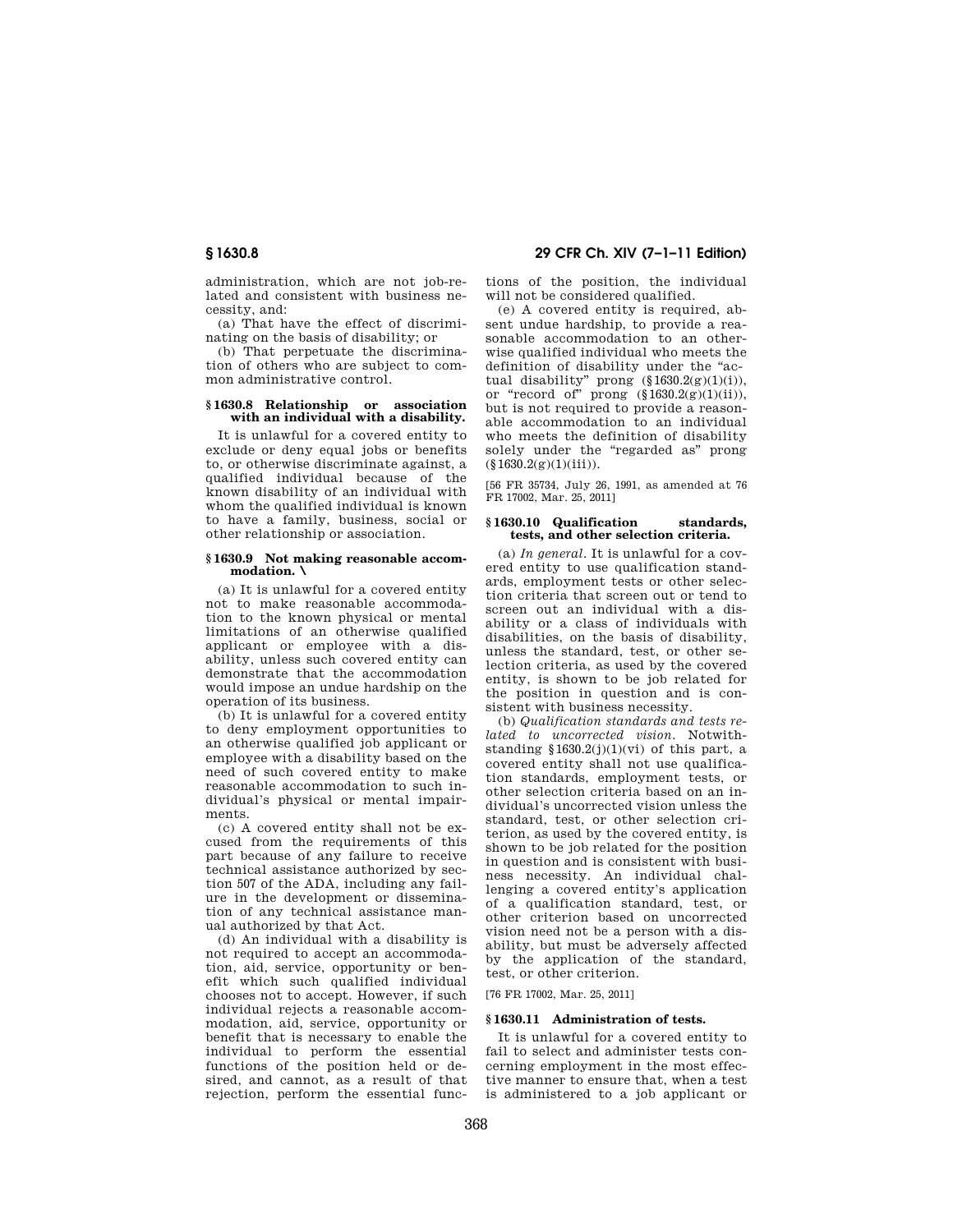administration, which are not job-related and consistent with business necessity, and:

(a) That have the effect of discriminating on the basis of disability; or

(b) That perpetuate the discrimination of others who are subject to common administrative control.

#### **§ 1630.8 Relationship or association with an individual with a disability.**

It is unlawful for a covered entity to exclude or deny equal jobs or benefits to, or otherwise discriminate against, a qualified individual because of the known disability of an individual with whom the qualified individual is known to have a family, business, social or other relationship or association.

#### **§ 1630.9 Not making reasonable accommodation. \**

(a) It is unlawful for a covered entity not to make reasonable accommodation to the known physical or mental limitations of an otherwise qualified applicant or employee with a disability, unless such covered entity can demonstrate that the accommodation would impose an undue hardship on the operation of its business.

(b) It is unlawful for a covered entity to deny employment opportunities to an otherwise qualified job applicant or employee with a disability based on the need of such covered entity to make reasonable accommodation to such individual's physical or mental impairments.

(c) A covered entity shall not be excused from the requirements of this part because of any failure to receive technical assistance authorized by section 507 of the ADA, including any failure in the development or dissemination of any technical assistance manual authorized by that Act.

(d) An individual with a disability is not required to accept an accommodation, aid, service, opportunity or benefit which such qualified individual chooses not to accept. However, if such individual rejects a reasonable accommodation, aid, service, opportunity or benefit that is necessary to enable the individual to perform the essential functions of the position held or desired, and cannot, as a result of that rejection, perform the essential func-

# **§ 1630.8 29 CFR Ch. XIV (7–1–11 Edition)**

tions of the position, the individual will not be considered qualified.

(e) A covered entity is required, absent undue hardship, to provide a reasonable accommodation to an otherwise qualified individual who meets the definition of disability under the "actual disability" prong  $(\S 1630.2(g)(1)(i)),$ or "record of" prong  $(\S 1630.2(g)(1)(ii)),$ but is not required to provide a reasonable accommodation to an individual who meets the definition of disability solely under the "regarded as" prong  $(\S 1630.2(g)(1)(iii)).$ 

[56 FR 35734, July 26, 1991, as amended at 76 FR 17002, Mar. 25, 2011]

### **§ 1630.10 Qualification standards, tests, and other selection criteria.**

(a) *In general.* It is unlawful for a covered entity to use qualification standards, employment tests or other selection criteria that screen out or tend to screen out an individual with a disability or a class of individuals with disabilities, on the basis of disability, unless the standard, test, or other selection criteria, as used by the covered entity, is shown to be job related for the position in question and is consistent with business necessity.

(b) *Qualification standards and tests related to uncorrected vision.* Notwithstanding  $$1630.2(j)(1)(vi)$  of this part, a covered entity shall not use qualification standards, employment tests, or other selection criteria based on an individual's uncorrected vision unless the standard, test, or other selection criterion, as used by the covered entity, is shown to be job related for the position in question and is consistent with business necessity. An individual challenging a covered entity's application of a qualification standard, test, or other criterion based on uncorrected vision need not be a person with a disability, but must be adversely affected by the application of the standard, test, or other criterion.

[76 FR 17002, Mar. 25, 2011]

## **§ 1630.11 Administration of tests.**

It is unlawful for a covered entity to fail to select and administer tests concerning employment in the most effective manner to ensure that, when a test is administered to a job applicant or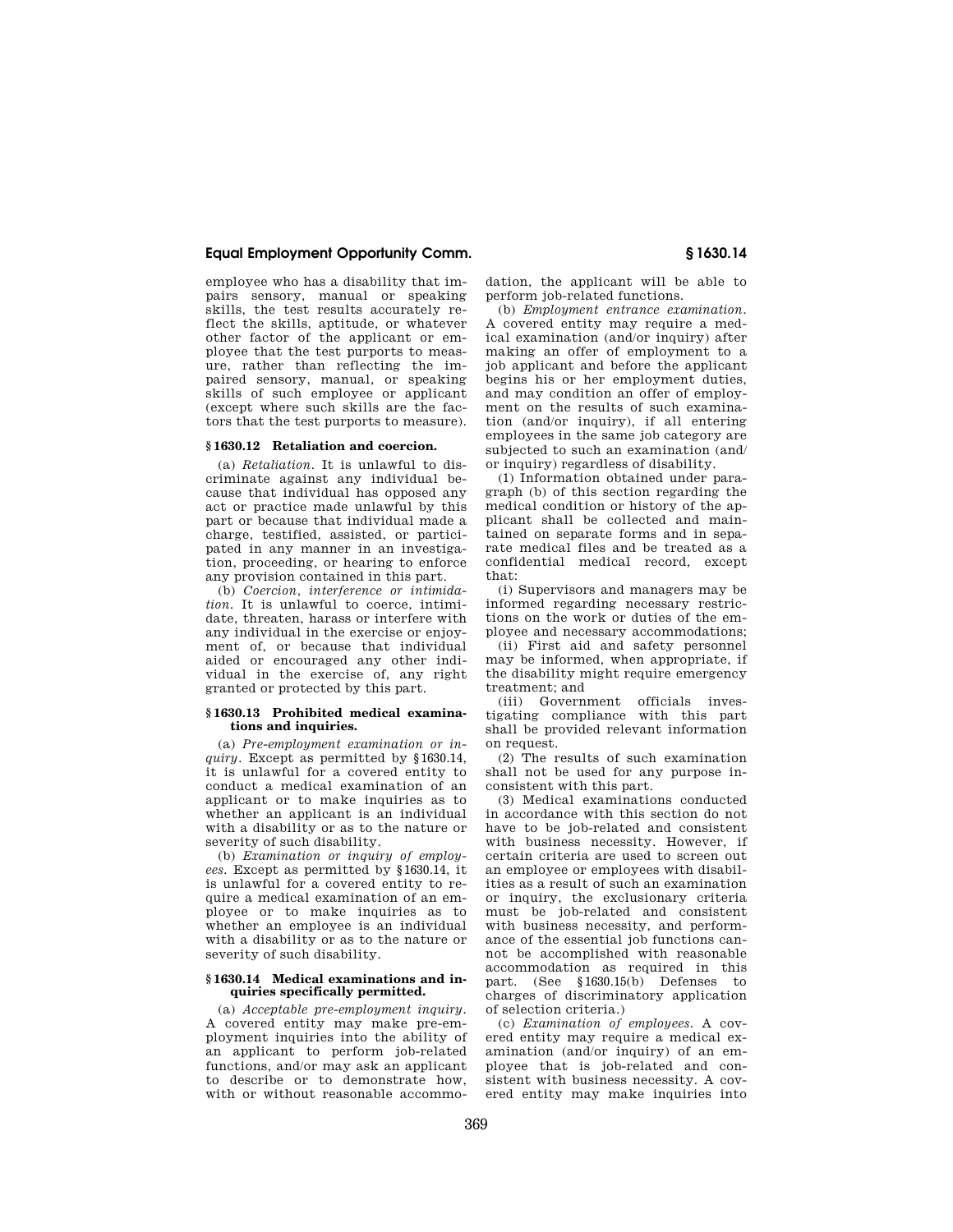employee who has a disability that impairs sensory, manual or speaking skills, the test results accurately reflect the skills, aptitude, or whatever other factor of the applicant or employee that the test purports to measure, rather than reflecting the impaired sensory, manual, or speaking skills of such employee or applicant (except where such skills are the factors that the test purports to measure).

### **§ 1630.12 Retaliation and coercion.**

(a) *Retaliation.* It is unlawful to discriminate against any individual because that individual has opposed any act or practice made unlawful by this part or because that individual made a charge, testified, assisted, or participated in any manner in an investigation, proceeding, or hearing to enforce any provision contained in this part.

(b) *Coercion, interference or intimidation.* It is unlawful to coerce, intimidate, threaten, harass or interfere with any individual in the exercise or enjoyment of, or because that individual aided or encouraged any other individual in the exercise of, any right granted or protected by this part.

## **§ 1630.13 Prohibited medical examinations and inquiries.**

(a) *Pre-employment examination or inquiry.* Except as permitted by §1630.14, it is unlawful for a covered entity to conduct a medical examination of an applicant or to make inquiries as to whether an applicant is an individual with a disability or as to the nature or severity of such disability.

(b) *Examination or inquiry of employees.* Except as permitted by §1630.14, it is unlawful for a covered entity to require a medical examination of an employee or to make inquiries as to whether an employee is an individual with a disability or as to the nature or severity of such disability.

### **§ 1630.14 Medical examinations and inquiries specifically permitted.**

(a) *Acceptable pre-employment inquiry.*  A covered entity may make pre-employment inquiries into the ability of an applicant to perform job-related functions, and/or may ask an applicant to describe or to demonstrate how, with or without reasonable accommodation, the applicant will be able to perform job-related functions.

(b) *Employment entrance examination.*  A covered entity may require a medical examination (and/or inquiry) after making an offer of employment to a job applicant and before the applicant begins his or her employment duties, and may condition an offer of employment on the results of such examination (and/or inquiry), if all entering employees in the same job category are subjected to such an examination (and/ or inquiry) regardless of disability.

(1) Information obtained under paragraph (b) of this section regarding the medical condition or history of the applicant shall be collected and maintained on separate forms and in separate medical files and be treated as a confidential medical record, except that:

(i) Supervisors and managers may be informed regarding necessary restrictions on the work or duties of the employee and necessary accommodations;

(ii) First aid and safety personnel may be informed, when appropriate, if the disability might require emergency treatment; and

(iii) Government officials investigating compliance with this part shall be provided relevant information on request.

(2) The results of such examination shall not be used for any purpose inconsistent with this part.

(3) Medical examinations conducted in accordance with this section do not have to be job-related and consistent with business necessity. However, if certain criteria are used to screen out an employee or employees with disabilities as a result of such an examination or inquiry, the exclusionary criteria must be job-related and consistent with business necessity, and performance of the essential job functions cannot be accomplished with reasonable accommodation as required in this part. (See §1630.15(b) Defenses to charges of discriminatory application of selection criteria.)

(c) *Examination of employees.* A covered entity may require a medical examination (and/or inquiry) of an employee that is job-related and consistent with business necessity. A covered entity may make inquiries into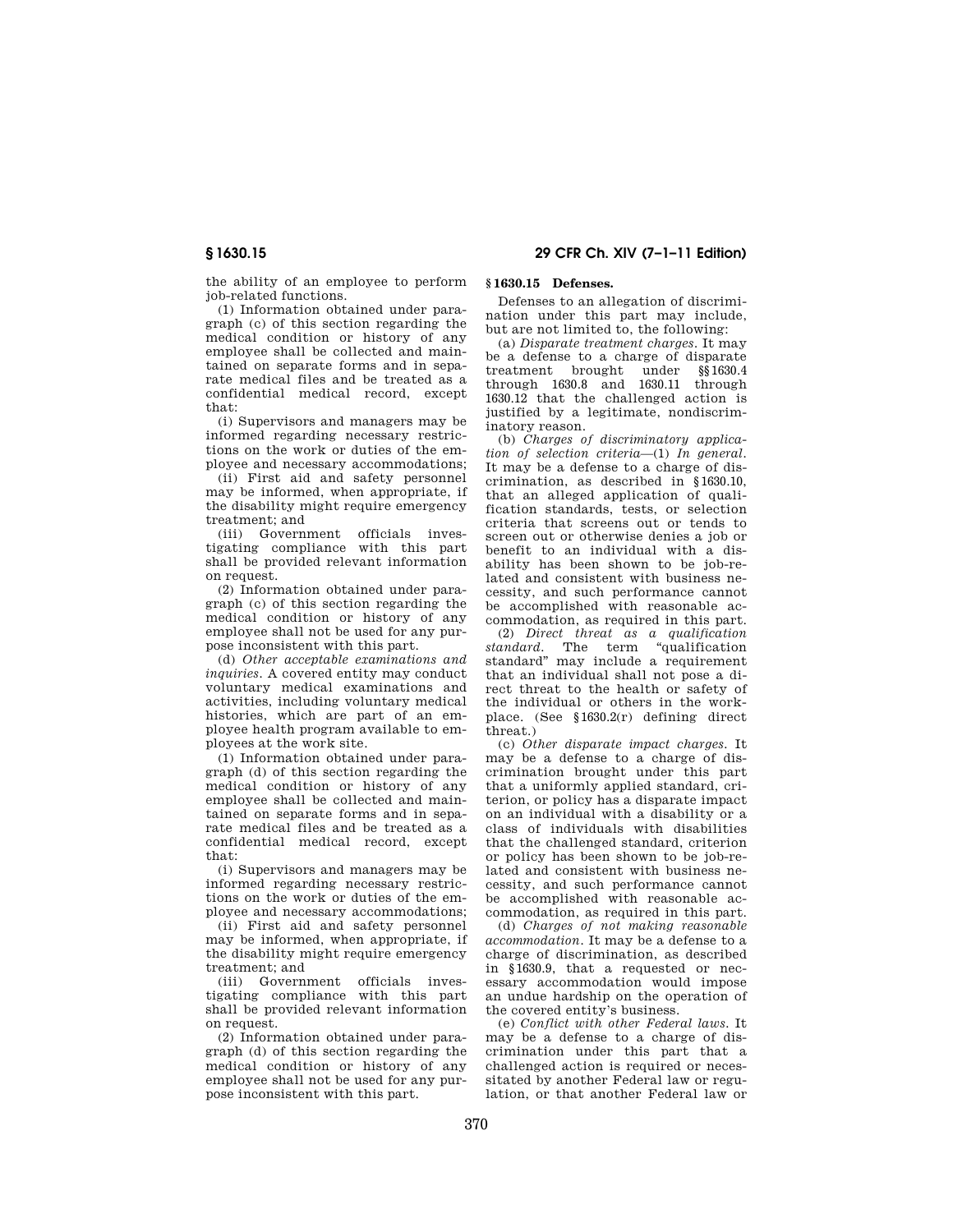the ability of an employee to perform job-related functions.

(1) Information obtained under paragraph (c) of this section regarding the medical condition or history of any employee shall be collected and maintained on separate forms and in separate medical files and be treated as a confidential medical record, except that:

(i) Supervisors and managers may be informed regarding necessary restrictions on the work or duties of the employee and necessary accommodations;

(ii) First aid and safety personnel may be informed, when appropriate, if the disability might require emergency treatment; and

(iii) Government officials investigating compliance with this part shall be provided relevant information on request.

(2) Information obtained under paragraph (c) of this section regarding the medical condition or history of any employee shall not be used for any purpose inconsistent with this part.

(d) *Other acceptable examinations and inquiries.* A covered entity may conduct voluntary medical examinations and activities, including voluntary medical histories, which are part of an employee health program available to employees at the work site.

(1) Information obtained under paragraph (d) of this section regarding the medical condition or history of any employee shall be collected and maintained on separate forms and in separate medical files and be treated as a confidential medical record, except that:

(i) Supervisors and managers may be informed regarding necessary restrictions on the work or duties of the employee and necessary accommodations;

(ii) First aid and safety personnel may be informed, when appropriate, if the disability might require emergency treatment; and

(iii) Government officials investigating compliance with this part shall be provided relevant information on request.

(2) Information obtained under paragraph (d) of this section regarding the medical condition or history of any employee shall not be used for any purpose inconsistent with this part.

# **§ 1630.15 29 CFR Ch. XIV (7–1–11 Edition)**

# **§ 1630.15 Defenses.**

Defenses to an allegation of discrimination under this part may include, but are not limited to, the following:

(a) *Disparate treatment charges.* It may be a defense to a charge of disparate<br>treatment brought under §§1630.4 treatment brought under §§1630.4 through 1630.8 and 1630.11 through 1630.12 that the challenged action is justified by a legitimate, nondiscriminatory reason.

(b) *Charges of discriminatory application of selection criteria*—(1) *In general.*  It may be a defense to a charge of discrimination, as described in §1630.10, that an alleged application of qualification standards, tests, or selection criteria that screens out or tends to screen out or otherwise denies a job or benefit to an individual with a disability has been shown to be job-related and consistent with business necessity, and such performance cannot be accomplished with reasonable accommodation, as required in this part.

(2) *Direct threat as a qualification standard.* The term standard'' may include a requirement that an individual shall not pose a direct threat to the health or safety of the individual or others in the workplace. (See §1630.2(r) defining direct threat.)

(c) *Other disparate impact charges.* It may be a defense to a charge of discrimination brought under this part that a uniformly applied standard, criterion, or policy has a disparate impact on an individual with a disability or a class of individuals with disabilities that the challenged standard, criterion or policy has been shown to be job-related and consistent with business necessity, and such performance cannot be accomplished with reasonable accommodation, as required in this part.

(d) *Charges of not making reasonable accommodation.* It may be a defense to a charge of discrimination, as described in §1630.9, that a requested or necessary accommodation would impose an undue hardship on the operation of the covered entity's business.

(e) *Conflict with other Federal laws.* It may be a defense to a charge of discrimination under this part that a challenged action is required or necessitated by another Federal law or regulation, or that another Federal law or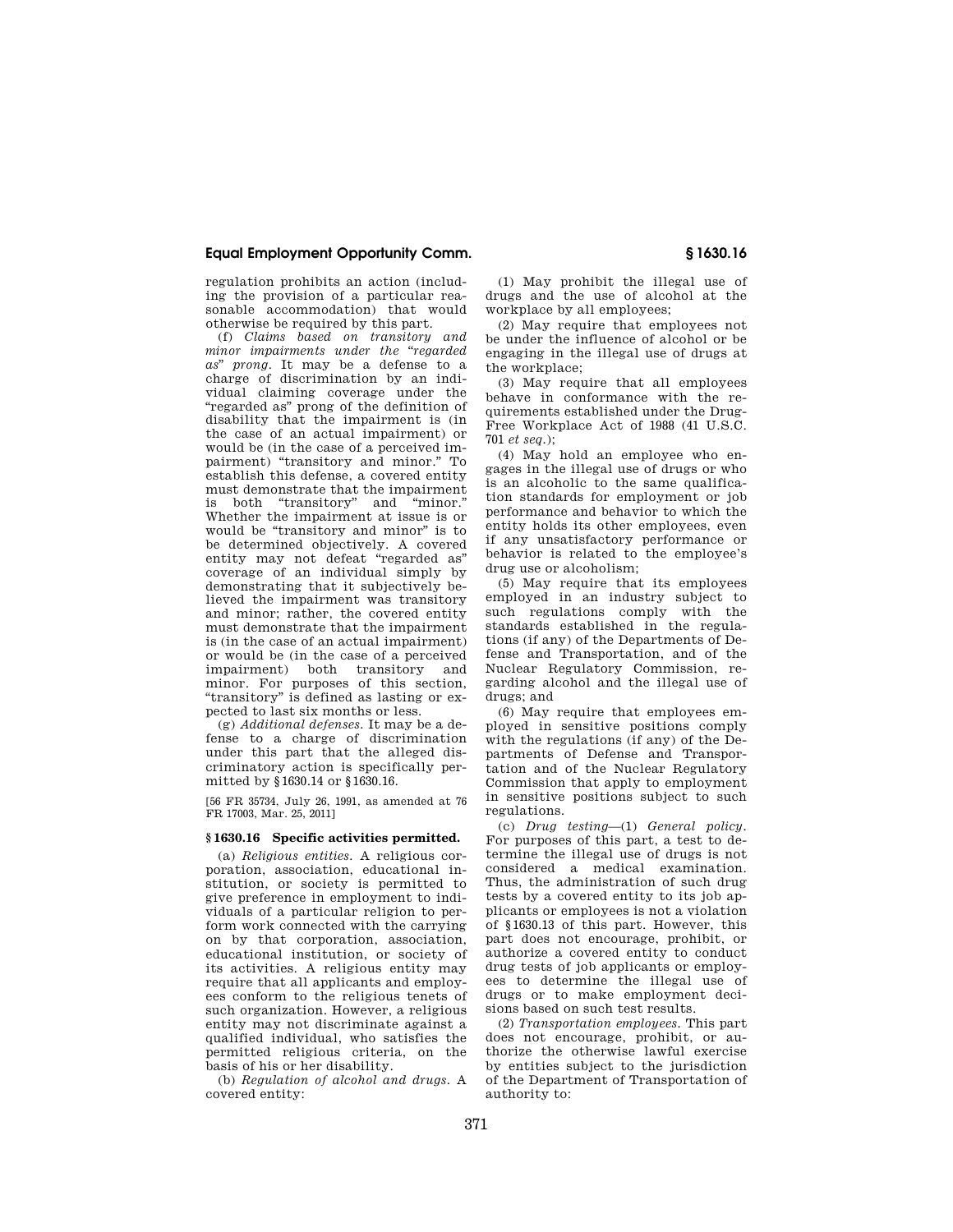regulation prohibits an action (including the provision of a particular reasonable accommodation) that would otherwise be required by this part.

(f) *Claims based on transitory and minor impairments under the* ''*regarded as*'' *prong.* It may be a defense to a charge of discrimination by an individual claiming coverage under the ''regarded as'' prong of the definition of disability that the impairment is (in the case of an actual impairment) or would be (in the case of a perceived impairment) "transitory and minor." To establish this defense, a covered entity must demonstrate that the impairment is both "transitory" and "minor." Whether the impairment at issue is or would be "transitory and minor" is to be determined objectively. A covered entity may not defeat ''regarded as'' coverage of an individual simply by demonstrating that it subjectively believed the impairment was transitory and minor; rather, the covered entity must demonstrate that the impairment is (in the case of an actual impairment) or would be (in the case of a perceived impairment) both transitory and minor. For purposes of this section, ''transitory'' is defined as lasting or expected to last six months or less.

(g) *Additional defenses.* It may be a defense to a charge of discrimination under this part that the alleged discriminatory action is specifically permitted by §1630.14 or §1630.16.

[56 FR 35734, July 26, 1991, as amended at 76 FR 17003, Mar. 25, 2011]

### **§ 1630.16 Specific activities permitted.**

(a) *Religious entities.* A religious corporation, association, educational institution, or society is permitted to give preference in employment to individuals of a particular religion to perform work connected with the carrying on by that corporation, association, educational institution, or society of its activities. A religious entity may require that all applicants and employees conform to the religious tenets of such organization. However, a religious entity may not discriminate against a qualified individual, who satisfies the permitted religious criteria, on the basis of his or her disability.

(b) *Regulation of alcohol and drugs.* A covered entity:

(1) May prohibit the illegal use of drugs and the use of alcohol at the workplace by all employees;

(2) May require that employees not be under the influence of alcohol or be engaging in the illegal use of drugs at the workplace;

(3) May require that all employees behave in conformance with the requirements established under the Drug-Free Workplace Act of 1988 (41 U.S.C. 701 *et seq.*);

(4) May hold an employee who engages in the illegal use of drugs or who is an alcoholic to the same qualification standards for employment or job performance and behavior to which the entity holds its other employees, even if any unsatisfactory performance or behavior is related to the employee's drug use or alcoholism;

(5) May require that its employees employed in an industry subject to such regulations comply with the standards established in the regulations (if any) of the Departments of Defense and Transportation, and of the Nuclear Regulatory Commission, regarding alcohol and the illegal use of drugs; and

(6) May require that employees employed in sensitive positions comply with the regulations (if any) of the Departments of Defense and Transportation and of the Nuclear Regulatory Commission that apply to employment in sensitive positions subject to such regulations.

(c) *Drug testing*—(1) *General policy.*  For purposes of this part, a test to determine the illegal use of drugs is not considered a medical examination. Thus, the administration of such drug tests by a covered entity to its job applicants or employees is not a violation of §1630.13 of this part. However, this part does not encourage, prohibit, or authorize a covered entity to conduct drug tests of job applicants or employees to determine the illegal use of drugs or to make employment decisions based on such test results.

(2) *Transportation employees.* This part does not encourage, prohibit, or authorize the otherwise lawful exercise by entities subject to the jurisdiction of the Department of Transportation of authority to: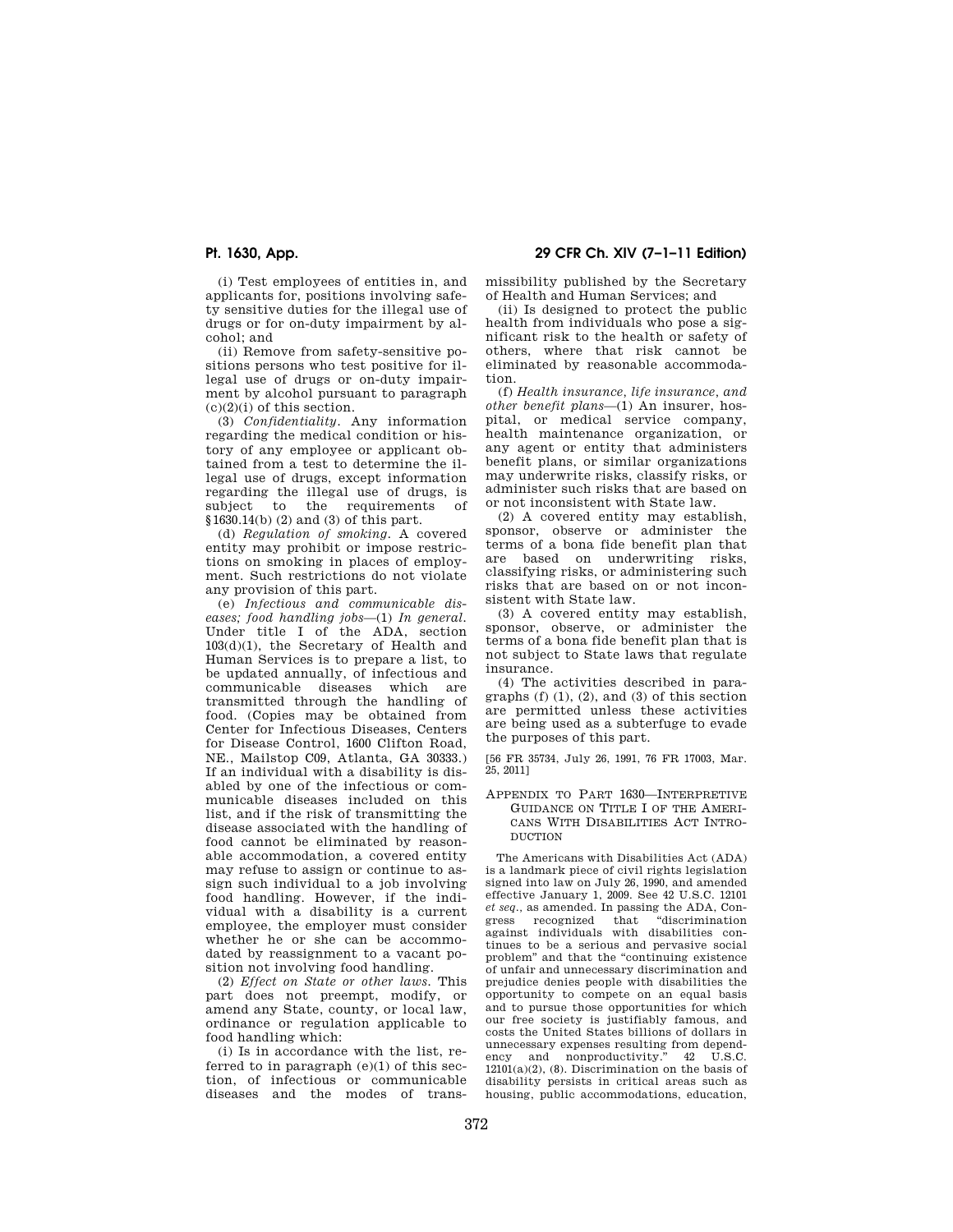(i) Test employees of entities in, and applicants for, positions involving safety sensitive duties for the illegal use of drugs or for on-duty impairment by alcohol; and

(ii) Remove from safety-sensitive positions persons who test positive for illegal use of drugs or on-duty impairment by alcohol pursuant to paragraph  $(c)(2)(i)$  of this section.

(3) *Confidentiality.* Any information regarding the medical condition or history of any employee or applicant obtained from a test to determine the illegal use of drugs, except information regarding the illegal use of drugs, is<br>subject to the requirements of subject to the requirements §1630.14(b) (2) and (3) of this part.

(d) *Regulation of smoking.* A covered entity may prohibit or impose restrictions on smoking in places of employment. Such restrictions do not violate any provision of this part.

(e) *Infectious and communicable diseases; food handling jobs*—(1) *In general.*  Under title I of the ADA, section 103(d)(1), the Secretary of Health and Human Services is to prepare a list, to be updated annually, of infectious and communicable diseases which are transmitted through the handling of food. (Copies may be obtained from Center for Infectious Diseases, Centers for Disease Control, 1600 Clifton Road, NE., Mailstop C09, Atlanta, GA 30333.) If an individual with a disability is disabled by one of the infectious or communicable diseases included on this list, and if the risk of transmitting the disease associated with the handling of food cannot be eliminated by reasonable accommodation, a covered entity may refuse to assign or continue to assign such individual to a job involving food handling. However, if the individual with a disability is a current employee, the employer must consider whether he or she can be accommodated by reassignment to a vacant position not involving food handling.

(2) *Effect on State or other laws.* This part does not preempt, modify, or amend any State, county, or local law, ordinance or regulation applicable to food handling which:

(i) Is in accordance with the list, referred to in paragraph  $(e)(1)$  of this section, of infectious or communicable diseases and the modes of trans-

**Pt. 1630, App. 29 CFR Ch. XIV (7–1–11 Edition)** 

missibility published by the Secretary of Health and Human Services; and

(ii) Is designed to protect the public health from individuals who pose a significant risk to the health or safety of others, where that risk cannot be eliminated by reasonable accommodation.

(f) *Health insurance, life insurance, and other benefit plans*—(1) An insurer, hospital, or medical service company, health maintenance organization, or any agent or entity that administers benefit plans, or similar organizations may underwrite risks, classify risks, or administer such risks that are based on or not inconsistent with State law.

(2) A covered entity may establish, sponsor, observe or administer the terms of a bona fide benefit plan that are based on underwriting risks, classifying risks, or administering such risks that are based on or not inconsistent with State law.

(3) A covered entity may establish, sponsor, observe, or administer the terms of a bona fide benefit plan that is not subject to State laws that regulate insurance.

(4) The activities described in paragraphs  $(f)$   $(1)$ ,  $(2)$ , and  $(3)$  of this section are permitted unless these activities are being used as a subterfuge to evade the purposes of this part.

[56 FR 35734, July 26, 1991, 76 FR 17003, Mar. 25, 2011]

## APPENDIX TO PART 1630—INTERPRETIVE GUIDANCE ON TITLE I OF THE AMERI-CANS WITH DISABILITIES ACT INTRO-DUCTION

The Americans with Disabilities Act (ADA) is a landmark piece of civil rights legislation signed into law on July 26, 1990, and amended effective January 1, 2009. See 42 U.S.C. 12101 *et seq.,* as amended. In passing the ADA, Congress recognized that ''discrimination against individuals with disabilities continues to be a serious and pervasive social problem'' and that the ''continuing existence of unfair and unnecessary discrimination and prejudice denies people with disabilities the opportunity to compete on an equal basis and to pursue those opportunities for which our free society is justifiably famous, and costs the United States billions of dollars in unnecessary expenses resulting from dependency and nonproductivity." 42 U.S.C.  $12101(a)(2)$ , (8). Discrimination on the basis of disability persists in critical areas such as housing, public accommodations, education,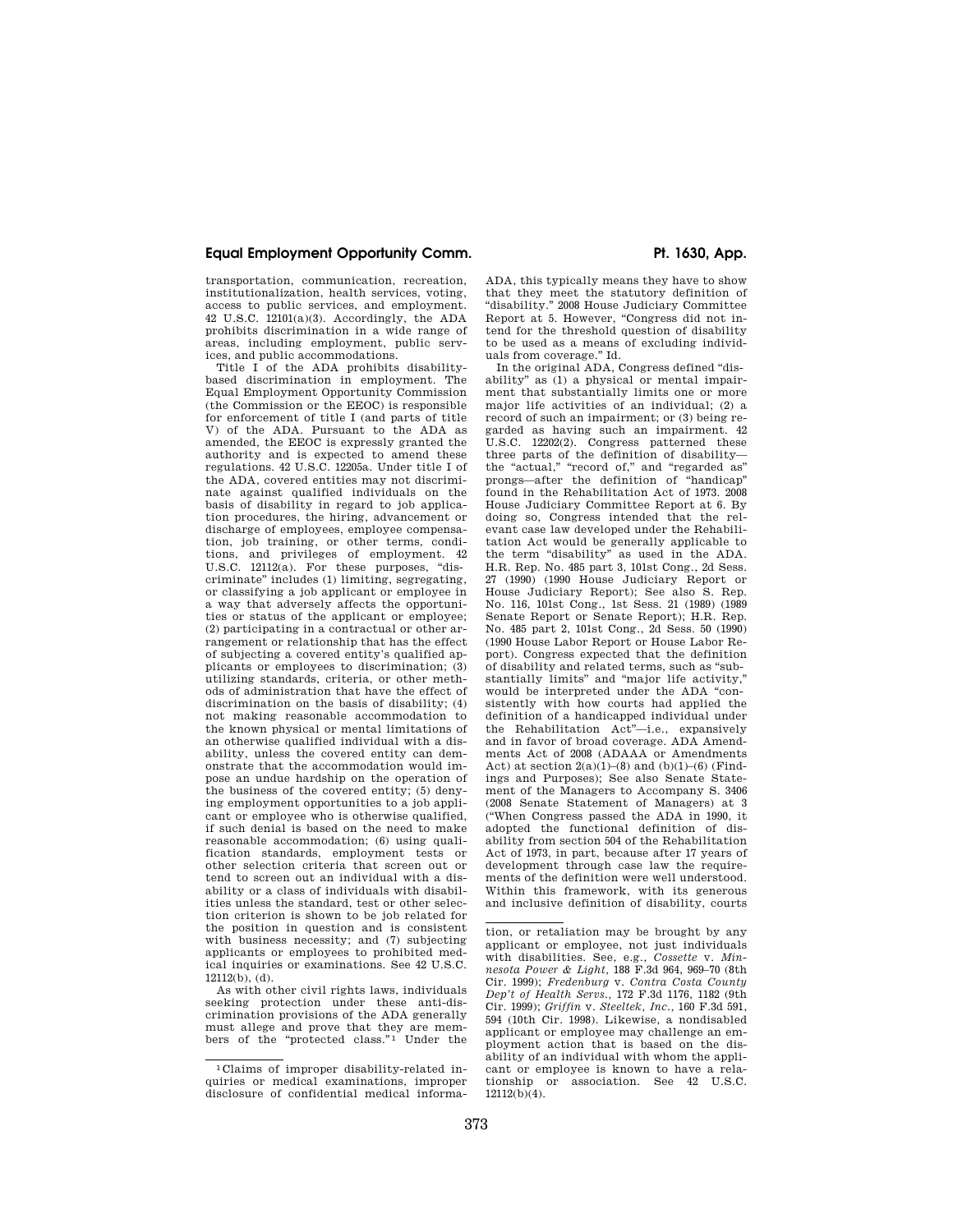transportation, communication, recreation, institutionalization, health services, voting, access to public services, and employment. 42 U.S.C. 12101(a)(3). Accordingly, the ADA prohibits discrimination in a wide range of areas, including employment, public services, and public accommodations.

Title I of the ADA prohibits disabilitybased discrimination in employment. The Equal Employment Opportunity Commission (the Commission or the EEOC) is responsible for enforcement of title I (and parts of title V) of the ADA. Pursuant to the ADA as amended, the EEOC is expressly granted the authority and is expected to amend these regulations. 42 U.S.C. 12205a. Under title I of the ADA, covered entities may not discriminate against qualified individuals on the basis of disability in regard to job application procedures, the hiring, advancement or discharge of employees, employee compensation, job training, or other terms, conditions, and privileges of employment. 42 U.S.C. 12112(a). For these purposes, "discriminate'' includes (1) limiting, segregating, or classifying a job applicant or employee in a way that adversely affects the opportunities or status of the applicant or employee; (2) participating in a contractual or other arrangement or relationship that has the effect of subjecting a covered entity's qualified applicants or employees to discrimination; (3) utilizing standards, criteria, or other methods of administration that have the effect of discrimination on the basis of disability; (4) not making reasonable accommodation to the known physical or mental limitations of an otherwise qualified individual with a disability, unless the covered entity can demonstrate that the accommodation would impose an undue hardship on the operation of the business of the covered entity; (5) denying employment opportunities to a job applicant or employee who is otherwise qualified, if such denial is based on the need to make reasonable accommodation; (6) using qualification standards, employment tests or other selection criteria that screen out or tend to screen out an individual with a disability or a class of individuals with disabilities unless the standard, test or other selection criterion is shown to be job related for the position in question and is consistent with business necessity; and (7) subjecting applicants or employees to prohibited medical inquiries or examinations. See 42 U.S.C. 12112(b), (d).

As with other civil rights laws, individuals seeking protection under these anti-discrimination provisions of the ADA generally must allege and prove that they are members of the "protected class."<sup>1</sup> Under the

ADA, this typically means they have to show that they meet the statutory definition of ''disability.'' 2008 House Judiciary Committee Report at 5. However, "Congress did not intend for the threshold question of disability to be used as a means of excluding individuals from coverage.'' Id.

In the original ADA, Congress defined ''disability'' as (1) a physical or mental impairment that substantially limits one or more major life activities of an individual; (2) a record of such an impairment; or (3) being regarded as having such an impairment. 42 U.S.C. 12202(2). Congress patterned these three parts of the definition of disability the "actual," "record of," and "regarded as" prongs—after the definition of ''handicap'' found in the Rehabilitation Act of 1973. 2008 House Judiciary Committee Report at 6. By doing so, Congress intended that the relevant case law developed under the Rehabilitation Act would be generally applicable to the term ''disability'' as used in the ADA. H.R. Rep. No. 485 part 3, 101st Cong., 2d Sess. 27 (1990) (1990 House Judiciary Report or House Judiciary Report); See also S. Rep. No. 116, 101st Cong., 1st Sess. 21 (1989) (1989 Senate Report or Senate Report); H.R. Rep. No. 485 part 2, 101st Cong., 2d Sess. 50 (1990) (1990 House Labor Report or House Labor Report). Congress expected that the definition of disability and related terms, such as ''substantially limits'' and ''major life activity,'' would be interpreted under the ADA ''consistently with how courts had applied the definition of a handicapped individual under the Rehabilitation Act<sup>"</sup>—i.e., expansively and in favor of broad coverage. ADA Amendments Act of 2008 (ADAAA or Amendments Act) at section  $2(a)(1)$ – $(8)$  and  $(b)(1)$ – $(6)$  (Findings and Purposes); See also Senate Statement of the Managers to Accompany S. 3406 (2008 Senate Statement of Managers) at 3 (''When Congress passed the ADA in 1990, it adopted the functional definition of disability from section 504 of the Rehabilitation Act of 1973, in part, because after 17 years of development through case law the requirements of the definition were well understood. Within this framework, with its generous and inclusive definition of disability, courts

<sup>1</sup> Claims of improper disability-related inquiries or medical examinations, improper disclosure of confidential medical informa-

tion, or retaliation may be brought by any applicant or employee, not just individuals with disabilities. See, e.g., *Cossette* v. *Minnesota Power & Light,* 188 F.3d 964, 969–70 (8th Cir. 1999); *Fredenburg* v. *Contra Costa County Dep't of Health Servs.,* 172 F.3d 1176, 1182 (9th Cir. 1999); *Griffin* v. *Steeltek, Inc.,* 160 F.3d 591, 594 (10th Cir. 1998). Likewise, a nondisabled applicant or employee may challenge an employment action that is based on the disability of an individual with whom the applicant or employee is known to have a relationship or association. See 42 U.S.C. 12112(b)(4).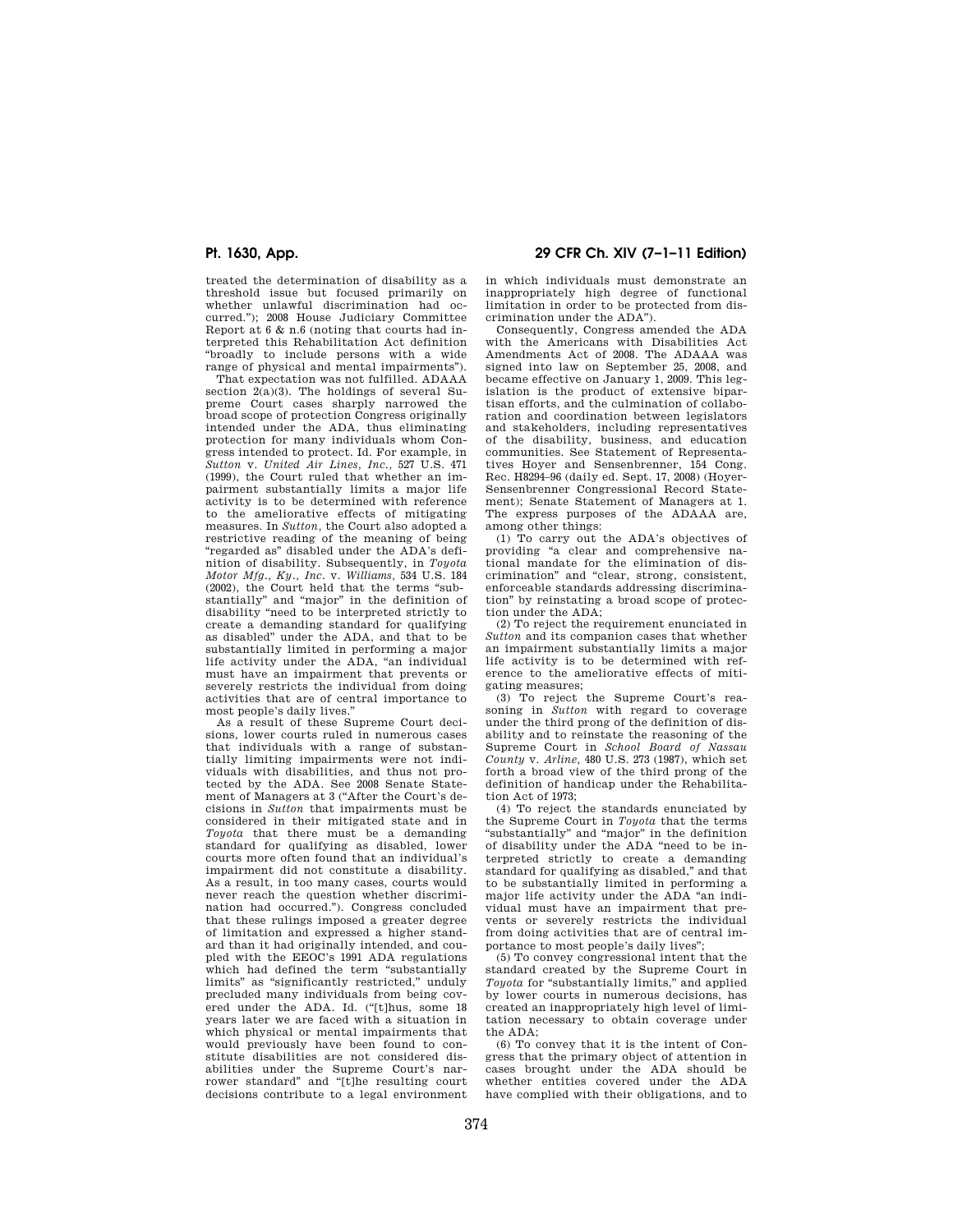treated the determination of disability as a threshold issue but focused primarily on whether unlawful discrimination had occurred.''); 2008 House Judiciary Committee Report at 6 & n.6 (noting that courts had interpreted this Rehabilitation Act definition ''broadly to include persons with a wide range of physical and mental impairments'').

That expectation was not fulfilled. ADAAA section 2(a)(3). The holdings of several Supreme Court cases sharply narrowed the broad scope of protection Congress originally intended under the ADA, thus eliminating protection for many individuals whom Congress intended to protect. Id. For example, in *Sutton* v. *United Air Lines, Inc.,* 527 U.S. 471 (1999), the Court ruled that whether an impairment substantially limits a major life activity is to be determined with reference to the ameliorative effects of mitigating measures. In *Sutton,* the Court also adopted a restrictive reading of the meaning of being "regarded as" disabled under the ADA's definition of disability. Subsequently, in *Toyota Motor Mfg., Ky., Inc.* v. *Williams,* 534 U.S. 184 (2002), the Court held that the terms ''substantially'' and ''major'' in the definition of disability ''need to be interpreted strictly to create a demanding standard for qualifying as disabled'' under the ADA, and that to be substantially limited in performing a major life activity under the ADA, "an individual must have an impairment that prevents or severely restricts the individual from doing activities that are of central importance to most people's daily lives.''

As a result of these Supreme Court decisions, lower courts ruled in numerous cases that individuals with a range of substantially limiting impairments were not individuals with disabilities, and thus not protected by the ADA. See 2008 Senate Statement of Managers at 3 ("After the Court's decisions in *Sutton* that impairments must be considered in their mitigated state and in *Toyota* that there must be a demanding standard for qualifying as disabled, lower courts more often found that an individual's impairment did not constitute a disability. As a result, in too many cases, courts would never reach the question whether discrimination had occurred.''). Congress concluded that these rulings imposed a greater degree of limitation and expressed a higher standard than it had originally intended, and coupled with the EEOC's 1991 ADA regulations which had defined the term "substantially limits" as "significantly restricted," unduly precluded many individuals from being covered under the ADA. Id. ("[t]hus, some 18 years later we are faced with a situation in which physical or mental impairments that would previously have been found to constitute disabilities are not considered disabilities under the Supreme Court's narrower standard'' and ''[t]he resulting court decisions contribute to a legal environment

# **Pt. 1630, App. 29 CFR Ch. XIV (7–1–11 Edition)**

in which individuals must demonstrate an inappropriately high degree of functional limitation in order to be protected from discrimination under the ADA'').

Consequently, Congress amended the ADA with the Americans with Disabilities Act Amendments Act of 2008. The ADAAA was signed into law on September 25, 2008, and became effective on January 1, 2009. This legislation is the product of extensive bipartisan efforts, and the culmination of collaboration and coordination between legislators and stakeholders, including representatives of the disability, business, and education communities. See Statement of Representatives Hoyer and Sensenbrenner, 154 Cong. Rec. H8294–96 (daily ed. Sept. 17, 2008) (Hoyer-Sensenbrenner Congressional Record Statement); Senate Statement of Managers at 1. The express purposes of the ADAAA are, among other things:

(1) To carry out the ADA's objectives of providing ''a clear and comprehensive national mandate for the elimination of discrimination'' and ''clear, strong, consistent, enforceable standards addressing discrimination'' by reinstating a broad scope of protection under the ADA;

(2) To reject the requirement enunciated in *Sutton* and its companion cases that whether an impairment substantially limits a major life activity is to be determined with reference to the ameliorative effects of mitigating measures;

(3) To reject the Supreme Court's reasoning in *Sutton* with regard to coverage under the third prong of the definition of disability and to reinstate the reasoning of the Supreme Court in *School Board of Nassau County* v. *Arline,* 480 U.S. 273 (1987), which set forth a broad view of the third prong of the definition of handicap under the Rehabilitation Act of 1973;

(4) To reject the standards enunciated by the Supreme Court in *Toyota* that the terms "substantially" and "major" in the definition of disability under the ADA "need to be interpreted strictly to create a demanding standard for qualifying as disabled,'' and that to be substantially limited in performing a major life activity under the ADA "an individual must have an impairment that prevents or severely restricts the individual from doing activities that are of central importance to most people's daily lives'';

(5) To convey congressional intent that the standard created by the Supreme Court in *Toyota* for ''substantially limits,'' and applied by lower courts in numerous decisions, has created an inappropriately high level of limitation necessary to obtain coverage under the  $ADA$ .

(6) To convey that it is the intent of Congress that the primary object of attention in cases brought under the ADA should be whether entities covered under the ADA have complied with their obligations, and to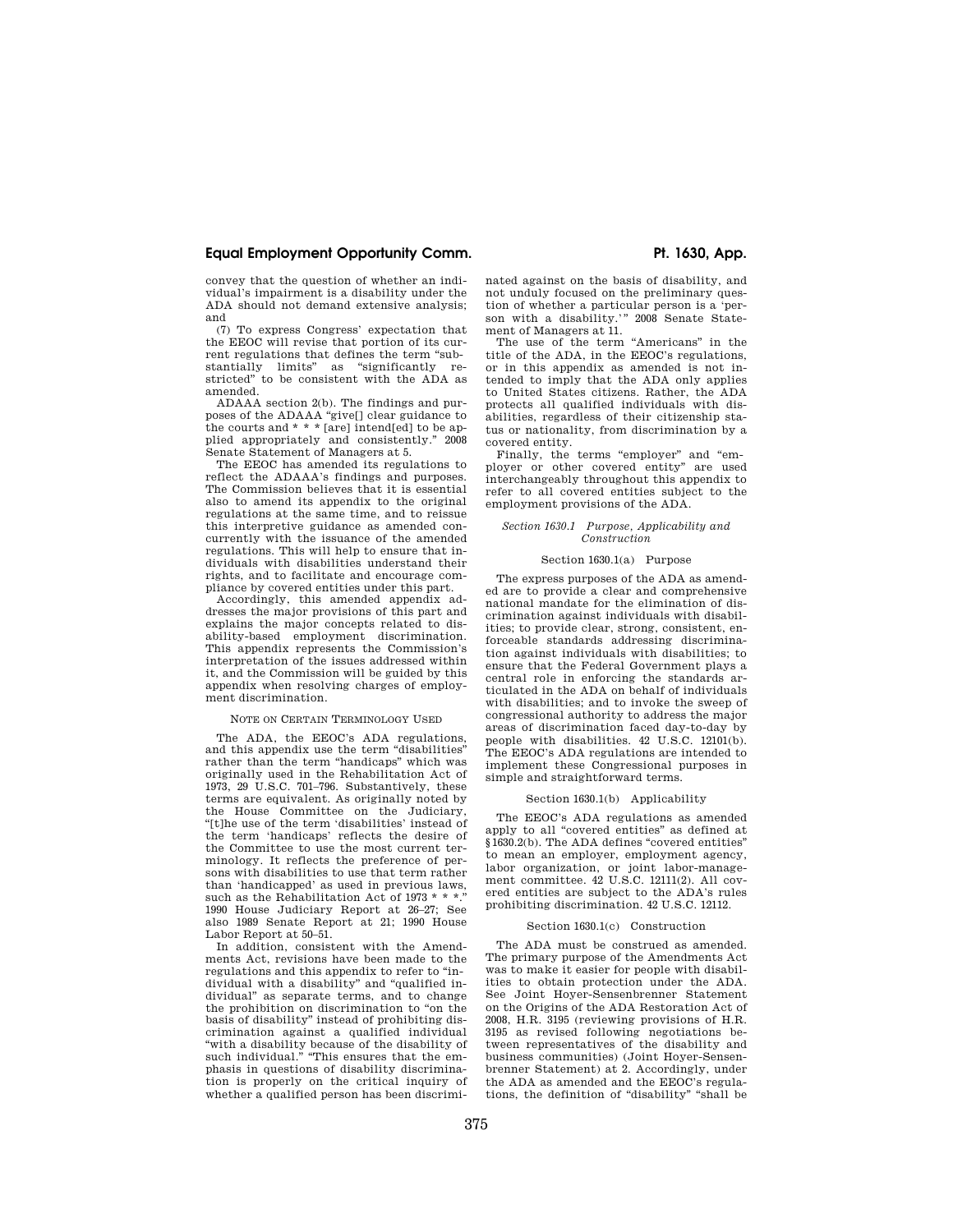convey that the question of whether an individual's impairment is a disability under the ADA should not demand extensive analysis; and

(7) To express Congress' expectation that the EEOC will revise that portion of its current regulations that defines the term "substantially limits" as "significantly restricted'' to be consistent with the ADA as amended.

ADAAA section 2(b). The findings and purposes of the ADAAA "give[] clear guidance to the courts and \* \* \* [are] intend[ed] to be applied appropriately and consistently.'' 2008 Senate Statement of Managers at 5.

The EEOC has amended its regulations to reflect the ADAAA's findings and purposes. The Commission believes that it is essential also to amend its appendix to the original regulations at the same time, and to reissue this interpretive guidance as amended concurrently with the issuance of the amended regulations. This will help to ensure that individuals with disabilities understand their rights, and to facilitate and encourage compliance by covered entities under this part.

Accordingly, this amended appendix addresses the major provisions of this part and explains the major concepts related to disability-based employment discrimination. This appendix represents the Commission's interpretation of the issues addressed within it, and the Commission will be guided by this appendix when resolving charges of employment discrimination.

### NOTE ON CERTAIN TERMINOLOGY USED

The ADA, the EEOC's ADA regulations, and this appendix use the term ''disabilities'' rather than the term ''handicaps'' which was originally used in the Rehabilitation Act of 1973, 29 U.S.C. 701–796. Substantively, these terms are equivalent. As originally noted by the House Committee on the Judiciary, ''[t]he use of the term 'disabilities' instead of the term 'handicaps' reflects the desire of the Committee to use the most current terminology. It reflects the preference of persons with disabilities to use that term rather than 'handicapped' as used in previous laws, such as the Rehabilitation Act of 1973 \* \* \*.' 1990 House Judiciary Report at 26–27; See also 1989 Senate Report at 21; 1990 House Labor Report at 50–51.

In addition, consistent with the Amendments Act, revisions have been made to the regulations and this appendix to refer to "individual with a disability'' and ''qualified individual'' as separate terms, and to change the prohibition on discrimination to ''on the basis of disability'' instead of prohibiting discrimination against a qualified individual ''with a disability because of the disability of such individual.'' ''This ensures that the emphasis in questions of disability discrimination is properly on the critical inquiry of whether a qualified person has been discrimi-

nated against on the basis of disability, and not unduly focused on the preliminary question of whether a particular person is a 'person with a disability.''' 2008 Senate Statement of Managers at 11.

The use of the term ''Americans'' in the title of the ADA, in the EEOC's regulations, or in this appendix as amended is not intended to imply that the ADA only applies to United States citizens. Rather, the ADA protects all qualified individuals with disabilities, regardless of their citizenship status or nationality, from discrimination by a covered entity.

Finally, the terms "employer" and "employer or other covered entity'' are used interchangeably throughout this appendix to refer to all covered entities subject to the employment provisions of the ADA.

#### *Section 1630.1 Purpose, Applicability and Construction*

#### Section 1630.1(a) Purpose

The express purposes of the ADA as amended are to provide a clear and comprehensive national mandate for the elimination of discrimination against individuals with disabilities; to provide clear, strong, consistent, enforceable standards addressing discrimination against individuals with disabilities; to ensure that the Federal Government plays a central role in enforcing the standards articulated in the ADA on behalf of individuals with disabilities; and to invoke the sweep of congressional authority to address the major areas of discrimination faced day-to-day by people with disabilities. 42 U.S.C. 12101(b). The EEOC's ADA regulations are intended to implement these Congressional purposes in simple and straightforward terms.

#### Section 1630.1(b) Applicability

The EEOC's ADA regulations as amended apply to all "covered entities" as defined at §1630.2(b). The ADA defines "covered entities" to mean an employer, employment agency, labor organization, or joint labor-management committee. 42 U.S.C. 12111(2). All covered entities are subject to the ADA's rules prohibiting discrimination. 42 U.S.C. 12112.

#### Section 1630.1(c) Construction

The ADA must be construed as amended. The primary purpose of the Amendments Act was to make it easier for people with disabilities to obtain protection under the ADA. See Joint Hoyer-Sensenbrenner Statement on the Origins of the ADA Restoration Act of 2008, H.R. 3195 (reviewing provisions of H.R. 3195 as revised following negotiations between representatives of the disability and business communities) (Joint Hoyer-Sensenbrenner Statement) at 2. Accordingly, under the ADA as amended and the EEOC's regulations, the definition of ''disability'' ''shall be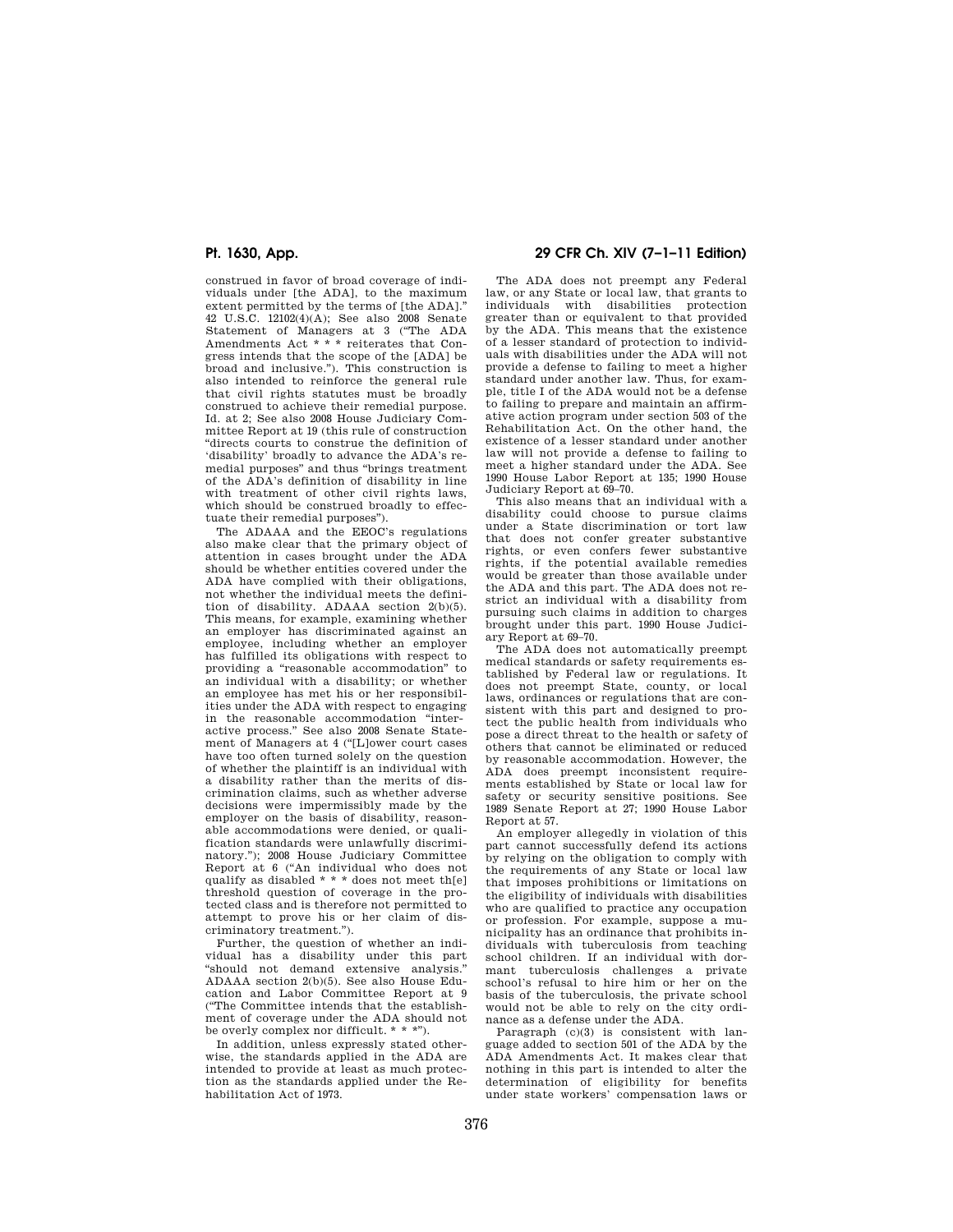construed in favor of broad coverage of individuals under [the ADA], to the maximum extent permitted by the terms of [the ADA].'' 42 U.S.C. 12102(4)(A); See also 2008 Senate Statement of Managers at 3 (''The ADA Amendments Act \* \* \* reiterates that Congress intends that the scope of the [ADA] be broad and inclusive.''). This construction is also intended to reinforce the general rule that civil rights statutes must be broadly construed to achieve their remedial purpose. Id. at 2; See also 2008 House Judiciary Committee Report at 19 (this rule of construction ''directs courts to construe the definition of 'disability' broadly to advance the ADA's remedial purposes'' and thus ''brings treatment of the ADA's definition of disability in line with treatment of other civil rights laws, which should be construed broadly to effectuate their remedial purposes'').

The ADAAA and the EEOC's regulations also make clear that the primary object of attention in cases brought under the ADA should be whether entities covered under the ADA have complied with their obligations, not whether the individual meets the definition of disability. ADAAA section 2(b)(5). This means, for example, examining whether an employer has discriminated against an employee, including whether an employer has fulfilled its obligations with respect to providing a "reasonable accommodation" to an individual with a disability; or whether an employee has met his or her responsibilities under the ADA with respect to engaging in the reasonable accommodation ''interactive process.'' See also 2008 Senate Statement of Managers at 4 (''[L]ower court cases have too often turned solely on the question of whether the plaintiff is an individual with a disability rather than the merits of discrimination claims, such as whether adverse decisions were impermissibly made by the employer on the basis of disability, reasonable accommodations were denied, or qualification standards were unlawfully discriminatory.''); 2008 House Judiciary Committee Report at 6 (''An individual who does not qualify as disabled \* \* \* does not meet th[e] threshold question of coverage in the protected class and is therefore not permitted to attempt to prove his or her claim of discriminatory treatment.'').

Further, the question of whether an individual has a disability under this part ''should not demand extensive analysis.'' ADAAA section 2(b)(5). See also House Education and Labor Committee Report at 9 (''The Committee intends that the establishment of coverage under the ADA should not be overly complex nor difficult. \* \* \*'').

In addition, unless expressly stated otherwise, the standards applied in the ADA are intended to provide at least as much protection as the standards applied under the Rehabilitation Act of 1973.

# **Pt. 1630, App. 29 CFR Ch. XIV (7–1–11 Edition)**

The ADA does not preempt any Federal law, or any State or local law, that grants to individuals with disabilities protection greater than or equivalent to that provided by the ADA. This means that the existence of a lesser standard of protection to individuals with disabilities under the ADA will not provide a defense to failing to meet a higher standard under another law. Thus, for example, title I of the ADA would not be a defense to failing to prepare and maintain an affirmative action program under section 503 of the Rehabilitation Act. On the other hand, the existence of a lesser standard under another law will not provide a defense to failing to meet a higher standard under the ADA. See 1990 House Labor Report at 135; 1990 House Judiciary Report at 69–70.

This also means that an individual with a disability could choose to pursue claims under a State discrimination or tort law that does not confer greater substantive rights, or even confers fewer substantive rights, if the potential available remedies would be greater than those available under the ADA and this part. The ADA does not restrict an individual with a disability from pursuing such claims in addition to charges brought under this part. 1990 House Judiciary Report at 69–70.

The ADA does not automatically preempt medical standards or safety requirements established by Federal law or regulations. It does not preempt State, county, or local laws, ordinances or regulations that are consistent with this part and designed to protect the public health from individuals who pose a direct threat to the health or safety of others that cannot be eliminated or reduced by reasonable accommodation. However, the ADA does preempt inconsistent requirements established by State or local law for safety or security sensitive positions. See 1989 Senate Report at 27; 1990 House Labor Report at 57.

An employer allegedly in violation of this part cannot successfully defend its actions by relying on the obligation to comply with the requirements of any State or local law that imposes prohibitions or limitations on the eligibility of individuals with disabilities who are qualified to practice any occupation or profession. For example, suppose a municipality has an ordinance that prohibits individuals with tuberculosis from teaching school children. If an individual with dormant tuberculosis challenges a private school's refusal to hire him or her on the basis of the tuberculosis, the private school would not be able to rely on the city ordinance as a defense under the ADA.

Paragraph (c)(3) is consistent with language added to section 501 of the ADA by the ADA Amendments Act. It makes clear that nothing in this part is intended to alter the determination of eligibility for benefits under state workers' compensation laws or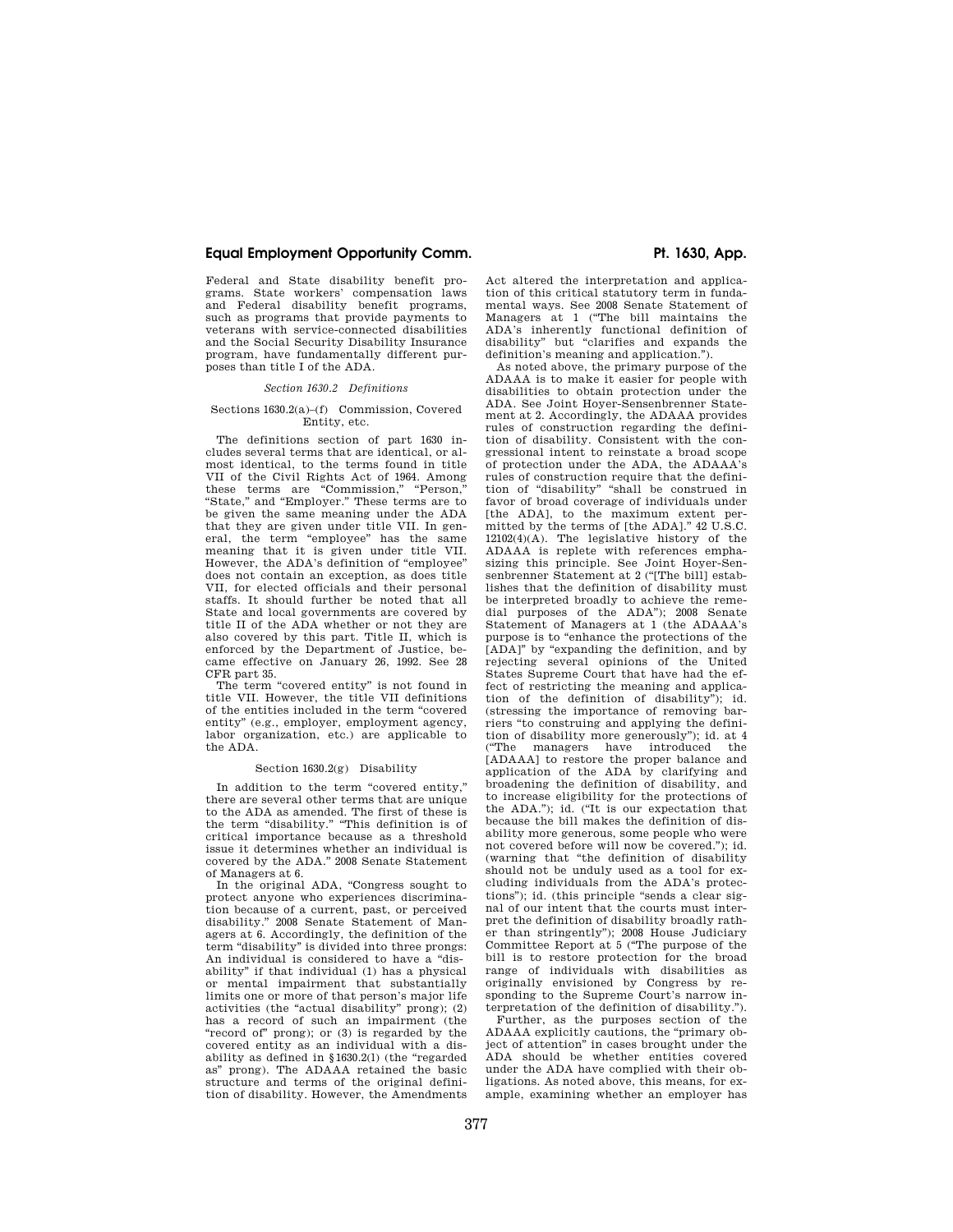Federal and State disability benefit programs. State workers' compensation laws and Federal disability benefit programs, such as programs that provide payments to veterans with service-connected disabilities and the Social Security Disability Insurance program, have fundamentally different purposes than title I of the ADA.

### *Section 1630.2 Definitions*

#### Sections 1630.2(a)–(f) Commission, Covered Entity, etc.

The definitions section of part 1630 includes several terms that are identical, or almost identical, to the terms found in title VII of the Civil Rights Act of 1964. Among these terms are "Commission," "Person," ''State,'' and ''Employer.'' These terms are to be given the same meaning under the ADA that they are given under title VII. In general, the term ''employee'' has the same meaning that it is given under title VII. However, the ADA's definition of ''employee'' does not contain an exception, as does title VII, for elected officials and their personal staffs. It should further be noted that all State and local governments are covered by title II of the ADA whether or not they are also covered by this part. Title II, which is enforced by the Department of Justice, became effective on January 26, 1992. See 28 CFR part 35.

The term "covered entity" is not found in title VII. However, the title VII definitions of the entities included in the term ''covered entity'' (e.g., employer, employment agency, labor organization, etc.) are applicable to the ADA.

## Section 1630.2(g) Disability

In addition to the term "covered entity," there are several other terms that are unique to the ADA as amended. The first of these is the term "disability." "This definition is of critical importance because as a threshold issue it determines whether an individual is covered by the ADA.'' 2008 Senate Statement of Managers at 6.

In the original ADA, "Congress sought to protect anyone who experiences discrimination because of a current, past, or perceived disability.'' 2008 Senate Statement of Managers at 6. Accordingly, the definition of the term "disability" is divided into three prongs: An individual is considered to have a "disability'' if that individual (1) has a physical or mental impairment that substantially limits one or more of that person's major life activities (the "actual disability" prong); (2) has a record of such an impairment (the "record of" prong); or (3) is regarded by the covered entity as an individual with a disability as defined in \$1630.2(1) (the "regarded as'' prong). The ADAAA retained the basic structure and terms of the original definition of disability. However, the Amendments

Act altered the interpretation and application of this critical statutory term in fundamental ways. See 2008 Senate Statement of Managers at 1 (''The bill maintains the ADA's inherently functional definition of disability" but "clarifies and expands the definition's meaning and application.'').

As noted above, the primary purpose of the ADAAA is to make it easier for people with disabilities to obtain protection under the ADA. See Joint Hoyer-Sensenbrenner Statement at 2. Accordingly, the ADAAA provides rules of construction regarding the definition of disability. Consistent with the congressional intent to reinstate a broad scope of protection under the ADA, the ADAAA's rules of construction require that the definition of ''disability'' ''shall be construed in favor of broad coverage of individuals under [the ADA], to the maximum extent permitted by the terms of [the ADA].'' 42 U.S.C. 12102(4)(A). The legislative history of the ADAAA is replete with references emphasizing this principle. See Joint Hoyer-Sensenbrenner Statement at 2 ("[The bill] establishes that the definition of disability must be interpreted broadly to achieve the remedial purposes of the ADA''); 2008 Senate Statement of Managers at 1 (the ADAAA's purpose is to ''enhance the protections of the [ADA]" by "expanding the definition, and by rejecting several opinions of the United States Supreme Court that have had the effect of restricting the meaning and application of the definition of disability''); id. (stressing the importance of removing barriers ''to construing and applying the definition of disability more generously''); id. at 4 (''The managers have introduced the [ADAAA] to restore the proper balance and application of the ADA by clarifying and broadening the definition of disability, and to increase eligibility for the protections of the ADA.''); id. (''It is our expectation that because the bill makes the definition of disability more generous, some people who were not covered before will now be covered.''); id. (warning that ''the definition of disability should not be unduly used as a tool for excluding individuals from the ADA's protections"); id. (this principle "sends a clear signal of our intent that the courts must interpret the definition of disability broadly rather than stringently''); 2008 House Judiciary Committee Report at 5 (''The purpose of the bill is to restore protection for the broad range of individuals with disabilities as originally envisioned by Congress by responding to the Supreme Court's narrow interpretation of the definition of disability.'').

Further, as the purposes section of the ADAAA explicitly cautions, the ''primary object of attention'' in cases brought under the ADA should be whether entities covered under the ADA have complied with their obligations. As noted above, this means, for example, examining whether an employer has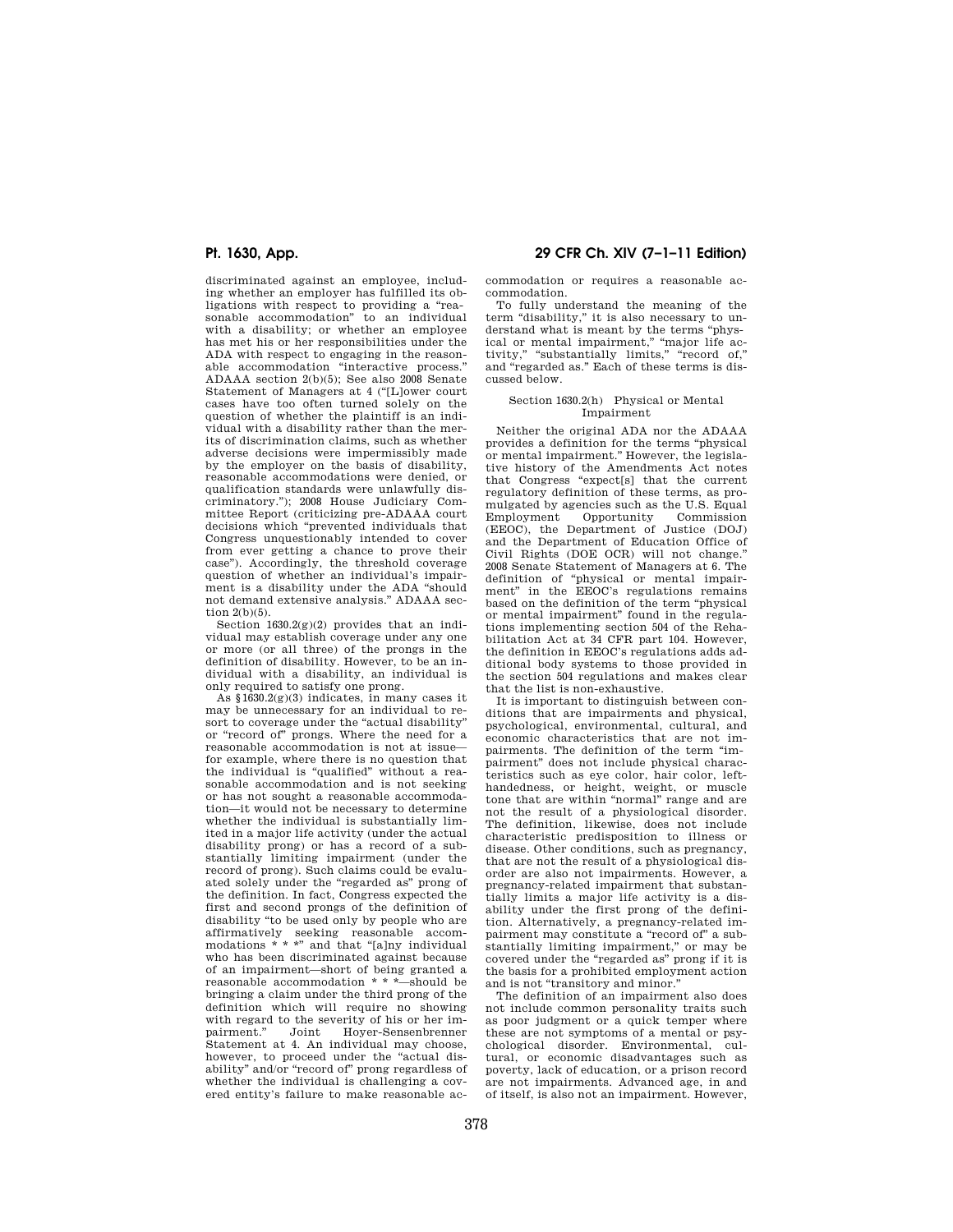discriminated against an employee, including whether an employer has fulfilled its obligations with respect to providing a ''rea-sonable accommodation'' to an individual with a disability; or whether an employee has met his or her responsibilities under the ADA with respect to engaging in the reasonable accommodation ''interactive process.'' ADAAA section 2(b)(5); See also 2008 Senate Statement of Managers at 4 (''[L]ower court cases have too often turned solely on the question of whether the plaintiff is an individual with a disability rather than the merits of discrimination claims, such as whether adverse decisions were impermissibly made by the employer on the basis of disability, reasonable accommodations were denied, or qualification standards were unlawfully discriminatory.''); 2008 House Judiciary Committee Report (criticizing pre-ADAAA court decisions which ''prevented individuals that Congress unquestionably intended to cover from ever getting a chance to prove their case''). Accordingly, the threshold coverage question of whether an individual's impairment is a disability under the ADA "should not demand extensive analysis.'' ADAAA section 2(b)(5).

Section 1630.2(g)(2) provides that an individual may establish coverage under any one or more (or all three) of the prongs in the definition of disability. However, to be an individual with a disability, an individual is only required to satisfy one prong.

As §1630.2(g)(3) indicates, in many cases it may be unnecessary for an individual to resort to coverage under the "actual disability" or "record of" prongs. Where the need for a reasonable accommodation is not at issue for example, where there is no question that the individual is ''qualified'' without a reasonable accommodation and is not seeking or has not sought a reasonable accommodation—it would not be necessary to determine whether the individual is substantially limited in a major life activity (under the actual disability prong) or has a record of a substantially limiting impairment (under the record of prong). Such claims could be evaluated solely under the "regarded as" prong of the definition. In fact, Congress expected the first and second prongs of the definition of disability ''to be used only by people who are affirmatively seeking reasonable accommodations \* \* \*'' and that ''[a]ny individual who has been discriminated against because of an impairment—short of being granted a reasonable accommodation \* \* \*—should be bringing a claim under the third prong of the definition which will require no showing with regard to the severity of his or her im-<br>pairment." Joint Hover-Sensenbrenner Joint. Hoyer-Sensenbrenner Statement at 4. An individual may choose, however, to proceed under the "actual disability" and/or "record of" prong regardless of whether the individual is challenging a covered entity's failure to make reasonable ac-

# **Pt. 1630, App. 29 CFR Ch. XIV (7–1–11 Edition)**

commodation or requires a reasonable accommodation.

To fully understand the meaning of the term "disability," it is also necessary to understand what is meant by the terms "physical or mental impairment," "major life activity." "substantially limits," "record of," "substantially limits," "record of," and "regarded as." Each of these terms is discussed below.

### Section 1630.2(h) Physical or Mental Impairment

Neither the original ADA nor the ADAAA provides a definition for the terms ''physical or mental impairment.'' However, the legislative history of the Amendments Act notes that Congress "expect[s] that the current regulatory definition of these terms, as promulgated by agencies such as the U.S. Equal Employment Opportunity Commission (EEOC), the Department of Justice (DOJ) and the Department of Education Office of Civil Rights (DOE OCR) will not change.'' 2008 Senate Statement of Managers at 6. The definition of ''physical or mental impairment'' in the EEOC's regulations remains based on the definition of the term ''physical or mental impairment'' found in the regulations implementing section 504 of the Rehabilitation Act at 34 CFR part 104. However, the definition in EEOC's regulations adds additional body systems to those provided in the section 504 regulations and makes clear that the list is non-exhaustive.

It is important to distinguish between conditions that are impairments and physical, psychological, environmental, cultural, and economic characteristics that are not impairments. The definition of the term ''impairment'' does not include physical characteristics such as eye color, hair color, lefthandedness, or height, weight, or muscle tone that are within "normal" range and are not the result of a physiological disorder. The definition, likewise, does not include characteristic predisposition to illness or disease. Other conditions, such as pregnancy, that are not the result of a physiological disorder are also not impairments. However, a pregnancy-related impairment that substantially limits a major life activity is a disability under the first prong of the definition. Alternatively, a pregnancy-related impairment may constitute a "record of" a substantially limiting impairment,'' or may be covered under the "regarded as" prong if it is the basis for a prohibited employment action and is not "transitory and minor."

The definition of an impairment also does not include common personality traits such as poor judgment or a quick temper where these are not symptoms of a mental or psychological disorder. Environmental, cultural, or economic disadvantages such as poverty, lack of education, or a prison record are not impairments. Advanced age, in and of itself, is also not an impairment. However,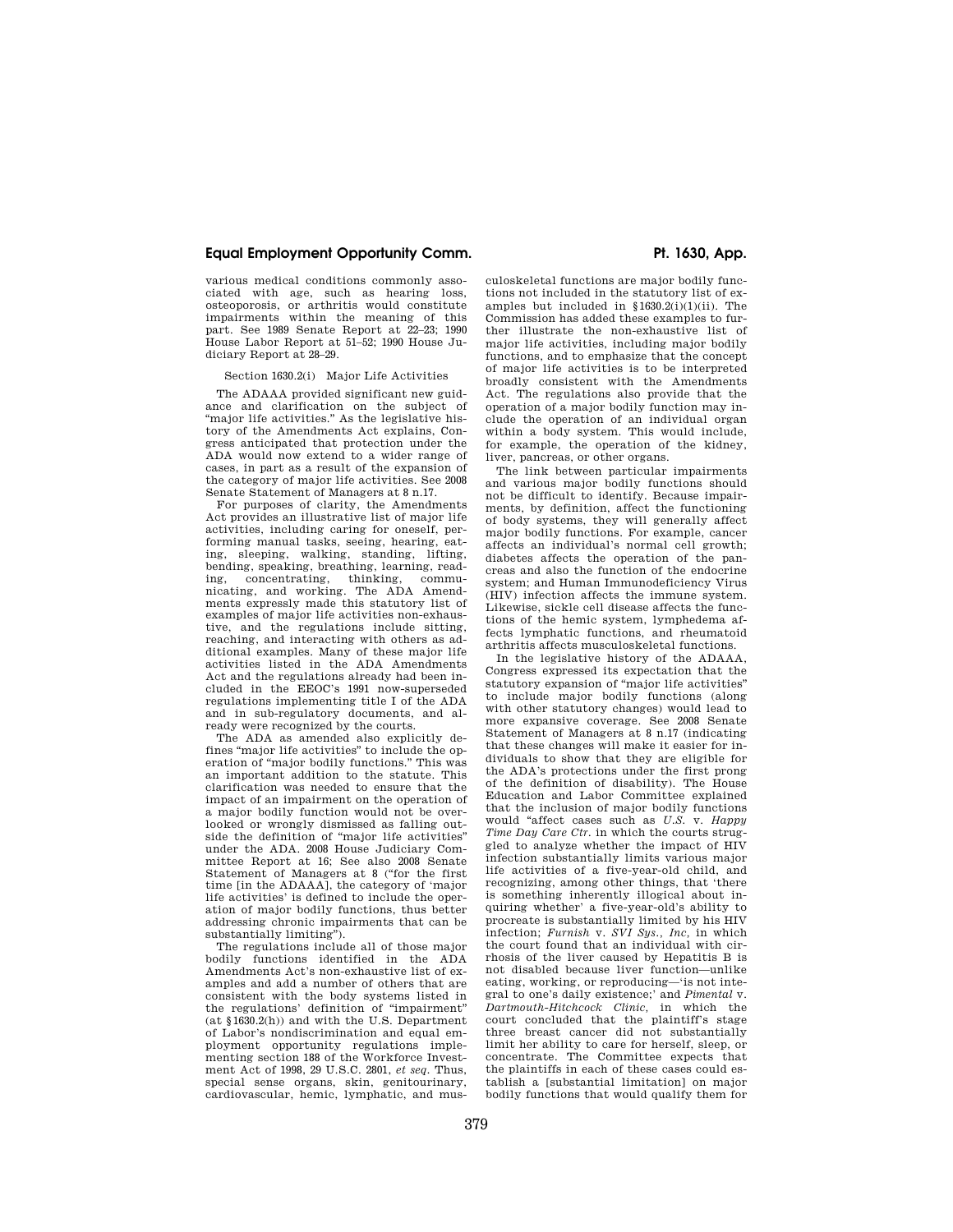various medical conditions commonly associated with age, such as hearing loss, osteoporosis, or arthritis would constitute impairments within the meaning of this part. See 1989 Senate Report at 22–23; 1990 House Labor Report at 51–52; 1990 House Judiciary Report at 28–29.

### Section 1630.2(i) Major Life Activities

The ADAAA provided significant new guidance and clarification on the subject of "major life activities." As the legislative history of the Amendments Act explains, Congress anticipated that protection under the ADA would now extend to a wider range of cases, in part as a result of the expansion of the category of major life activities. See 2008 Senate Statement of Managers at 8 n.17.

For purposes of clarity, the Amendments Act provides an illustrative list of major life activities, including caring for oneself, performing manual tasks, seeing, hearing, eating, sleeping, walking, standing, lifting, bending, speaking, breathing, learning, reading, concentrating, thinking, communicating, and working. The ADA Amendments expressly made this statutory list of examples of major life activities non-exhaustive, and the regulations include sitting, reaching, and interacting with others as additional examples. Many of these major life activities listed in the ADA Amendments Act and the regulations already had been included in the EEOC's 1991 now-superseded regulations implementing title I of the ADA and in sub-regulatory documents, and already were recognized by the courts.

The ADA as amended also explicitly defines "major life activities" to include the operation of "major bodily functions." This was an important addition to the statute. This clarification was needed to ensure that the impact of an impairment on the operation of a major bodily function would not be overlooked or wrongly dismissed as falling outside the definition of ''major life activities'' under the ADA. 2008 House Judiciary Committee Report at 16; See also 2008 Senate Statement of Managers at 8 ("for the first time [in the ADAAA], the category of 'major life activities' is defined to include the operation of major bodily functions, thus better addressing chronic impairments that can be substantially limiting'').

The regulations include all of those major bodily functions identified in the ADA Amendments Act's non-exhaustive list of examples and add a number of others that are consistent with the body systems listed in the regulations' definition of ''impairment'' (at §1630.2(h)) and with the U.S. Department of Labor's nondiscrimination and equal employment opportunity regulations implementing section 188 of the Workforce Investment Act of 1998, 29 U.S.C. 2801, *et seq.* Thus, special sense organs, skin, genitourinary, cardiovascular, hemic, lymphatic, and musculoskeletal functions are major bodily functions not included in the statutory list of examples but included in §1630.2(i)(1)(ii). The Commission has added these examples to further illustrate the non-exhaustive list of major life activities, including major bodily functions, and to emphasize that the concept of major life activities is to be interpreted broadly consistent with the Amendments Act. The regulations also provide that the operation of a major bodily function may include the operation of an individual organ within a body system. This would include,

liver, pancreas, or other organs. The link between particular impairments and various major bodily functions should not be difficult to identify. Because impairments, by definition, affect the functioning of body systems, they will generally affect major bodily functions. For example, cancer affects an individual's normal cell growth; diabetes affects the operation of the pancreas and also the function of the endocrine system; and Human Immunodeficiency Virus (HIV) infection affects the immune system. Likewise, sickle cell disease affects the functions of the hemic system, lymphedema affects lymphatic functions, and rheumatoid arthritis affects musculoskeletal functions.

for example, the operation of the kidney,

In the legislative history of the ADAAA, Congress expressed its expectation that the statutory expansion of ''major life activities'' to include major bodily functions (along with other statutory changes) would lead to more expansive coverage. See 2008 Senate Statement of Managers at 8 n.17 (indicating that these changes will make it easier for individuals to show that they are eligible for the ADA's protections under the first prong of the definition of disability). The House Education and Labor Committee explained that the inclusion of major bodily functions would ''affect cases such as *U.S.* v. *Happy Time Day Care Ctr.* in which the courts struggled to analyze whether the impact of HIV infection substantially limits various major life activities of a five-year-old child, and recognizing, among other things, that 'there is something inherently illogical about inquiring whether' a five-year-old's ability to procreate is substantially limited by his HIV infection; *Furnish* v. *SVI Sys., Inc,* in which the court found that an individual with cirrhosis of the liver caused by Hepatitis B is not disabled because liver function—unlike eating, working, or reproducing—'is not integral to one's daily existence;' and *Pimental* v. *Dartmouth-Hitchcock Clinic,* in which the court concluded that the plaintiff's stage three breast cancer did not substantially limit her ability to care for herself, sleep, or concentrate. The Committee expects that the plaintiffs in each of these cases could establish a [substantial limitation] on major bodily functions that would qualify them for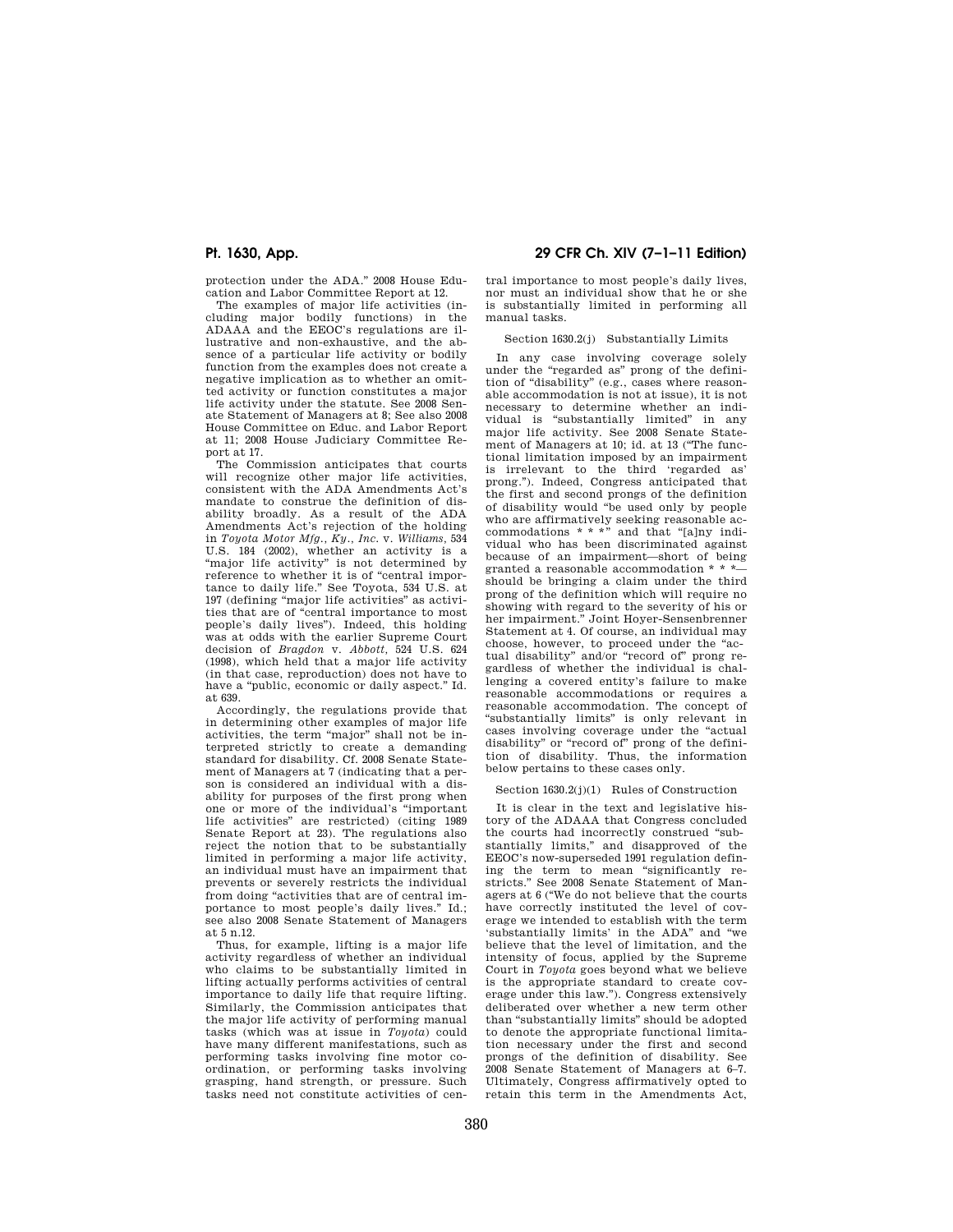protection under the ADA.'' 2008 House Education and Labor Committee Report at 12.

The examples of major life activities (including major bodily functions) in the ADAAA and the EEOC's regulations are illustrative and non-exhaustive, and the absence of a particular life activity or bodily function from the examples does not create a negative implication as to whether an omitted activity or function constitutes a major life activity under the statute. See 2008 Senate Statement of Managers at 8; See also 2008 House Committee on Educ. and Labor Report at 11; 2008 House Judiciary Committee Report at 17.

The Commission anticipates that courts will recognize other major life activities, consistent with the ADA Amendments Act's mandate to construe the definition of disability broadly. As a result of the ADA Amendments Act's rejection of the holding in *Toyota Motor Mfg., Ky., Inc.* v. *Williams,* 534 U.S. 184 (2002), whether an activity is a ''major life activity'' is not determined by reference to whether it is of "central importance to daily life.'' See Toyota, 534 U.S. at 197 (defining ''major life activities'' as activities that are of ''central importance to most people's daily lives''). Indeed, this holding was at odds with the earlier Supreme Court decision of *Bragdon* v. *Abbott,* 524 U.S. 624 (1998), which held that a major life activity (in that case, reproduction) does not have to have a ''public, economic or daily aspect.'' Id. at 639.

Accordingly, the regulations provide that in determining other examples of major life activities, the term "major" shall not be interpreted strictly to create a demanding standard for disability. Cf. 2008 Senate Statement of Managers at 7 (indicating that a person is considered an individual with a disability for purposes of the first prong when one or more of the individual's ''important life activities'' are restricted) (citing 1989 Senate Report at 23). The regulations also reject the notion that to be substantially limited in performing a major life activity, an individual must have an impairment that prevents or severely restricts the individual from doing "activities that are of central importance to most people's daily lives.'' Id.; see also 2008 Senate Statement of Managers at 5 n.12.

Thus, for example, lifting is a major life activity regardless of whether an individual who claims to be substantially limited in lifting actually performs activities of central importance to daily life that require lifting. Similarly, the Commission anticipates that the major life activity of performing manual tasks (which was at issue in *Toyota*) could have many different manifestations, such as performing tasks involving fine motor coordination, or performing tasks involving grasping, hand strength, or pressure. Such tasks need not constitute activities of cen-

# **Pt. 1630, App. 29 CFR Ch. XIV (7–1–11 Edition)**

tral importance to most people's daily lives, nor must an individual show that he or she is substantially limited in performing all manual tasks.

### Section 1630.2(j) Substantially Limits

In any case involving coverage solely under the "regarded as" prong of the definition of "disability" (e.g., cases where reasonable accommodation is not at issue), it is not necessary to determine whether an individual is ''substantially limited'' in any major life activity. See 2008 Senate Statement of Managers at 10; id. at 13 ("The functional limitation imposed by an impairment is irrelevant to the third 'regarded as' prong.''). Indeed, Congress anticipated that the first and second prongs of the definition of disability would ''be used only by people who are affirmatively seeking reasonable ac-commodations \* \* \* '' and that ''[a]ny individual who has been discriminated against because of an impairment—short of being granted a reasonable accommodation \* \* should be bringing a claim under the third prong of the definition which will require no showing with regard to the severity of his or her impairment.'' Joint Hoyer-Sensenbrenner Statement at 4. Of course, an individual may choose, however, to proceed under the "actual disability" and/or "record of" prong regardless of whether the individual is challenging a covered entity's failure to make reasonable accommodations or requires a reasonable accommodation. The concept of "substantially limits" is only relevant in cases involving coverage under the ''actual disability" or "record of" prong of the definition of disability. Thus, the information below pertains to these cases only.

#### Section 1630.2(j)(1) Rules of Construction

It is clear in the text and legislative history of the ADAAA that Congress concluded the courts had incorrectly construed ''substantially limits," and disapproved of the EEOC's now-superseded 1991 regulation defining the term to mean "significantly restricts.'' See 2008 Senate Statement of Managers at 6 (''We do not believe that the courts have correctly instituted the level of coverage we intended to establish with the term 'substantially limits' in the ADA'' and ''we believe that the level of limitation, and the intensity of focus, applied by the Supreme Court in *Toyota* goes beyond what we believe is the appropriate standard to create coverage under this law.''). Congress extensively deliberated over whether a new term other than ''substantially limits'' should be adopted to denote the appropriate functional limitation necessary under the first and second prongs of the definition of disability. See 2008 Senate Statement of Managers at 6–7. Ultimately, Congress affirmatively opted to retain this term in the Amendments Act,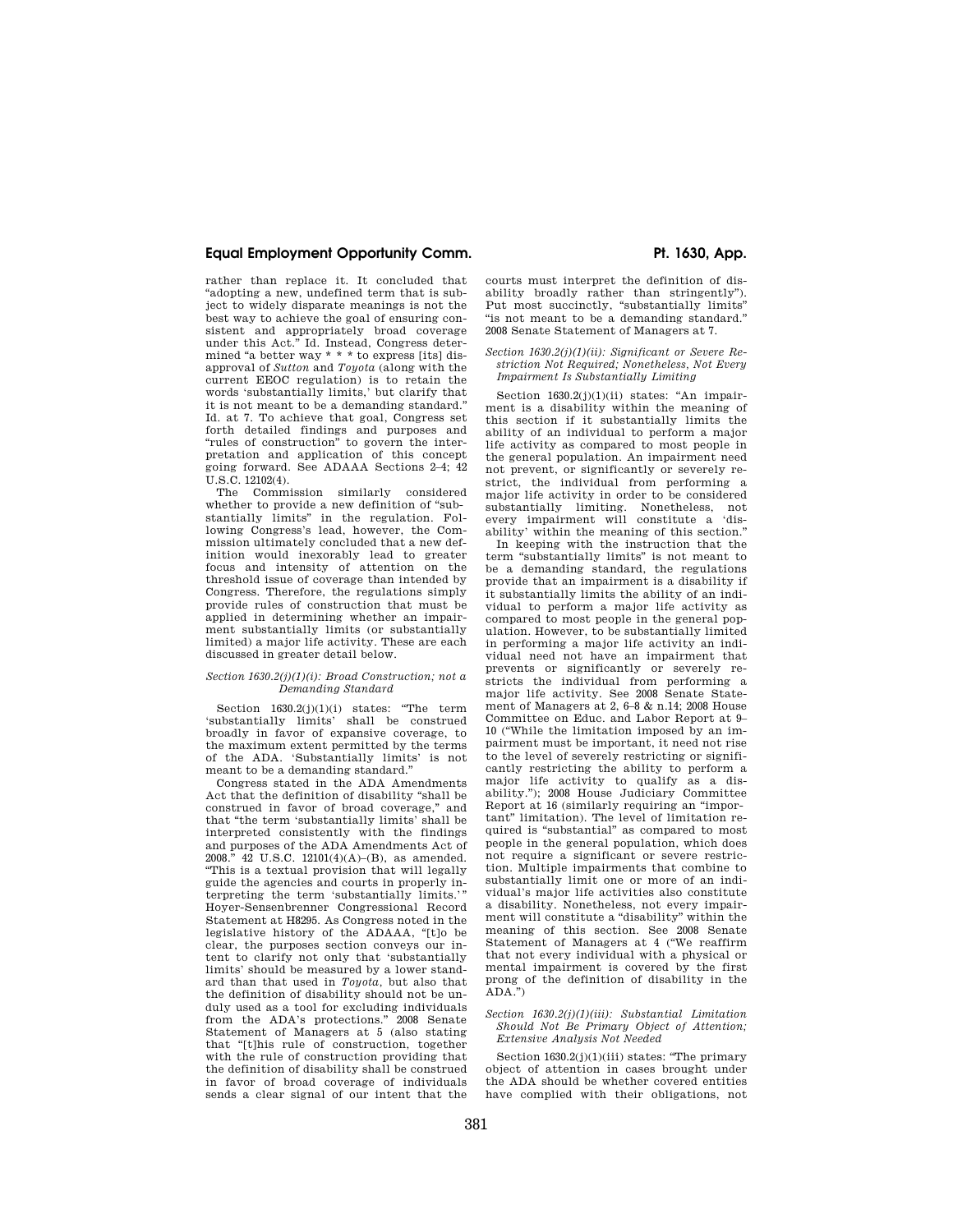rather than replace it. It concluded that ''adopting a new, undefined term that is subject to widely disparate meanings is not the best way to achieve the goal of ensuring consistent and appropriately broad coverage under this Act.'' Id. Instead, Congress determined "a better way  $* * *$  to express [its] disapproval of *Sutton* and *Toyota* (along with the current EEOC regulation) is to retain the words 'substantially limits,' but clarify that it is not meant to be a demanding standard.'' Id. at 7. To achieve that goal, Congress set forth detailed findings and purposes and "rules of construction" to govern the interpretation and application of this concept going forward. See ADAAA Sections 2–4; 42 U.S.C. 12102(4).

The Commission similarly considered whether to provide a new definition of "substantially limits'' in the regulation. Following Congress's lead, however, the Commission ultimately concluded that a new definition would inexorably lead to greater focus and intensity of attention on the threshold issue of coverage than intended by Congress. Therefore, the regulations simply provide rules of construction that must be .<br>applied in determining whether an impairment substantially limits (or substantially limited) a major life activity. These are each discussed in greater detail below.

#### *Section 1630.2(j)(1)(i): Broad Construction; not a Demanding Standard*

Section  $1630.2(j)(1)(i)$  states: "The term 'substantially limits' shall be construed broadly in favor of expansive coverage, to the maximum extent permitted by the terms of the ADA. 'Substantially limits' is not meant to be a demanding standard.''

Congress stated in the ADA Amendments Act that the definition of disability ''shall be construed in favor of broad coverage,'' and that ''the term 'substantially limits' shall be interpreted consistently with the findings and purposes of the ADA Amendments Act of 2008.'' 42 U.S.C. 12101(4)(A)–(B), as amended. ''This is a textual provision that will legally guide the agencies and courts in properly interpreting the term 'substantially limits.''' Hoyer-Sensenbrenner Congressional Record Statement at H8295. As Congress noted in the legislative history of the ADAAA, ''[t]o be clear, the purposes section conveys our intent to clarify not only that 'substantially limits' should be measured by a lower standard than that used in *Toyota,* but also that the definition of disability should not be unduly used as a tool for excluding individuals from the ADA's protections.'' 2008 Senate Statement of Managers at 5 (also stating that "[t]his rule of construction, together with the rule of construction providing that the definition of disability shall be construed in favor of broad coverage of individuals sends a clear signal of our intent that the

courts must interpret the definition of dis-

ability broadly rather than stringently''). Put most succinctly, "substantially limits" ''is not meant to be a demanding standard.'' 2008 Senate Statement of Managers at 7.

#### *Section 1630.2(j)(1)(ii): Significant or Severe Restriction Not Required; Nonetheless, Not Every Impairment Is Substantially Limiting*

Section  $1630.2(j)(1)(ii)$  states: "An impairment is a disability within the meaning of this section if it substantially limits the ability of an individual to perform a major life activity as compared to most people in the general population. An impairment need not prevent, or significantly or severely restrict, the individual from performing a major life activity in order to be considered substantially limiting. Nonetheless, not every impairment will constitute a 'disability' within the meaning of this section.''

In keeping with the instruction that the term "substantially limits" is not meant to be a demanding standard, the regulations provide that an impairment is a disability if it substantially limits the ability of an individual to perform a major life activity as compared to most people in the general population. However, to be substantially limited in performing a major life activity an individual need not have an impairment that prevents or significantly or severely restricts the individual from performing a major life activity. See 2008 Senate Statement of Managers at 2, 6–8 & n.14; 2008 House Committee on Educ. and Labor Report at 9– 10 (''While the limitation imposed by an impairment must be important, it need not rise to the level of severely restricting or significantly restricting the ability to perform a major life activity to qualify as a disability.''); 2008 House Judiciary Committee Report at 16 (similarly requiring an ''important'' limitation). The level of limitation required is "substantial" as compared to most people in the general population, which does not require a significant or severe restriction. Multiple impairments that combine to substantially limit one or more of an individual's major life activities also constitute a disability. Nonetheless, not every impairment will constitute a ''disability'' within the meaning of this section. See 2008 Senate Statement of Managers at 4 (''We reaffirm that not every individual with a physical or mental impairment is covered by the first prong of the definition of disability in the ADA.'')

#### *Section 1630.2(j)(1)(iii): Substantial Limitation Should Not Be Primary Object of Attention; Extensive Analysis Not Needed*

Section 1630.2(j)(1)(jij) states: "The primary object of attention in cases brought under the ADA should be whether covered entities have complied with their obligations, not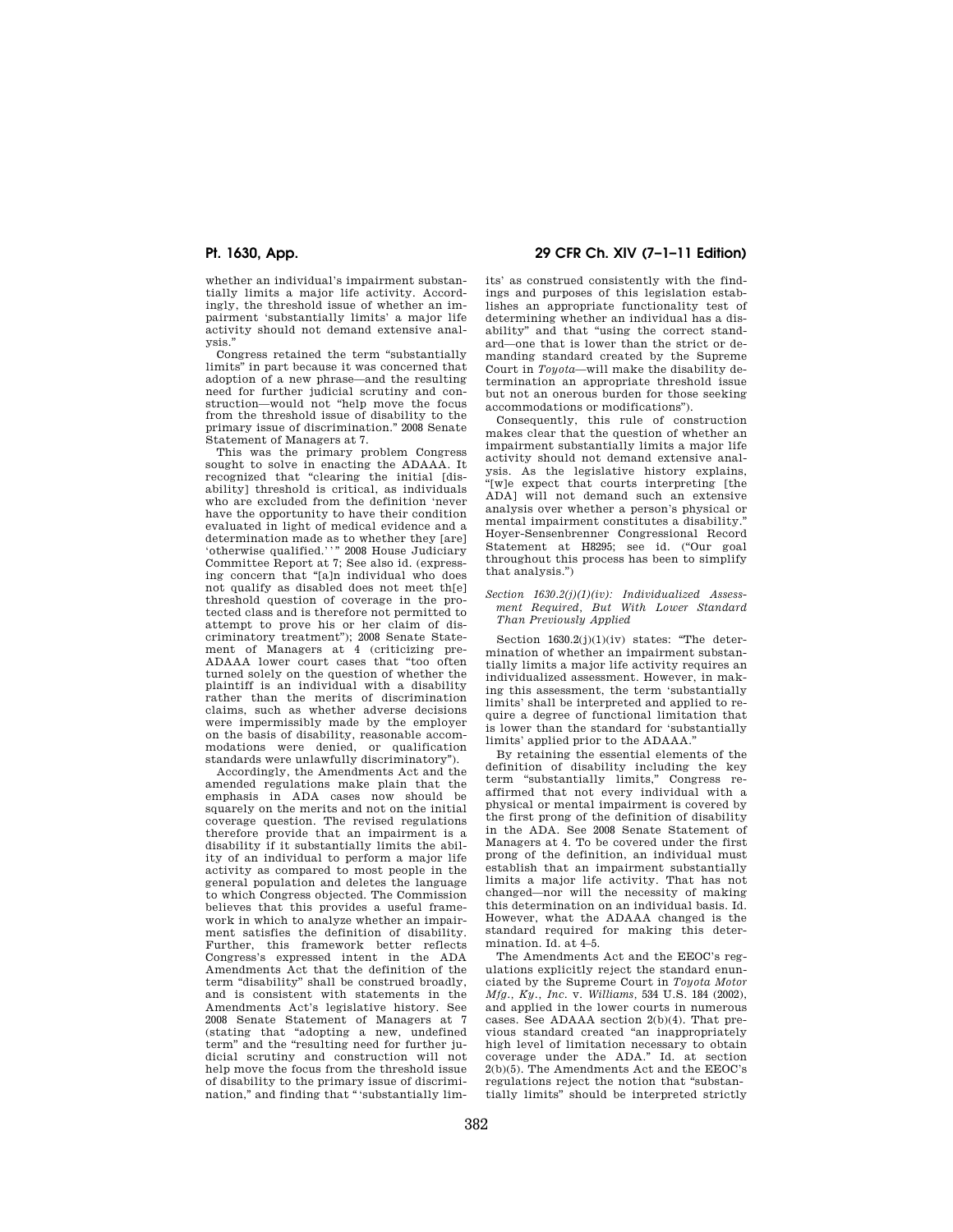whether an individual's impairment substantially limits a major life activity. Accordingly, the threshold issue of whether an impairment 'substantially limits' a major life activity should not demand extensive analysis.''

Congress retained the term ''substantially limits'' in part because it was concerned that adoption of a new phrase—and the resulting need for further judicial scrutiny and construction—would not ''help move the focus from the threshold issue of disability to the primary issue of discrimination.'' 2008 Senate Statement of Managers at 7.

This was the primary problem Congress sought to solve in enacting the ADAAA. It recognized that "clearing the initial [disability] threshold is critical, as individuals who are excluded from the definition 'never have the opportunity to have their condition evaluated in light of medical evidence and a determination made as to whether they [are] 'otherwise qualified.'''' 2008 House Judiciary Committee Report at 7; See also id. (expressing concern that "[a]n individual who does not qualify as disabled does not meet th[e] threshold question of coverage in the protected class and is therefore not permitted to attempt to prove his or her claim of discriminatory treatment''); 2008 Senate Statement of Managers at 4 (criticizing pre-ADAAA lower court cases that ''too often turned solely on the question of whether the plaintiff is an individual with a disability rather than the merits of discrimination claims, such as whether adverse decisions were impermissibly made by the employer on the basis of disability, reasonable accommodations were denied, or qualification standards were unlawfully discriminatory'').

Accordingly, the Amendments Act and the amended regulations make plain that the emphasis in ADA cases now should be squarely on the merits and not on the initial coverage question. The revised regulations therefore provide that an impairment is a disability if it substantially limits the ability of an individual to perform a major life activity as compared to most people in the general population and deletes the language to which Congress objected. The Commission believes that this provides a useful framework in which to analyze whether an impairment satisfies the definition of disability. Further, this framework better reflects Congress's expressed intent in the ADA Amendments Act that the definition of the term "disability" shall be construed broadly, and is consistent with statements in the Amendments Act's legislative history. See 2008 Senate Statement of Managers at 7 (stating that ''adopting a new, undefined term" and the "resulting need for further judicial scrutiny and construction will not help move the focus from the threshold issue of disability to the primary issue of discrimination," and finding that "'substantially lim-

# **Pt. 1630, App. 29 CFR Ch. XIV (7–1–11 Edition)**

its' as construed consistently with the findings and purposes of this legislation establishes an appropriate functionality test of determining whether an individual has a disability'' and that ''using the correct standard—one that is lower than the strict or demanding standard created by the Supreme Court in *Toyota*—will make the disability determination an appropriate threshold issue but not an onerous burden for those seeking accommodations or modifications'').

Consequently, this rule of construction makes clear that the question of whether an impairment substantially limits a major life activity should not demand extensive analysis. As the legislative history explains, "[w]e expect that courts interpreting [the ADA] will not demand such an extensive analysis over whether a person's physical or mental impairment constitutes a disability.'' Hoyer-Sensenbrenner Congressional Record Statement at H8295; see id. ("Our goal throughout this process has been to simplify that analysis.'')

#### *Section 1630.2(j)(1)(iv): Individualized Assessment Required, But With Lower Standard Than Previously Applied*

Section  $1630.2(j)(1)(iv)$  states: "The determination of whether an impairment substantially limits a major life activity requires an individualized assessment. However, in making this assessment, the term 'substantially limits' shall be interpreted and applied to require a degree of functional limitation that is lower than the standard for 'substantially limits' applied prior to the ADAAA."

By retaining the essential elements of the definition of disability including the key term "substantially limits," Congress reaffirmed that not every individual with a physical or mental impairment is covered by the first prong of the definition of disability in the ADA. See 2008 Senate Statement of Managers at 4. To be covered under the first prong of the definition, an individual must establish that an impairment substantially limits a major life activity. That has not changed—nor will the necessity of making this determination on an individual basis. Id. However, what the ADAAA changed is the standard required for making this determination. Id. at 4–5.

The Amendments Act and the EEOC's regulations explicitly reject the standard enunciated by the Supreme Court in *Toyota Motor Mfg., Ky., Inc.* v. *Williams,* 534 U.S. 184 (2002), and applied in the lower courts in numerous cases. See ADAAA section 2(b)(4). That previous standard created ''an inappropriately high level of limitation necessary to obtain coverage under the ADA.'' Id. at section  $2(b)(5)$ . The Amendments Act and the EEOC's regulations reject the notion that ''substantially limits'' should be interpreted strictly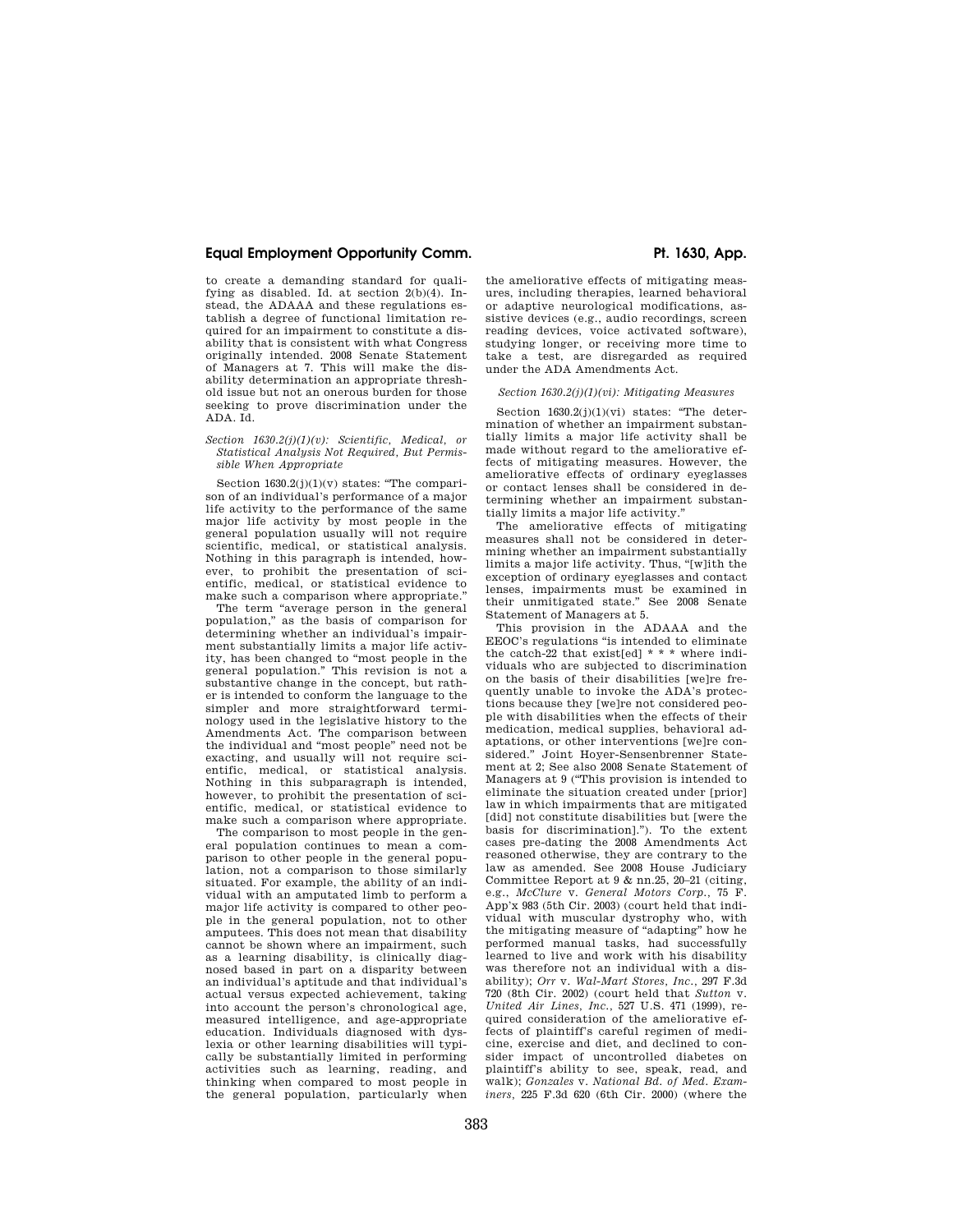to create a demanding standard for qualifying as disabled. Id. at section 2(b)(4). Instead, the ADAAA and these regulations establish a degree of functional limitation required for an impairment to constitute a disability that is consistent with what Congress originally intended. 2008 Senate Statement of Managers at 7. This will make the disability determination an appropriate threshold issue but not an onerous burden for those seeking to prove discrimination under the ADA. Id.

### *Section 1630.2(j)(1)(v): Scientific, Medical, or Statistical Analysis Not Required, But Permissible When Appropriate*

Section  $1630.2(j)(1)(v)$  states: "The comparison of an individual's performance of a major life activity to the performance of the same major life activity by most people in the general population usually will not require scientific, medical, or statistical analysis. Nothing in this paragraph is intended, however, to prohibit the presentation of scientific, medical, or statistical evidence to make such a comparison where appropriate.''

The term "average person in the general population,'' as the basis of comparison for determining whether an individual's impairment substantially limits a major life activity, has been changed to ''most people in the general population.'' This revision is not a substantive change in the concept, but rather is intended to conform the language to the simpler and more straightforward terminology used in the legislative history to the Amendments Act. The comparison between the individual and ''most people'' need not be exacting, and usually will not require scientific, medical, or statistical analysis. Nothing in this subparagraph is intended, however, to prohibit the presentation of scientific, medical, or statistical evidence to make such a comparison where appropriate.

The comparison to most people in the general population continues to mean a comparison to other people in the general population, not a comparison to those similarly situated. For example, the ability of an individual with an amputated limb to perform a major life activity is compared to other people in the general population, not to other amputees. This does not mean that disability cannot be shown where an impairment, such as a learning disability, is clinically diagnosed based in part on a disparity between an individual's aptitude and that individual's actual versus expected achievement, taking into account the person's chronological age, measured intelligence, and age-appropriate education. Individuals diagnosed with dyslexia or other learning disabilities will typically be substantially limited in performing activities such as learning, reading, and thinking when compared to most people in the general population, particularly when

the ameliorative effects of mitigating measures, including therapies, learned behavioral or adaptive neurological modifications, assistive devices (e.g., audio recordings, screen reading devices, voice activated software), studying longer, or receiving more time to take a test, are disregarded as required under the ADA Amendments Act.

## *Section 1630.2(j)(1)(vi): Mitigating Measures*

Section  $1630.2(j)(1)(vi)$  states: "The determination of whether an impairment substantially limits a major life activity shall be made without regard to the ameliorative effects of mitigating measures. However, the ameliorative effects of ordinary eyeglasses or contact lenses shall be considered in determining whether an impairment substantially limits a major life activity.''

The ameliorative effects of mitigating measures shall not be considered in determining whether an impairment substantially limits a major life activity. Thus, ''[w]ith the exception of ordinary eyeglasses and contact lenses, impairments must be examined in their unmitigated state.'' See 2008 Senate Statement of Managers at 5.

This provision in the ADAAA and the EEOC's regulations ''is intended to eliminate the catch-22 that exist[ed] \* \* \* where individuals who are subjected to discrimination on the basis of their disabilities [we]re frequently unable to invoke the ADA's protections because they [we]re not considered people with disabilities when the effects of their medication, medical supplies, behavioral adaptations, or other interventions [we]re considered.'' Joint Hoyer-Sensenbrenner Statement at 2; See also 2008 Senate Statement of Managers at 9 (''This provision is intended to eliminate the situation created under [prior] law in which impairments that are mitigated [did] not constitute disabilities but [were the basis for discrimination].''). To the extent cases pre-dating the 2008 Amendments Act reasoned otherwise, they are contrary to the law as amended. See 2008 House Judiciary Committee Report at 9 & nn.25, 20–21 (citing, e.g., *McClure* v. *General Motors Corp.,* 75 F. App'x 983 (5th Cir. 2003) (court held that individual with muscular dystrophy who, with the mitigating measure of "adapting" how he performed manual tasks, had successfully learned to live and work with his disability was therefore not an individual with a disability); *Orr* v. *Wal-Mart Stores, Inc.,* 297 F.3d 720 (8th Cir. 2002) (court held that *Sutton* v. *United Air Lines, Inc.,* 527 U.S. 471 (1999), required consideration of the ameliorative effects of plaintiff's careful regimen of medicine, exercise and diet, and declined to consider impact of uncontrolled diabetes on plaintiff's ability to see, speak, read, and walk); *Gonzales* v. *National Bd. of Med. Examiners,* 225 F.3d 620 (6th Cir. 2000) (where the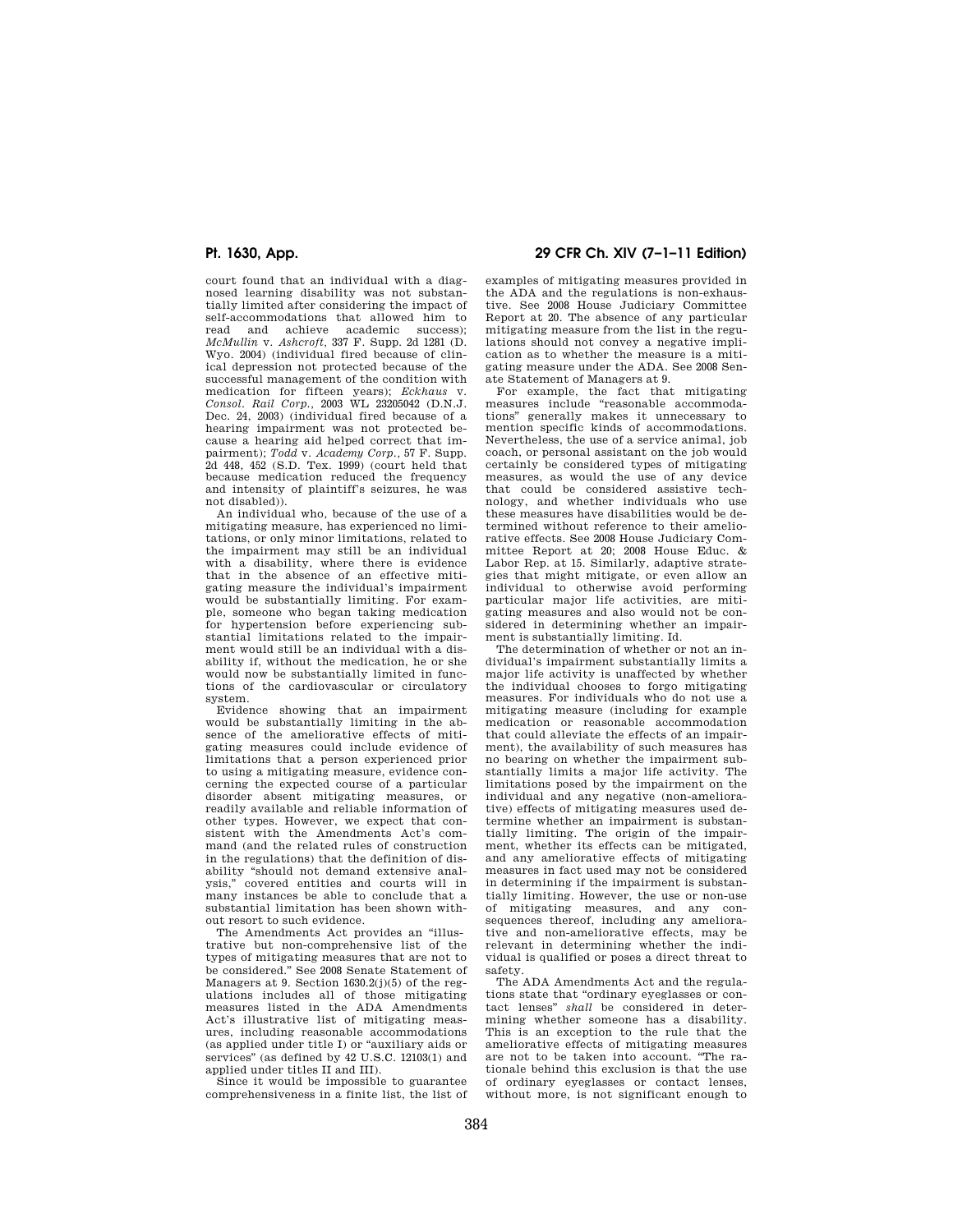court found that an individual with a diagnosed learning disability was not substantially limited after considering the impact of self-accommodations that allowed him to read and achieve academic success); *McMullin* v. *Ashcroft,* 337 F. Supp. 2d 1281 (D. Wyo. 2004) (individual fired because of clinical depression not protected because of the successful management of the condition with medication for fifteen years); *Eckhaus* v. *Consol. Rail Corp.,* 2003 WL 23205042 (D.N.J. Dec. 24, 2003) (individual fired because of a hearing impairment was not protected because a hearing aid helped correct that impairment); *Todd* v. *Academy Corp.,* 57 F. Supp. 2d 448, 452 (S.D. Tex. 1999) (court held that because medication reduced the frequency and intensity of plaintiff's seizures, he was not disabled)).

An individual who, because of the use of a mitigating measure, has experienced no limitations, or only minor limitations, related to the impairment may still be an individual with a disability, where there is evidence that in the absence of an effective mitigating measure the individual's impairment would be substantially limiting. For example, someone who began taking medication for hypertension before experiencing substantial limitations related to the impairment would still be an individual with a disability if, without the medication, he or she would now be substantially limited in functions of the cardiovascular or circulatory system.

Evidence showing that an impairment would be substantially limiting in the absence of the ameliorative effects of mitigating measures could include evidence of limitations that a person experienced prior to using a mitigating measure, evidence concerning the expected course of a particular disorder absent mitigating measures, or readily available and reliable information of other types. However, we expect that consistent with the Amendments Act's command (and the related rules of construction in the regulations) that the definition of disability ''should not demand extensive analysis,'' covered entities and courts will in many instances be able to conclude that a substantial limitation has been shown without resort to such evidence.

The Amendments Act provides an ''illustrative but non-comprehensive list of the types of mitigating measures that are not to be considered.'' See 2008 Senate Statement of Managers at 9. Section 1630.2(j)(5) of the regulations includes all of those mitigating measures listed in the ADA Amendments Act's illustrative list of mitigating measures, including reasonable accommodations (as applied under title I) or ''auxiliary aids or services'' (as defined by 42 U.S.C. 12103(1) and applied under titles II and III).

Since it would be impossible to guarantee comprehensiveness in a finite list, the list of

# **Pt. 1630, App. 29 CFR Ch. XIV (7–1–11 Edition)**

examples of mitigating measures provided in the ADA and the regulations is non-exhaustive. See 2008 House Judiciary Committee Report at 20. The absence of any particular mitigating measure from the list in the regulations should not convey a negative implication as to whether the measure is a mitigating measure under the ADA. See 2008 Senate Statement of Managers at 9.

For example, the fact that mitigating measures include "reasonable accommodations'' generally makes it unnecessary to mention specific kinds of accommodations. Nevertheless, the use of a service animal, job coach, or personal assistant on the job would certainly be considered types of mitigating measures, as would the use of any device that could be considered assistive technology, and whether individuals who use these measures have disabilities would be determined without reference to their ameliorative effects. See 2008 House Judiciary Committee Report at 20; 2008 House Educ. & Labor Rep. at 15. Similarly, adaptive strategies that might mitigate, or even allow an individual to otherwise avoid performing particular major life activities, are mitigating measures and also would not be considered in determining whether an impairment is substantially limiting. Id.

The determination of whether or not an individual's impairment substantially limits a major life activity is unaffected by whether the individual chooses to forgo mitigating measures. For individuals who do not use a mitigating measure (including for example medication or reasonable accommodation that could alleviate the effects of an impairment), the availability of such measures has no bearing on whether the impairment substantially limits a major life activity. The limitations posed by the impairment on the individual and any negative (non-ameliorative) effects of mitigating measures used determine whether an impairment is substantially limiting. The origin of the impairment, whether its effects can be mitigated, and any ameliorative effects of mitigating measures in fact used may not be considered in determining if the impairment is substantially limiting. However, the use or non-use of mitigating measures, and any consequences thereof, including any ameliorative and non-ameliorative effects, may be relevant in determining whether the individual is qualified or poses a direct threat to safety.

The ADA Amendments Act and the regulations state that "ordinary eyeglasses or contact lenses'' *shall* be considered in determining whether someone has a disability. This is an exception to the rule that the ameliorative effects of mitigating measures are not to be taken into account. ''The rationale behind this exclusion is that the use of ordinary eyeglasses or contact lenses, without more, is not significant enough to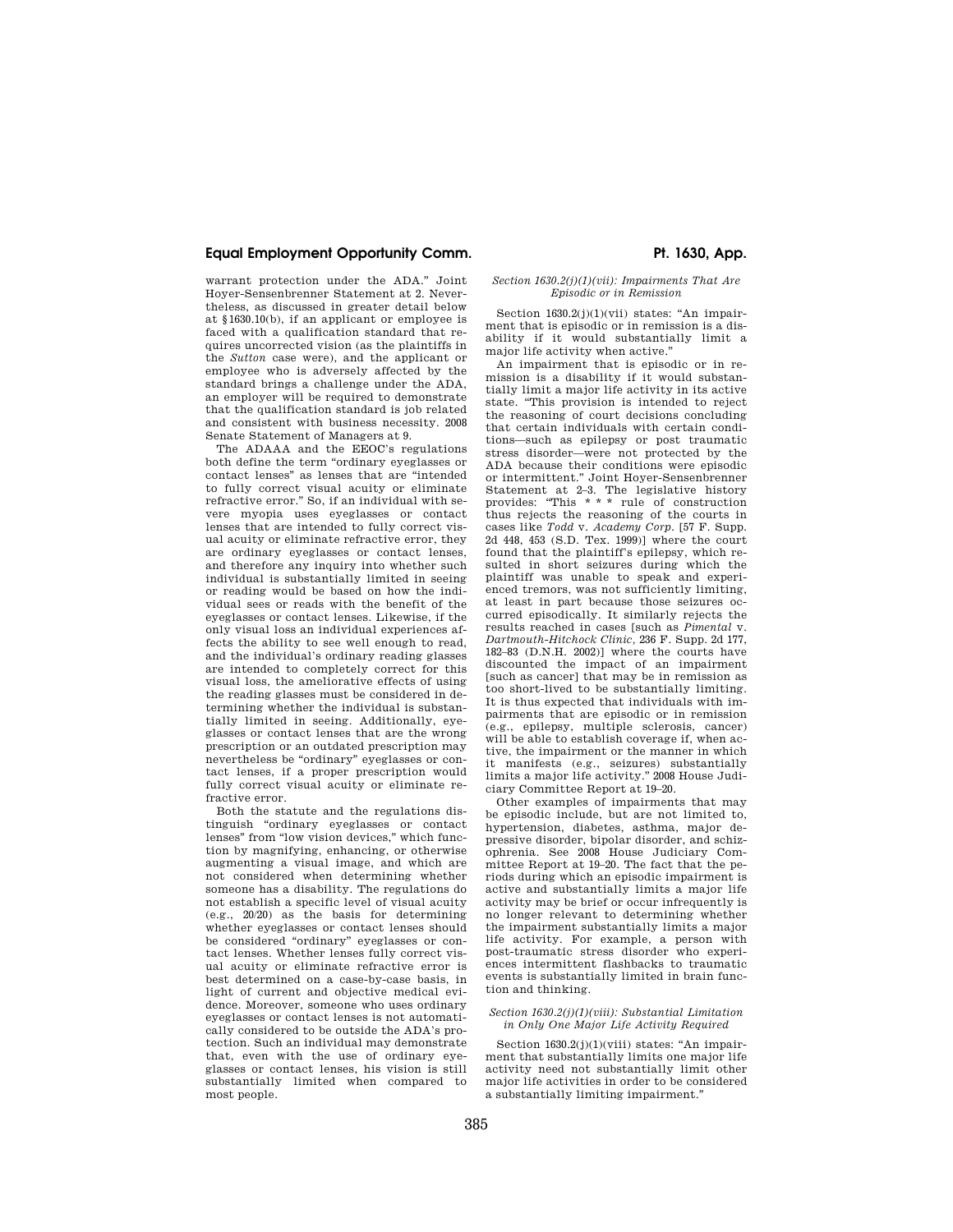warrant protection under the ADA.'' Joint Hoyer-Sensenbrenner Statement at 2. Nevertheless, as discussed in greater detail below at §1630.10(b), if an applicant or employee is faced with a qualification standard that requires uncorrected vision (as the plaintiffs in the *Sutton* case were), and the applicant or employee who is adversely affected by the standard brings a challenge under the ADA, an employer will be required to demonstrate that the qualification standard is job related and consistent with business necessity. 2008 Senate Statement of Managers at 9.

The ADAAA and the EEOC's regulations both define the term ''ordinary eyeglasses or contact lenses'' as lenses that are ''intended to fully correct visual acuity or eliminate refractive error.'' So, if an individual with severe myopia uses eyeglasses or contact lenses that are intended to fully correct visual acuity or eliminate refractive error, they are ordinary eyeglasses or contact lenses, and therefore any inquiry into whether such individual is substantially limited in seeing or reading would be based on how the individual sees or reads with the benefit of the eyeglasses or contact lenses. Likewise, if the only visual loss an individual experiences affects the ability to see well enough to read, and the individual's ordinary reading glasses are intended to completely correct for this visual loss, the ameliorative effects of using the reading glasses must be considered in determining whether the individual is substantially limited in seeing. Additionally, eyeglasses or contact lenses that are the wrong prescription or an outdated prescription may nevertheless be "ordinary" eyeglasses or contact lenses, if a proper prescription would fully correct visual acuity or eliminate refractive error.

Both the statute and the regulations distinguish ''ordinary eyeglasses or contact lenses" from "low vision devices," which function by magnifying, enhancing, or otherwise augmenting a visual image, and which are not considered when determining whether someone has a disability. The regulations do not establish a specific level of visual acuity (e.g., 20/20) as the basis for determining whether eyeglasses or contact lenses should be considered ''ordinary'' eyeglasses or contact lenses. Whether lenses fully correct visual acuity or eliminate refractive error is best determined on a case-by-case basis, in light of current and objective medical evidence. Moreover, someone who uses ordinary eyeglasses or contact lenses is not automatically considered to be outside the ADA's protection. Such an individual may demonstrate that, even with the use of ordinary eyeglasses or contact lenses, his vision is still substantially limited when compared to most people.

## *Section 1630.2(j)(1)(vii): Impairments That Are Episodic or in Remission*

Section  $1630.2(i)(1)(vii)$  states: "An impairment that is episodic or in remission is a disability if it would substantially limit a major life activity when active.''

An impairment that is episodic or in remission is a disability if it would substantially limit a major life activity in its active state. ''This provision is intended to reject the reasoning of court decisions concluding that certain individuals with certain conditions—such as epilepsy or post traumatic stress disorder—were not protected by the ADA because their conditions were episodic or intermittent.'' Joint Hoyer-Sensenbrenner Statement at 2–3. The legislative history provides: ''This \* \* \* rule of construction thus rejects the reasoning of the courts in cases like *Todd* v. *Academy Corp.* [57 F. Supp. 2d 448, 453 (S.D. Tex. 1999)] where the court found that the plaintiff's epilepsy, which resulted in short seizures during which the plaintiff was unable to speak and experienced tremors, was not sufficiently limiting, at least in part because those seizures occurred episodically. It similarly rejects the results reached in cases [such as *Pimental* v. *Dartmouth-Hitchock Clinic,* 236 F. Supp. 2d 177, 182–83 (D.N.H. 2002)] where the courts have discounted the impact of an impairment [such as cancer] that may be in remission as too short-lived to be substantially limiting. It is thus expected that individuals with impairments that are episodic or in remission (e.g., epilepsy, multiple sclerosis, cancer) will be able to establish coverage if, when active, the impairment or the manner in which it manifests (e.g., seizures) substantially limits a major life activity.'' 2008 House Judiciary Committee Report at 19–20.

Other examples of impairments that may be episodic include, but are not limited to, hypertension, diabetes, asthma, major depressive disorder, bipolar disorder, and schizophrenia. See 2008 House Judiciary Committee Report at 19–20. The fact that the periods during which an episodic impairment is active and substantially limits a major life activity may be brief or occur infrequently is no longer relevant to determining whether the impairment substantially limits a major life activity. For example, a person with post-traumatic stress disorder who experiences intermittent flashbacks to traumatic events is substantially limited in brain function and thinking.

### *Section 1630.2(j)(1)(viii): Substantial Limitation in Only One Major Life Activity Required*

Section 1630.2(j)(1)(viii) states: "An impairment that substantially limits one major life activity need not substantially limit other major life activities in order to be considered a substantially limiting impairment.''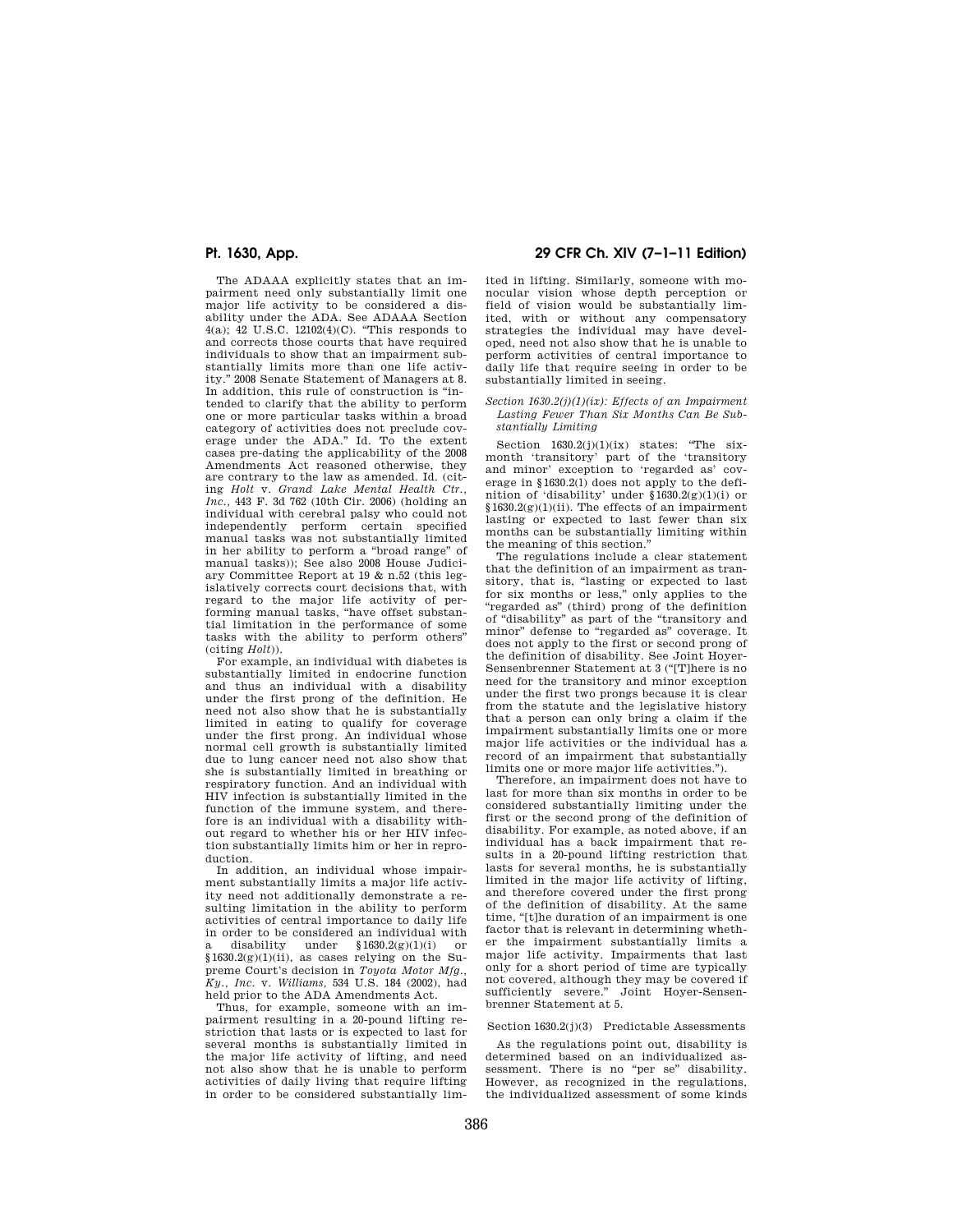The ADAAA explicitly states that an impairment need only substantially limit one major life activity to be considered a disability under the ADA. See ADAAA Section 4(a);  $42 \text{ U.S.C. } 12102(4)(\text{C})$ . "This responds to and corrects those courts that have required individuals to show that an impairment substantially limits more than one life activity.'' 2008 Senate Statement of Managers at 8. In addition, this rule of construction is "intended to clarify that the ability to perform one or more particular tasks within a broad category of activities does not preclude coverage under the ADA.'' Id. To the extent cases pre-dating the applicability of the 2008 Amendments Act reasoned otherwise, they are contrary to the law as amended. Id. (citing *Holt* v. *Grand Lake Mental Health Ctr., Inc.,* 443 F. 3d 762 (10th Cir. 2006) (holding an individual with cerebral palsy who could not independently perform certain specified manual tasks was not substantially limited in her ability to perform a ''broad range'' of manual tasks)); See also 2008 House Judiciary Committee Report at 19 & n.52 (this legislatively corrects court decisions that, with regard to the major life activity of performing manual tasks, ''have offset substantial limitation in the performance of some tasks with the ability to perform others'' (citing *Holt*)).

For example, an individual with diabetes is substantially limited in endocrine function and thus an individual with a disability under the first prong of the definition. He need not also show that he is substantially limited in eating to qualify for coverage under the first prong. An individual whose normal cell growth is substantially limited due to lung cancer need not also show that she is substantially limited in breathing or respiratory function. And an individual with HIV infection is substantially limited in the function of the immune system, and therefore is an individual with a disability without regard to whether his or her HIV infection substantially limits him or her in reproduction.

In addition, an individual whose impairment substantially limits a major life activity need not additionally demonstrate a resulting limitation in the ability to perform activities of central importance to daily life in order to be considered an individual with a disability under §1630.2(g)(1)(i) or  $\frac{1}{2}$  1630.2(g)(1)(ii), as cases relying on the Supreme Court's decision in *Toyota Motor Mfg., Ky., Inc.* v. *Williams,* 534 U.S. 184 (2002), had held prior to the ADA Amendments Act.

Thus, for example, someone with an impairment resulting in a 20-pound lifting restriction that lasts or is expected to last for several months is substantially limited in the major life activity of lifting, and need not also show that he is unable to perform activities of daily living that require lifting in order to be considered substantially lim-

# **Pt. 1630, App. 29 CFR Ch. XIV (7–1–11 Edition)**

ited in lifting. Similarly, someone with monocular vision whose depth perception or field of vision would be substantially limited, with or without any compensatory strategies the individual may have developed, need not also show that he is unable to perform activities of central importance to daily life that require seeing in order to be substantially limited in seeing.

#### *Section 1630.2(j)(1)(ix): Effects of an Impairment Lasting Fewer Than Six Months Can Be Substantially Limiting*

Section  $1630.2(j)(1)(ix)$  states: "The six-<br>month 'transitory' part of the 'transitory' and minor' exception to 'regarded as' coverage in §1630.2(l) does not apply to the definition of 'disability' under §1630.2(g)(1)(i) or §1630.2(g)(1)(ii). The effects of an impairment lasting or expected to last fewer than six months can be substantially limiting within the meaning of this section.''

The regulations include a clear statement that the definition of an impairment as transitory, that is, "lasting or expected to last for six months or less,'' only applies to the ''regarded as'' (third) prong of the definition of "disability" as part of the "transitory and minor'' defense to ''regarded as'' coverage. It does not apply to the first or second prong of the definition of disability. See Joint Hoyer-Sensenbrenner Statement at 3 (''[T]here is no need for the transitory and minor exception under the first two prongs because it is clear from the statute and the legislative history that a person can only bring a claim if the impairment substantially limits one or more major life activities or the individual has a record of an impairment that substantially limits one or more major life activities.'').

Therefore, an impairment does not have to last for more than six months in order to be considered substantially limiting under the first or the second prong of the definition of disability. For example, as noted above, if an individual has a back impairment that results in a 20-pound lifting restriction that lasts for several months, he is substantially limited in the major life activity of lifting, and therefore covered under the first prong of the definition of disability. At the same time, "[t]he duration of an impairment is one factor that is relevant in determining whether the impairment substantially limits a major life activity. Impairments that last only for a short period of time are typically not covered, although they may be covered if sufficiently severe.'' Joint Hoyer-Sensenbrenner Statement at 5.

### Section 1630.2(j)(3) Predictable Assessments

As the regulations point out, disability is determined based on an individualized assessment. There is no "per se" disability. However, as recognized in the regulations, the individualized assessment of some kinds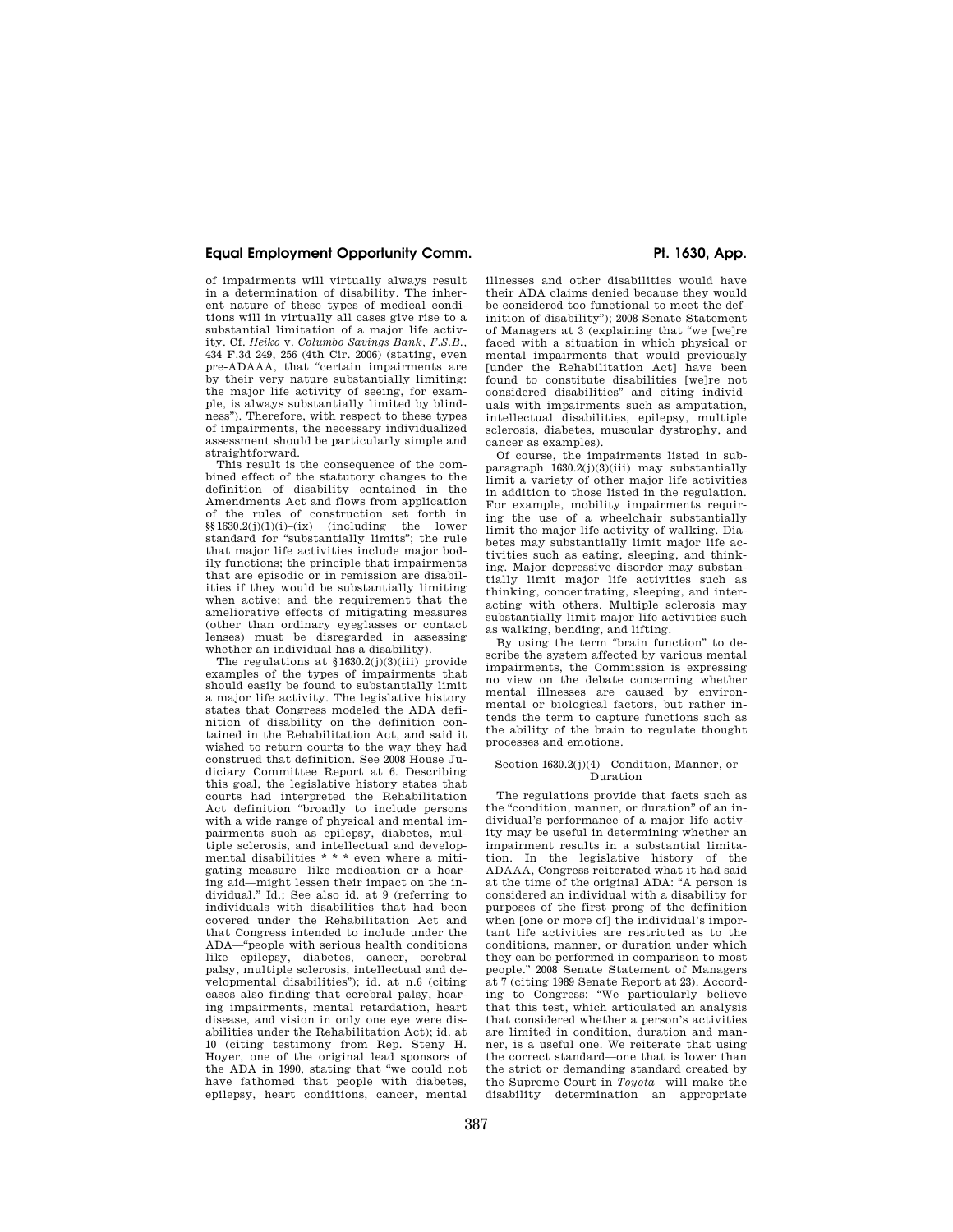of impairments will virtually always result in a determination of disability. The inherent nature of these types of medical conditions will in virtually all cases give rise to a substantial limitation of a major life activity. Cf. *Heiko* v. *Columbo Savings Bank, F.S.B.,*  434 F.3d 249, 256 (4th Cir. 2006) (stating, even pre-ADAAA, that "certain impairments are by their very nature substantially limiting: the major life activity of seeing, for example, is always substantially limited by blindness''). Therefore, with respect to these types of impairments, the necessary individualized assessment should be particularly simple and straightforward.

This result is the consequence of the combined effect of the statutory changes to the definition of disability contained in the Amendments Act and flows from application of the rules of construction set forth in  $\S(1630.2(j)(1)(i)-(ix))$  (including the lower standard for ''substantially limits''; the rule that major life activities include major bodily functions; the principle that impairments that are episodic or in remission are disabilities if they would be substantially limiting when active; and the requirement that the ameliorative effects of mitigating measures (other than ordinary eyeglasses or contact lenses) must be disregarded in assessing whether an individual has a disability).

The regulations at  $$1630.2(j)(3)(iii)$  provide examples of the types of impairments that should easily be found to substantially limit a major life activity. The legislative history states that Congress modeled the ADA definition of disability on the definition contained in the Rehabilitation Act, and said it wished to return courts to the way they had construed that definition. See 2008 House Judiciary Committee Report at 6. Describing this goal, the legislative history states that courts had interpreted the Rehabilitation Act definition ''broadly to include persons with a wide range of physical and mental impairments such as epilepsy, diabetes, multiple sclerosis, and intellectual and developmental disabilities \* \* \* even where a mitigating measure—like medication or a hearing aid—might lessen their impact on the individual.'' Id.; See also id. at 9 (referring to individuals with disabilities that had been covered under the Rehabilitation Act and that Congress intended to include under the ADA—''people with serious health conditions like epilepsy, diabetes, cancer, cerebral palsy, multiple sclerosis, intellectual and developmental disabilities''); id. at n.6 (citing cases also finding that cerebral palsy, hearing impairments, mental retardation, heart disease, and vision in only one eye were disabilities under the Rehabilitation Act); id. at 10 (citing testimony from Rep. Steny H. Hoyer, one of the original lead sponsors of the ADA in 1990, stating that ''we could not have fathomed that people with diabetes, epilepsy, heart conditions, cancer, mental

illnesses and other disabilities would have their ADA claims denied because they would be considered too functional to meet the definition of disability''); 2008 Senate Statement of Managers at 3 (explaining that ''we [we]re faced with a situation in which physical or mental impairments that would previously [under the Rehabilitation Act] have been found to constitute disabilities [we]re not considered disabilities'' and citing individuals with impairments such as amputation, intellectual disabilities, epilepsy, multiple sclerosis, diabetes, muscular dystrophy, and cancer as examples).

Of course, the impairments listed in subparagraph  $1630.2(j)(3)(iii)$  may substantially limit a variety of other major life activities in addition to those listed in the regulation. For example, mobility impairments requiring the use of a wheelchair substantially limit the major life activity of walking. Diabetes may substantially limit major life activities such as eating, sleeping, and thinking. Major depressive disorder may substantially limit major life activities such as thinking, concentrating, sleeping, and interacting with others. Multiple sclerosis may substantially limit major life activities such as walking, bending, and lifting.

By using the term "brain function" to describe the system affected by various mental impairments, the Commission is expressing no view on the debate concerning whether mental illnesses are caused by environmental or biological factors, but rather intends the term to capture functions such as the ability of the brain to regulate thought processes and emotions.

#### Section 1630.2(j)(4) Condition, Manner, or Duration

The regulations provide that facts such as the "condition, manner, or duration" of an individual's performance of a major life activity may be useful in determining whether an impairment results in a substantial limitation. In the legislative history of the ADAAA, Congress reiterated what it had said at the time of the original ADA: ''A person is considered an individual with a disability for purposes of the first prong of the definition when [one or more of] the individual's important life activities are restricted as to the conditions, manner, or duration under which they can be performed in comparison to most people.'' 2008 Senate Statement of Managers at 7 (citing 1989 Senate Report at 23). According to Congress: ''We particularly believe that this test, which articulated an analysis that considered whether a person's activities are limited in condition, duration and manner, is a useful one. We reiterate that using the correct standard—one that is lower than the strict or demanding standard created by the Supreme Court in *Toyota*—will make the disability determination an appropriate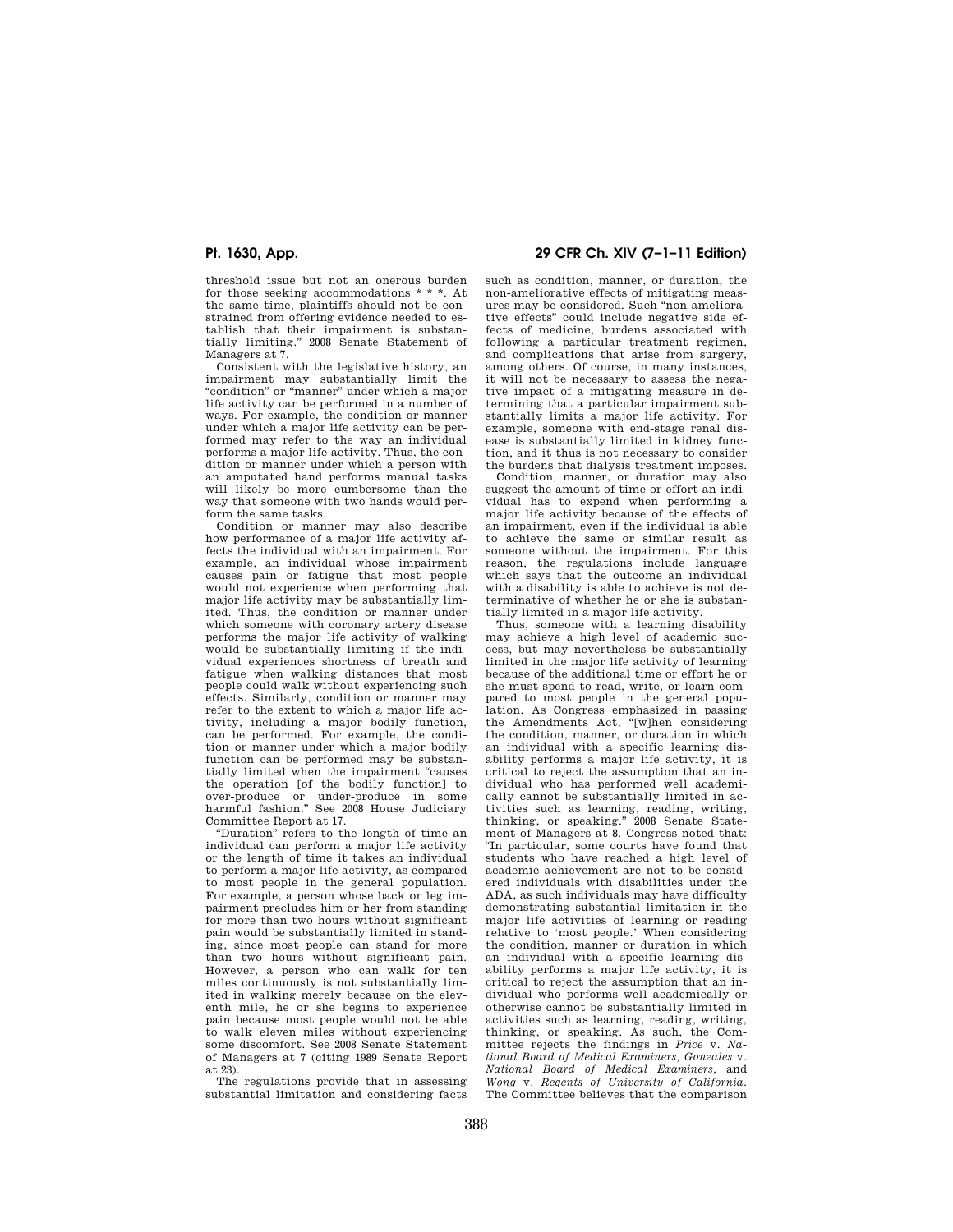threshold issue but not an onerous burden for those seeking accommodations \* \* \*. At the same time, plaintiffs should not be constrained from offering evidence needed to establish that their impairment is substantially limiting.'' 2008 Senate Statement of Managers at 7.

Consistent with the legislative history, an impairment may substantially limit the ''condition'' or ''manner'' under which a major life activity can be performed in a number of ways. For example, the condition or manner under which a major life activity can be performed may refer to the way an individual performs a major life activity. Thus, the condition or manner under which a person with an amputated hand performs manual tasks will likely be more cumbersome than the way that someone with two hands would perform the same tasks.

Condition or manner may also describe how performance of a major life activity affects the individual with an impairment. For example, an individual whose impairment causes pain or fatigue that most people would not experience when performing that major life activity may be substantially limited. Thus, the condition or manner under which someone with coronary artery disease performs the major life activity of walking would be substantially limiting if the individual experiences shortness of breath and fatigue when walking distances that most people could walk without experiencing such effects. Similarly, condition or manner may refer to the extent to which a major life activity, including a major bodily function, can be performed. For example, the condition or manner under which a major bodily function can be performed may be substantially limited when the impairment ''causes the operation [of the bodily function] to over-produce or under-produce in some harmful fashion.'' See 2008 House Judiciary Committee Report at 17.

''Duration'' refers to the length of time an individual can perform a major life activity or the length of time it takes an individual to perform a major life activity, as compared to most people in the general population. For example, a person whose back or leg impairment precludes him or her from standing for more than two hours without significant pain would be substantially limited in standing, since most people can stand for more than two hours without significant pain. However, a person who can walk for ten miles continuously is not substantially limited in walking merely because on the eleventh mile, he or she begins to experience pain because most people would not be able to walk eleven miles without experiencing some discomfort. See 2008 Senate Statement of Managers at 7 (citing 1989 Senate Report at 23).

The regulations provide that in assessing substantial limitation and considering facts

# **Pt. 1630, App. 29 CFR Ch. XIV (7–1–11 Edition)**

such as condition, manner, or duration, the non-ameliorative effects of mitigating measures may be considered. Such ''non-ameliorative effects'' could include negative side effects of medicine, burdens associated with following a particular treatment regimen, and complications that arise from surgery, among others. Of course, in many instances, it will not be necessary to assess the negative impact of a mitigating measure in determining that a particular impairment substantially limits a major life activity. For example, someone with end-stage renal disease is substantially limited in kidney function, and it thus is not necessary to consider the burdens that dialysis treatment imposes.

Condition, manner, or duration may also suggest the amount of time or effort an individual has to expend when performing a major life activity because of the effects of an impairment, even if the individual is able to achieve the same or similar result as someone without the impairment. For this reason, the regulations include language which says that the outcome an individual with a disability is able to achieve is not determinative of whether he or she is substantially limited in a major life activity.

Thus, someone with a learning disability may achieve a high level of academic success, but may nevertheless be substantially limited in the major life activity of learning because of the additional time or effort he or she must spend to read, write, or learn compared to most people in the general population. As Congress emphasized in passing the Amendments Act, "[w]hen considering the condition, manner, or duration in which an individual with a specific learning disability performs a major life activity, it is critical to reject the assumption that an individual who has performed well academically cannot be substantially limited in activities such as learning, reading, writing, thinking, or speaking." 2008 Senate Statethinking, or speaking." ment of Managers at 8. Congress noted that: ''In particular, some courts have found that students who have reached a high level of academic achievement are not to be considered individuals with disabilities under the ADA, as such individuals may have difficulty demonstrating substantial limitation in the major life activities of learning or reading relative to 'most people.' When considering the condition, manner or duration in which an individual with a specific learning disability performs a major life activity, it is critical to reject the assumption that an individual who performs well academically or otherwise cannot be substantially limited in activities such as learning, reading, writing, thinking, or speaking. As such, the Committee rejects the findings in *Price* v. *National Board of Medical Examiners, Gonzales* v. *National Board of Medical Examiners,* and *Wong* v. *Regents of University of California*. The Committee believes that the comparison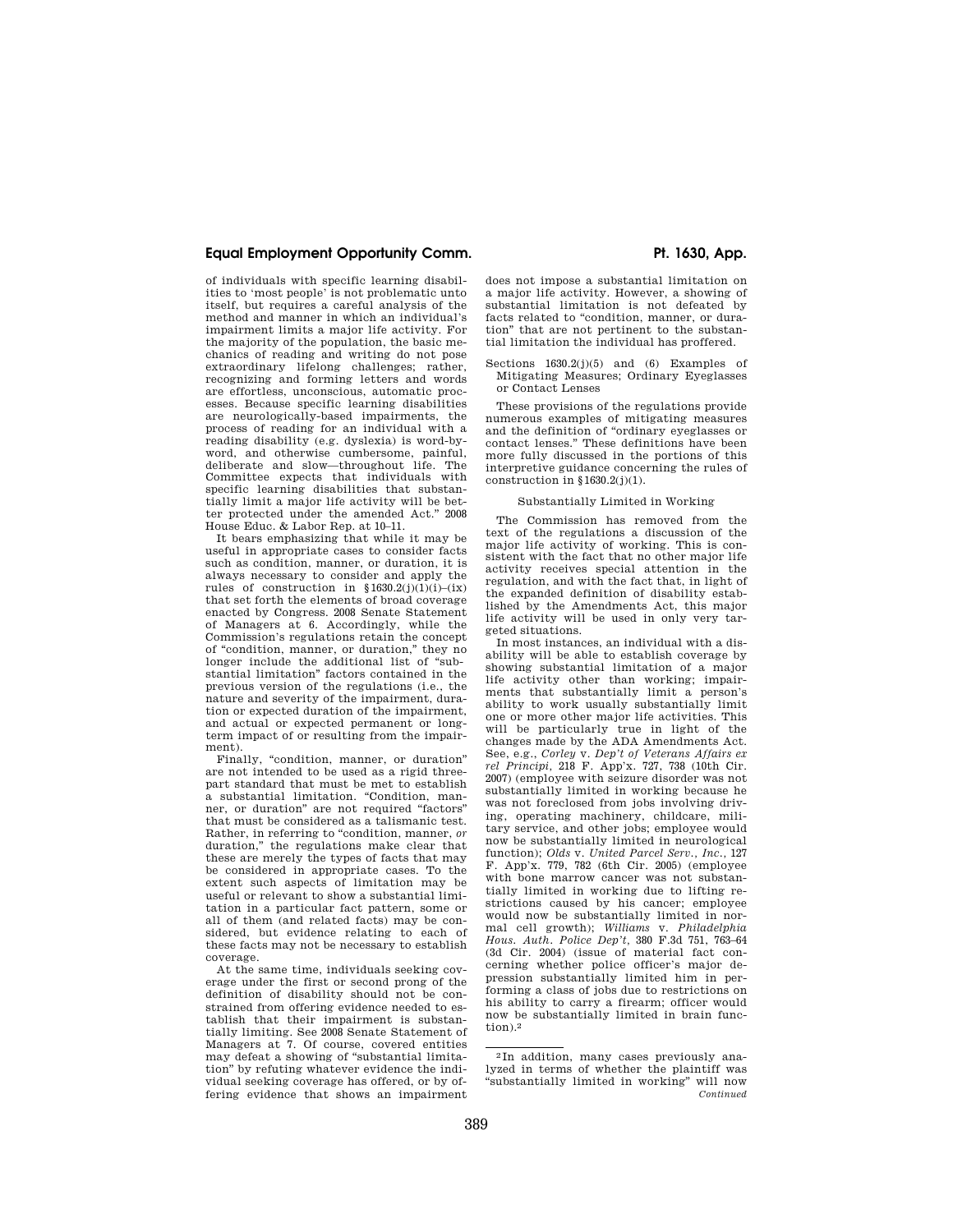of individuals with specific learning disabilities to 'most people' is not problematic unto itself, but requires a careful analysis of the method and manner in which an individual's impairment limits a major life activity. For the majority of the population, the basic mechanics of reading and writing do not pose extraordinary lifelong challenges; rather, recognizing and forming letters and words are effortless, unconscious, automatic processes. Because specific learning disabilities are neurologically-based impairments, the process of reading for an individual with a reading disability (e.g. dyslexia) is word-byword, and otherwise cumbersome, painful, deliberate and slow—throughout life. The Committee expects that individuals with specific learning disabilities that substantially limit a major life activity will be better protected under the amended Act.'' 2008 House Educ. & Labor Rep. at 10–11.

It bears emphasizing that while it may be useful in appropriate cases to consider facts such as condition, manner, or duration, it is always necessary to consider and apply the rules of construction in  $$1630.2(j)(1)(i)-(ix)$ that set forth the elements of broad coverage enacted by Congress. 2008 Senate Statement of Managers at 6. Accordingly, while the Commission's regulations retain the concept of "condition, manner, or duration," they no longer include the additional list of "substantial limitation'' factors contained in the previous version of the regulations (i.e., the nature and severity of the impairment, duration or expected duration of the impairment, and actual or expected permanent or longterm impact of or resulting from the impairment).

Finally, "condition, manner, or duration" are not intended to be used as a rigid threepart standard that must be met to establish a substantial limitation. "Condition, manner, or duration'' are not required ''factors'' that must be considered as a talismanic test. Rather, in referring to "condition, manner, or duration,'' the regulations make clear that these are merely the types of facts that may be considered in appropriate cases. To the extent such aspects of limitation may be useful or relevant to show a substantial limitation in a particular fact pattern, some or all of them (and related facts) may be considered, but evidence relating to each of these facts may not be necessary to establish coverage.

At the same time, individuals seeking coverage under the first or second prong of the definition of disability should not be constrained from offering evidence needed to establish that their impairment is substantially limiting. See 2008 Senate Statement of Managers at 7. Of course, covered entities may defeat a showing of "substantial limitation'' by refuting whatever evidence the individual seeking coverage has offered, or by offering evidence that shows an impairment

does not impose a substantial limitation on a major life activity. However, a showing of substantial limitation is not defeated by facts related to "condition, manner, or duration'' that are not pertinent to the substantial limitation the individual has proffered.

Sections 1630.2(j)(5) and (6) Examples of Mitigating Measures; Ordinary Eyeglasses or Contact Lenses

These provisions of the regulations provide numerous examples of mitigating measures and the definition of ''ordinary eyeglasses or contact lenses.'' These definitions have been more fully discussed in the portions of this interpretive guidance concerning the rules of construction in §1630.2(j)(1).

### Substantially Limited in Working

The Commission has removed from the text of the regulations a discussion of the major life activity of working. This is consistent with the fact that no other major life activity receives special attention in the regulation, and with the fact that, in light of the expanded definition of disability established by the Amendments Act, this major life activity will be used in only very targeted situations.

In most instances, an individual with a disability will be able to establish coverage by showing substantial limitation of a major life activity other than working; impairments that substantially limit a person's ability to work usually substantially limit one or more other major life activities. This will be particularly true in light of the changes made by the ADA Amendments Act. See, e.g., *Corley* v. *Dep't of Veterans Affairs ex rel Principi,* 218 F. App'x. 727, 738 (10th Cir. 2007) (employee with seizure disorder was not substantially limited in working because he was not foreclosed from jobs involving driving, operating machinery, childcare, military service, and other jobs; employee would now be substantially limited in neurological function); *Olds* v. *United Parcel Serv., Inc.,* 127 F. App'x. 779, 782 (6th Cir. 2005) (employee with bone marrow cancer was not substantially limited in working due to lifting restrictions caused by his cancer; employee would now be substantially limited in normal cell growth); *Williams* v. *Philadelphia Hous. Auth. Police Dep't,* 380 F.3d 751, 763–64 (3d Cir. 2004) (issue of material fact concerning whether police officer's major depression substantially limited him in performing a class of jobs due to restrictions on his ability to carry a firearm; officer would now be substantially limited in brain function).2

<sup>2</sup> In addition, many cases previously analyzed in terms of whether the plaintiff was ''substantially limited in working'' will now *Continued*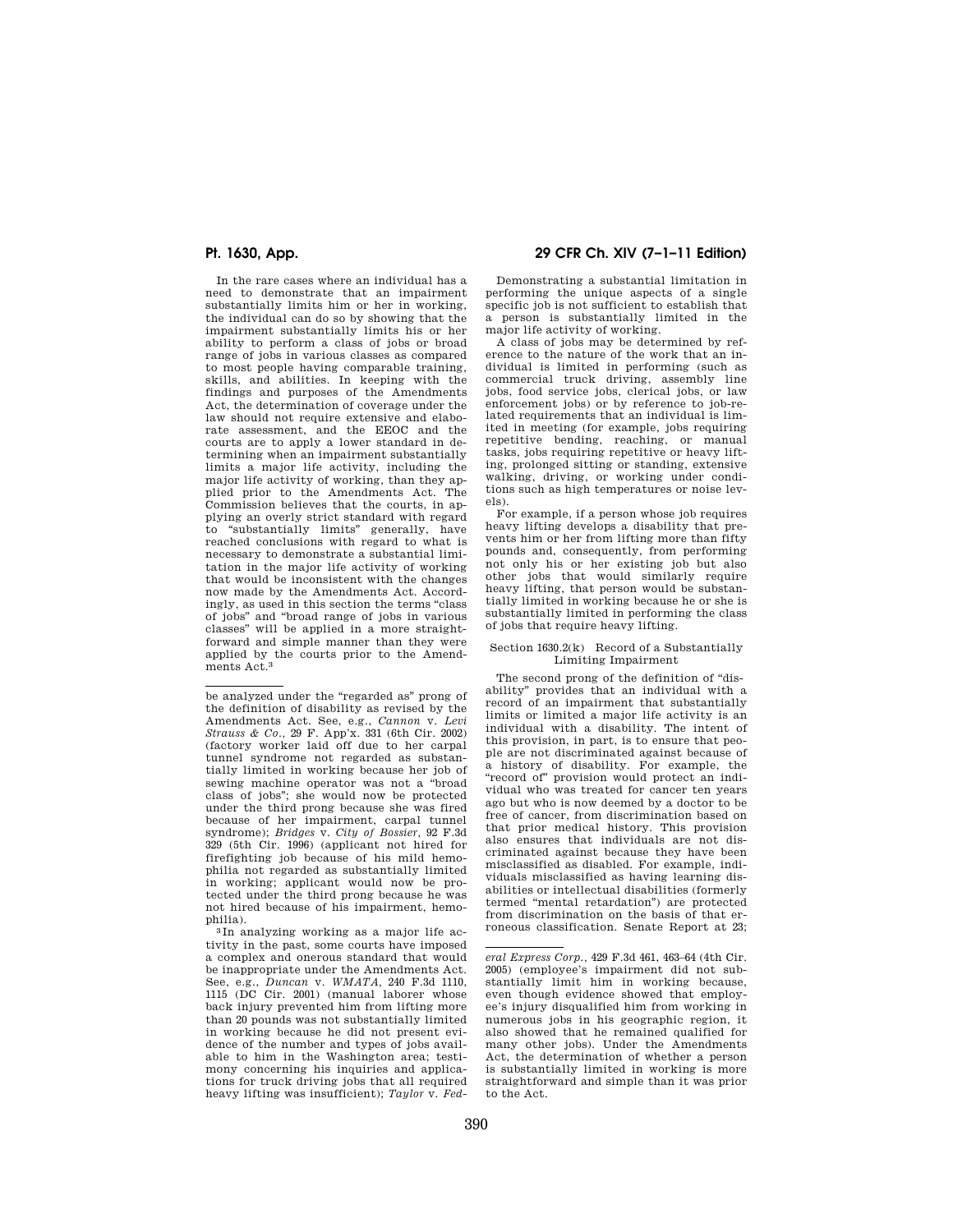In the rare cases where an individual has a need to demonstrate that an impairment substantially limits him or her in working, the individual can do so by showing that the impairment substantially limits his or her ability to perform a class of jobs or broad range of jobs in various classes as compared to most people having comparable training, skills, and abilities. In keeping with the findings and purposes of the Amendments Act, the determination of coverage under the law should not require extensive and elaborate assessment, and the EEOC and the courts are to apply a lower standard in determining when an impairment substantially limits a major life activity, including the major life activity of working, than they applied prior to the Amendments Act. The Commission believes that the courts, in applying an overly strict standard with regard to ''substantially limits'' generally, have reached conclusions with regard to what is necessary to demonstrate a substantial limitation in the major life activity of working that would be inconsistent with the changes now made by the Amendments Act. Accordingly, as used in this section the terms ''class of jobs'' and ''broad range of jobs in various classes'' will be applied in a more straightforward and simple manner than they were applied by the courts prior to the Amendments Act.3

tivity in the past, some courts have imposed a complex and onerous standard that would be inappropriate under the Amendments Act. See, e.g., *Duncan* v. *WMATA,* 240 F.3d 1110, 1115 (DC Cir. 2001) (manual laborer whose back injury prevented him from lifting more than 20 pounds was not substantially limited in working because he did not present evidence of the number and types of jobs available to him in the Washington area; testimony concerning his inquiries and applications for truck driving jobs that all required heavy lifting was insufficient); *Taylor* v. *Fed-*

# **Pt. 1630, App. 29 CFR Ch. XIV (7–1–11 Edition)**

Demonstrating a substantial limitation in performing the unique aspects of a single specific job is not sufficient to establish that a person is substantially limited in the major life activity of working.

A class of jobs may be determined by reference to the nature of the work that an individual is limited in performing (such as commercial truck driving, assembly line jobs, food service jobs, clerical jobs, or law enforcement jobs) or by reference to job-related requirements that an individual is limited in meeting (for example, jobs requiring repetitive bending, reaching, or manual tasks, jobs requiring repetitive or heavy lifting, prolonged sitting or standing, extensive walking, driving, or working under conditions such as high temperatures or noise levels).

For example, if a person whose job requires heavy lifting develops a disability that prevents him or her from lifting more than fifty pounds and, consequently, from performing not only his or her existing job but also other jobs that would similarly require heavy lifting, that person would be substantially limited in working because he or she is substantially limited in performing the class of jobs that require heavy lifting.

### Section 1630.2(k) Record of a Substantially Limiting Impairment

The second prong of the definition of "disability'' provides that an individual with a record of an impairment that substantially limits or limited a major life activity is an individual with a disability. The intent of this provision, in part, is to ensure that people are not discriminated against because of a history of disability. For example, the ''record of'' provision would protect an individual who was treated for cancer ten years ago but who is now deemed by a doctor to be free of cancer, from discrimination based on that prior medical history. This provision also ensures that individuals are not discriminated against because they have been misclassified as disabled. For example, individuals misclassified as having learning disabilities or intellectual disabilities (formerly termed ''mental retardation'') are protected from discrimination on the basis of that erroneous classification. Senate Report at 23;

be analyzed under the "regarded as" prong of the definition of disability as revised by the Amendments Act. See, e.g., *Cannon* v. *Levi Strauss & Co.,* 29 F. App'x. 331 (6th Cir. 2002) (factory worker laid off due to her carpal tunnel syndrome not regarded as substantially limited in working because her job of sewing machine operator was not a ''broad class of jobs''; she would now be protected under the third prong because she was fired because of her impairment, carpal tunnel syndrome); *Bridges* v. *City of Bossier,* 92 F.3d 329 (5th Cir. 1996) (applicant not hired for firefighting job because of his mild hemophilia not regarded as substantially limited in working; applicant would now be protected under the third prong because he was not hired because of his impairment, hemophilia). 3 In analyzing working as a major life ac-

*eral Express Corp.,* 429 F.3d 461, 463–64 (4th Cir. 2005) (employee's impairment did not substantially limit him in working because, even though evidence showed that employee's injury disqualified him from working in numerous jobs in his geographic region, it also showed that he remained qualified for many other jobs). Under the Amendments Act, the determination of whether a person is substantially limited in working is more straightforward and simple than it was prior to the Act.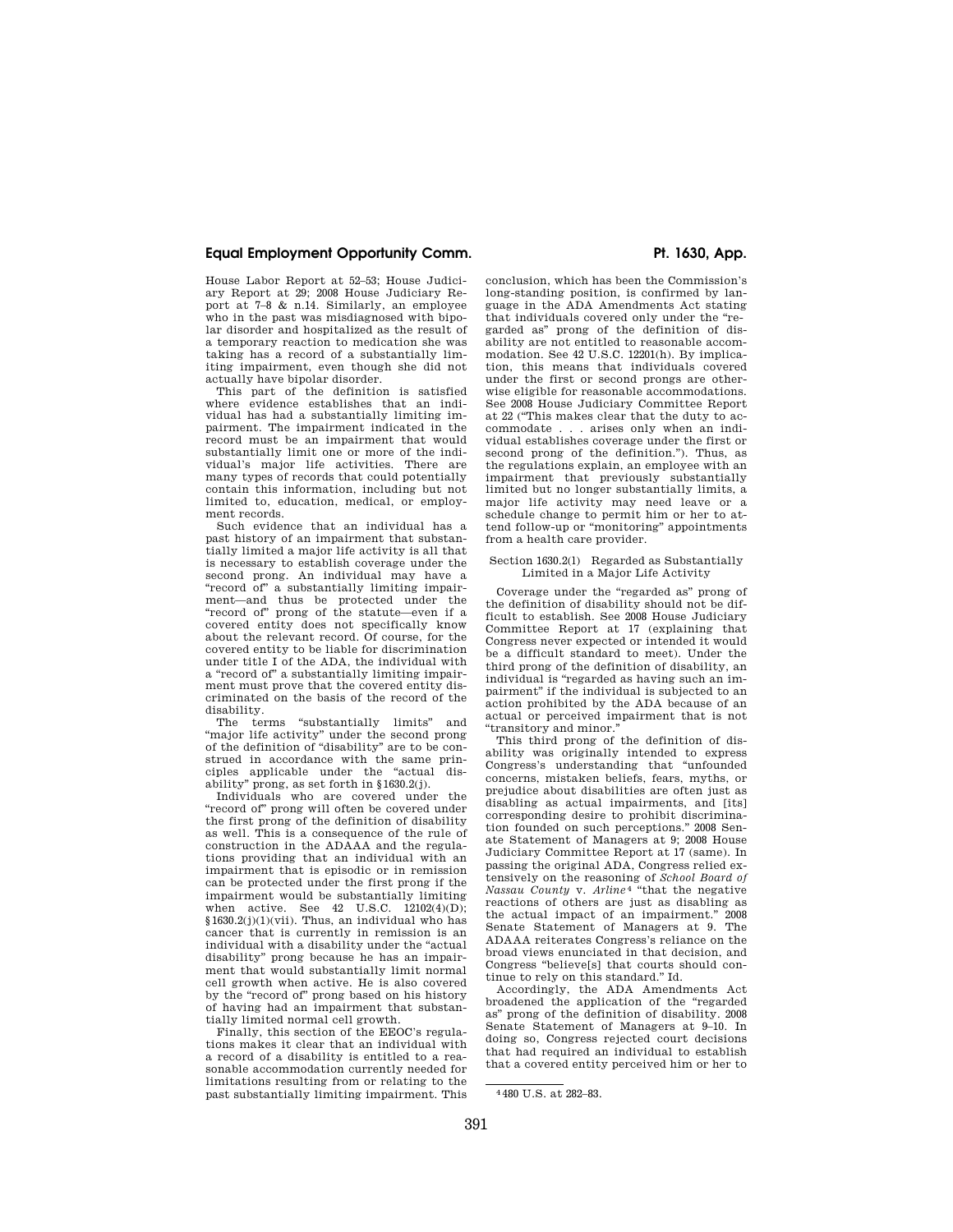House Labor Report at 52–53; House Judiciary Report at 29; 2008 House Judiciary Report at  $7-8$  & n.14. Similarly, an employee who in the past was misdiagnosed with bipolar disorder and hospitalized as the result of a temporary reaction to medication she was taking has a record of a substantially limiting impairment, even though she did not actually have bipolar disorder.

This part of the definition is satisfied where evidence establishes that an individual has had a substantially limiting impairment. The impairment indicated in the record must be an impairment that would substantially limit one or more of the individual's major life activities. There are many types of records that could potentially contain this information, including but not limited to, education, medical, or employment records.

Such evidence that an individual has a past history of an impairment that substantially limited a major life activity is all that is necessary to establish coverage under the second prong. An individual may have a "record of" a substantially limiting impairment—and thus be protected under the "record of" prong of the statute—even if a covered entity does not specifically know about the relevant record. Of course, for the covered entity to be liable for discrimination under title I of the ADA, the individual with a "record of" a substantially limiting impairment must prove that the covered entity discriminated on the basis of the record of the disability.<br>The terms

"substantially limits" and "major life activity" under the second prong of the definition of ''disability'' are to be construed in accordance with the same principles applicable under the "actual ability'' prong, as set forth in §1630.2(j).

Individuals who are covered under the "record of" prong will often be covered under the first prong of the definition of disability as well. This is a consequence of the rule of construction in the ADAAA and the regulations providing that an individual with an impairment that is episodic or in remission can be protected under the first prong if the impairment would be substantially limiting when active. See 42 U.S.C. 12102(4)(D); §1630.2(j)(1)(vii). Thus, an individual who has cancer that is currently in remission is an individual with a disability under the "actual disability'' prong because he has an impairment that would substantially limit normal cell growth when active. He is also covered by the ''record of'' prong based on his history of having had an impairment that substantially limited normal cell growth.

Finally, this section of the EEOC's regulations makes it clear that an individual with a record of a disability is entitled to a reasonable accommodation currently needed for limitations resulting from or relating to the past substantially limiting impairment. This

conclusion, which has been the Commission's long-standing position, is confirmed by language in the ADA Amendments Act stating that individuals covered only under the ''regarded as'' prong of the definition of disability are not entitled to reasonable accommodation. See 42 U.S.C. 12201(h). By implication, this means that individuals covered under the first or second prongs are otherwise eligible for reasonable accommodations. See 2008 House Judiciary Committee Report at 22 (''This makes clear that the duty to accommodate . . . arises only when an individual establishes coverage under the first or second prong of the definition.''). Thus, as the regulations explain, an employee with an impairment that previously substantially limited but no longer substantially limits, a major life activity may need leave or a schedule change to permit him or her to attend follow-up or "monitoring" appointments from a health care provider.

### Section 1630.2(l) Regarded as Substantially Limited in a Major Life Activity

Coverage under the "regarded as" prong of the definition of disability should not be difficult to establish. See 2008 House Judiciary Committee Report at 17 (explaining that Congress never expected or intended it would be a difficult standard to meet). Under the third prong of the definition of disability, an individual is "regarded as having such an impairment'' if the individual is subjected to an action prohibited by the ADA because of an actual or perceived impairment that is not ''transitory and minor.''

This third prong of the definition of disability was originally intended to express Congress's understanding that ''unfounded concerns, mistaken beliefs, fears, myths, or prejudice about disabilities are often just as disabling as actual impairments, and [its] corresponding desire to prohibit discrimination founded on such perceptions.'' 2008 Senate Statement of Managers at 9; 2008 House Judiciary Committee Report at 17 (same). In passing the original ADA, Congress relied extensively on the reasoning of *School Board of Nassau County* v. *Arline* <sup>4</sup> ''that the negative reactions of others are just as disabling as the actual impact of an impairment.'' 2008 Senate Statement of Managers at 9. The ADAAA reiterates Congress's reliance on the broad views enunciated in that decision, and Congress ''believe[s] that courts should continue to rely on this standard.'' Id.

Accordingly, the ADA Amendments Act broadened the application of the ''regarded as'' prong of the definition of disability. 2008 Senate Statement of Managers at 9–10. In doing so, Congress rejected court decisions that had required an individual to establish that a covered entity perceived him or her to

<sup>4</sup> 480 U.S. at 282–83.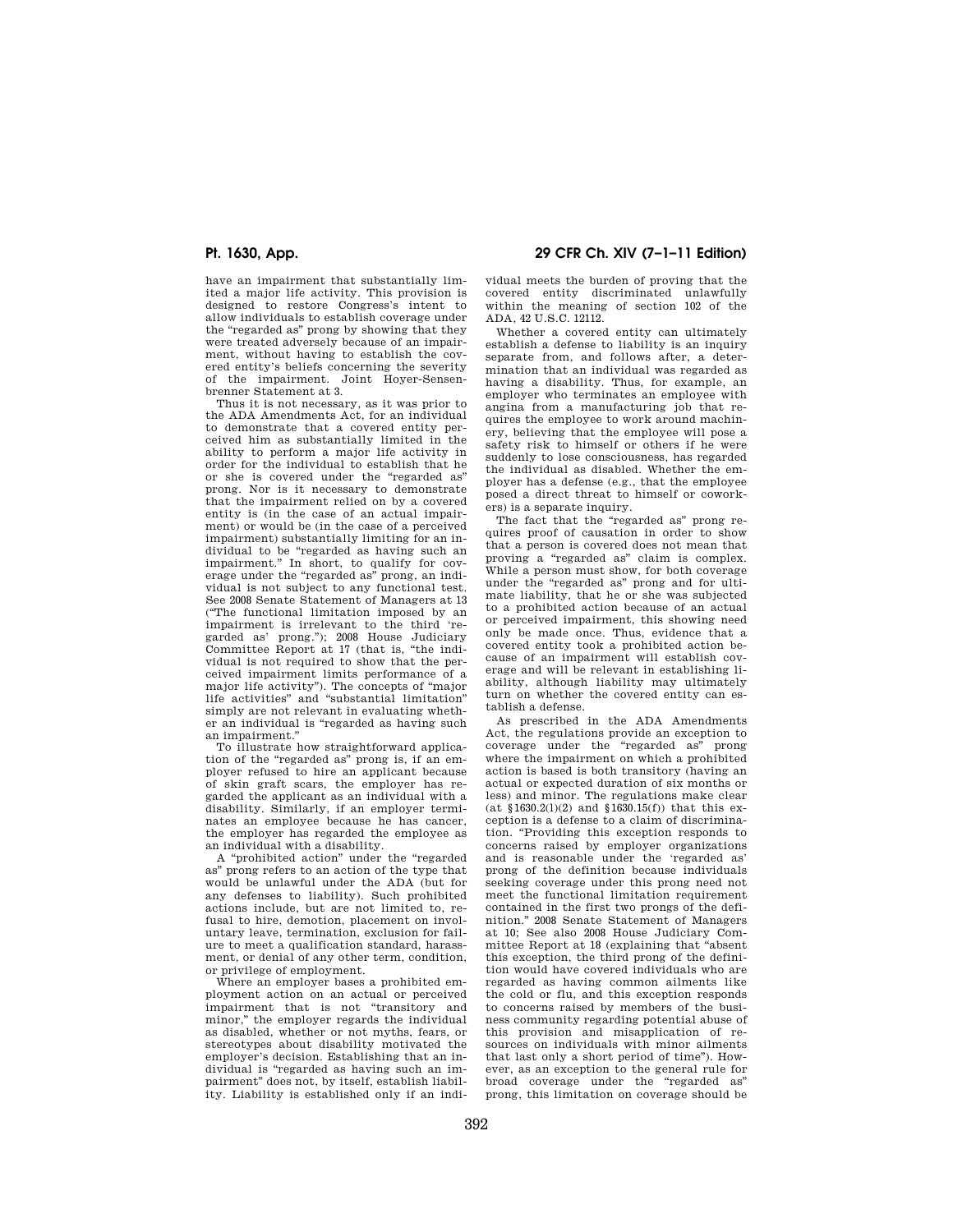have an impairment that substantially limited a major life activity. This provision is designed to restore Congress's intent to allow individuals to establish coverage under the "regarded as" prong by showing that they were treated adversely because of an impairment, without having to establish the covered entity's beliefs concerning the severity of the impairment. Joint Hoyer-Sensenbrenner Statement at 3.

Thus it is not necessary, as it was prior to the ADA Amendments Act, for an individual to demonstrate that a covered entity perceived him as substantially limited in the ability to perform a major life activity in order for the individual to establish that he or she is covered under the "regarded as" prong. Nor is it necessary to demonstrate that the impairment relied on by a covered entity is (in the case of an actual impairment) or would be (in the case of a perceived impairment) substantially limiting for an individual to be "regarded as having such an impairment.'' In short, to qualify for coverage under the "regarded as" prong, an individual is not subject to any functional test. See 2008 Senate Statement of Managers at 13 (''The functional limitation imposed by an impairment is irrelevant to the third 'regarded as' prong.''); 2008 House Judiciary Committee Report at 17 (that is, "the individual is not required to show that the perceived impairment limits performance of a major life activity''). The concepts of ''major life activities'' and ''substantial limitation'' simply are not relevant in evaluating whether an individual is "regarded as having such an impairment.''

To illustrate how straightforward application of the "regarded as" prong is, if an employer refused to hire an applicant because of skin graft scars, the employer has regarded the applicant as an individual with a disability. Similarly, if an employer terminates an employee because he has cancer, the employer has regarded the employee as an individual with a disability.

A ''prohibited action'' under the ''regarded as'' prong refers to an action of the type that would be unlawful under the ADA (but for any defenses to liability). Such prohibited actions include, but are not limited to, refusal to hire, demotion, placement on involuntary leave, termination, exclusion for failure to meet a qualification standard, harassment, or denial of any other term, condition, or privilege of employment.

Where an employer bases a prohibited employment action on an actual or perceived impairment that is not ''transitory and minor,'' the employer regards the individual as disabled, whether or not myths, fears, or stereotypes about disability motivated the employer's decision. Establishing that an individual is "regarded as having such an impairment'' does not, by itself, establish liability. Liability is established only if an indi-

## **Pt. 1630, App. 29 CFR Ch. XIV (7–1–11 Edition)**

vidual meets the burden of proving that the covered entity discriminated unlawfully within the meaning of section 102 of the ADA, 42 U.S.C. 12112.

Whether a covered entity can ultimately establish a defense to liability is an inquiry separate from, and follows after, a determination that an individual was regarded as having a disability. Thus, for example, an employer who terminates an employee with angina from a manufacturing job that requires the employee to work around machinery, believing that the employee will pose a safety risk to himself or others if he were suddenly to lose consciousness, has regarded the individual as disabled. Whether the employer has a defense (e.g., that the employee posed a direct threat to himself or coworkers) is a separate inquiry.

The fact that the "regarded as" prong requires proof of causation in order to show that a person is covered does not mean that proving a "regarded as" claim is complex. While a person must show, for both coverage under the "regarded as" prong and for ultimate liability, that he or she was subjected to a prohibited action because of an actual or perceived impairment, this showing need only be made once. Thus, evidence that a covered entity took a prohibited action because of an impairment will establish coverage and will be relevant in establishing liability, although liability may ultimately turn on whether the covered entity can establish a defense.

As prescribed in the ADA Amendments Act, the regulations provide an exception to coverage under the "regarded as" prong where the impairment on which a prohibited action is based is both transitory (having an actual or expected duration of six months or less) and minor. The regulations make clear (at  $$1630.2(1)(2)$  and  $$1630.15(f)$ ) that this exception is a defense to a claim of discrimination. "Providing this exception responds to concerns raised by employer organizations and is reasonable under the 'regarded as' prong of the definition because individuals seeking coverage under this prong need not meet the functional limitation requirement contained in the first two prongs of the definition.'' 2008 Senate Statement of Managers at 10; See also 2008 House Judiciary Committee Report at 18 (explaining that ''absent this exception, the third prong of the definition would have covered individuals who are regarded as having common ailments like the cold or flu, and this exception responds to concerns raised by members of the business community regarding potential abuse of this provision and misapplication of resources on individuals with minor ailments that last only a short period of time''). However, as an exception to the general rule for broad coverage under the "regarded as" prong, this limitation on coverage should be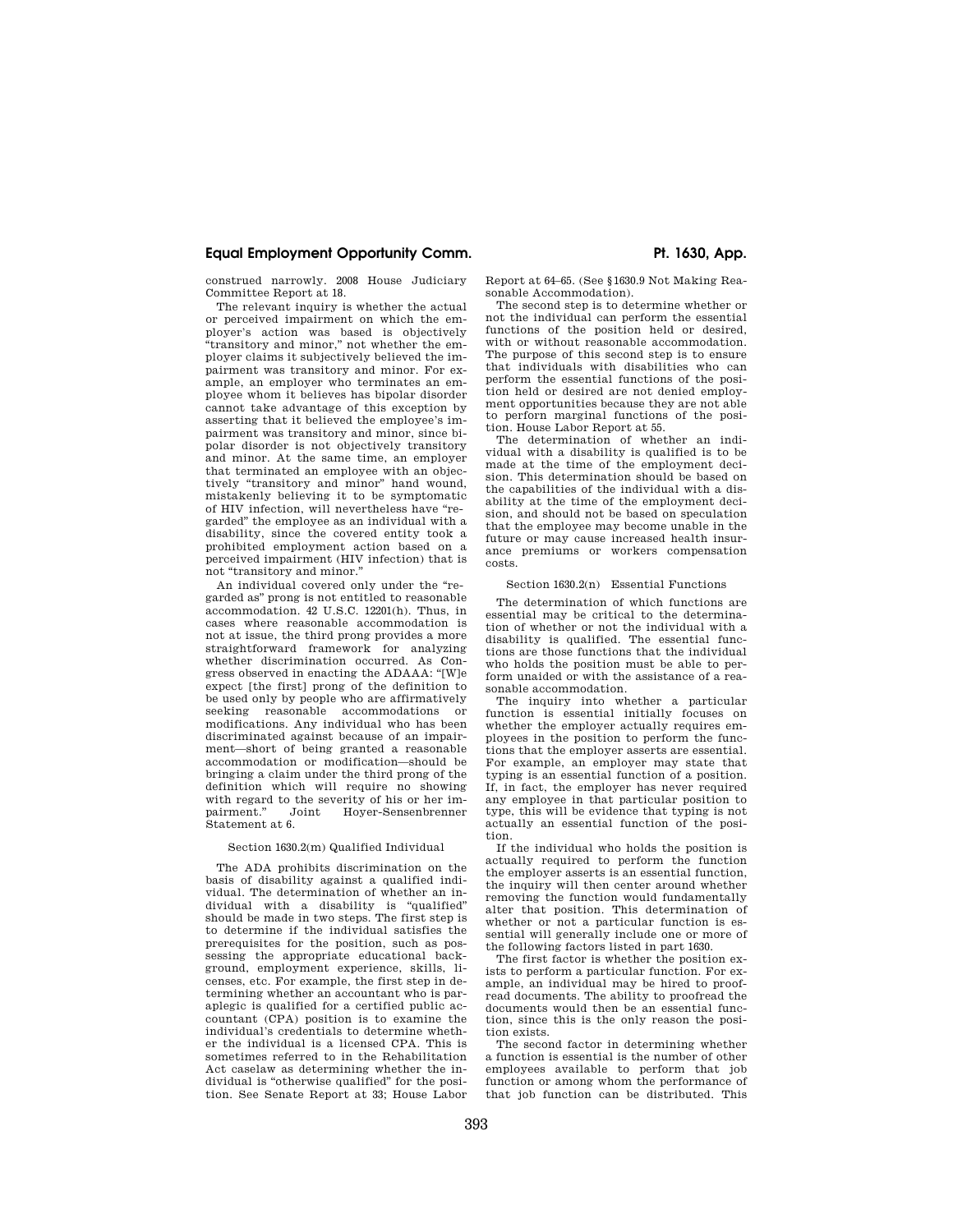construed narrowly. 2008 House Judiciary Committee Report at 18.

The relevant inquiry is whether the actual or perceived impairment on which the employer's action was based is objectively 'transitory and minor," not whether the employer claims it subjectively believed the impairment was transitory and minor. For example, an employer who terminates an employee whom it believes has bipolar disorder cannot take advantage of this exception by asserting that it believed the employee's impairment was transitory and minor, since bipolar disorder is not objectively transitory and minor. At the same time, an employer that terminated an employee with an objectively "transitory and minor" hand wound, mistakenly believing it to be symptomatic of HIV infection, will nevertheless have "regarded'' the employee as an individual with a disability, since the covered entity took a prohibited employment action based on a perceived impairment (HIV infection) that is not "transitory and minor."

An individual covered only under the "regarded as'' prong is not entitled to reasonable accommodation. 42 U.S.C. 12201(h). Thus, in cases where reasonable accommodation is not at issue, the third prong provides a more straightforward framework for analyzing whether discrimination occurred. As Congress observed in enacting the ADAAA: ''[W]e expect [the first] prong of the definition to be used only by people who are affirmatively seeking reasonable accommodations or modifications. Any individual who has been discriminated against because of an impairment—short of being granted a reasonable accommodation or modification—should be bringing a claim under the third prong of the definition which will require no showing with regard to the severity of his or her im-<br>pairment." Joint Hover-Sensenbrenner Hoyer-Sensenbrenner Statement at 6.

### Section 1630.2(m) Qualified Individual

The ADA prohibits discrimination on the basis of disability against a qualified individual. The determination of whether an individual with a disability is ''qualified'' should be made in two steps. The first step is to determine if the individual satisfies the prerequisites for the position, such as possessing the appropriate educational background, employment experience, skills, licenses, etc. For example, the first step in determining whether an accountant who is paraplegic is qualified for a certified public accountant (CPA) position is to examine the individual's credentials to determine whether the individual is a licensed CPA. This is sometimes referred to in the Rehabilitation Act caselaw as determining whether the individual is "otherwise qualified" for the position. See Senate Report at 33; House Labor

Report at 64–65. (See §1630.9 Not Making Reasonable Accommodation).

The second step is to determine whether or not the individual can perform the essential functions of the position held or desired, with or without reasonable accommodation. The purpose of this second step is to ensure that individuals with disabilities who can perform the essential functions of the position held or desired are not denied employment opportunities because they are not able to perforn marginal functions of the position. House Labor Report at 55.

The determination of whether an individual with a disability is qualified is to be made at the time of the employment decision. This determination should be based on the capabilities of the individual with a disability at the time of the employment decision, and should not be based on speculation that the employee may become unable in the future or may cause increased health insurance premiums or workers compensation costs.

### Section 1630.2(n) Essential Functions

The determination of which functions are essential may be critical to the determination of whether or not the individual with a disability is qualified. The essential functions are those functions that the individual who holds the position must be able to perform unaided or with the assistance of a reasonable accommodation.

The inquiry into whether a particular function is essential initially focuses on whether the employer actually requires employees in the position to perform the functions that the employer asserts are essential. For example, an employer may state that typing is an essential function of a position. If, in fact, the employer has never required any employee in that particular position to type, this will be evidence that typing is not actually an essential function of the position.

If the individual who holds the position is actually required to perform the function the employer asserts is an essential function, the inquiry will then center around whether removing the function would fundamentally alter that position. This determination of whether or not a particular function is essential will generally include one or more of the following factors listed in part 1630.

The first factor is whether the position exists to perform a particular function. For example, an individual may be hired to proofread documents. The ability to proofread the documents would then be an essential function, since this is the only reason the position exists.

The second factor in determining whether a function is essential is the number of other employees available to perform that job function or among whom the performance of that job function can be distributed. This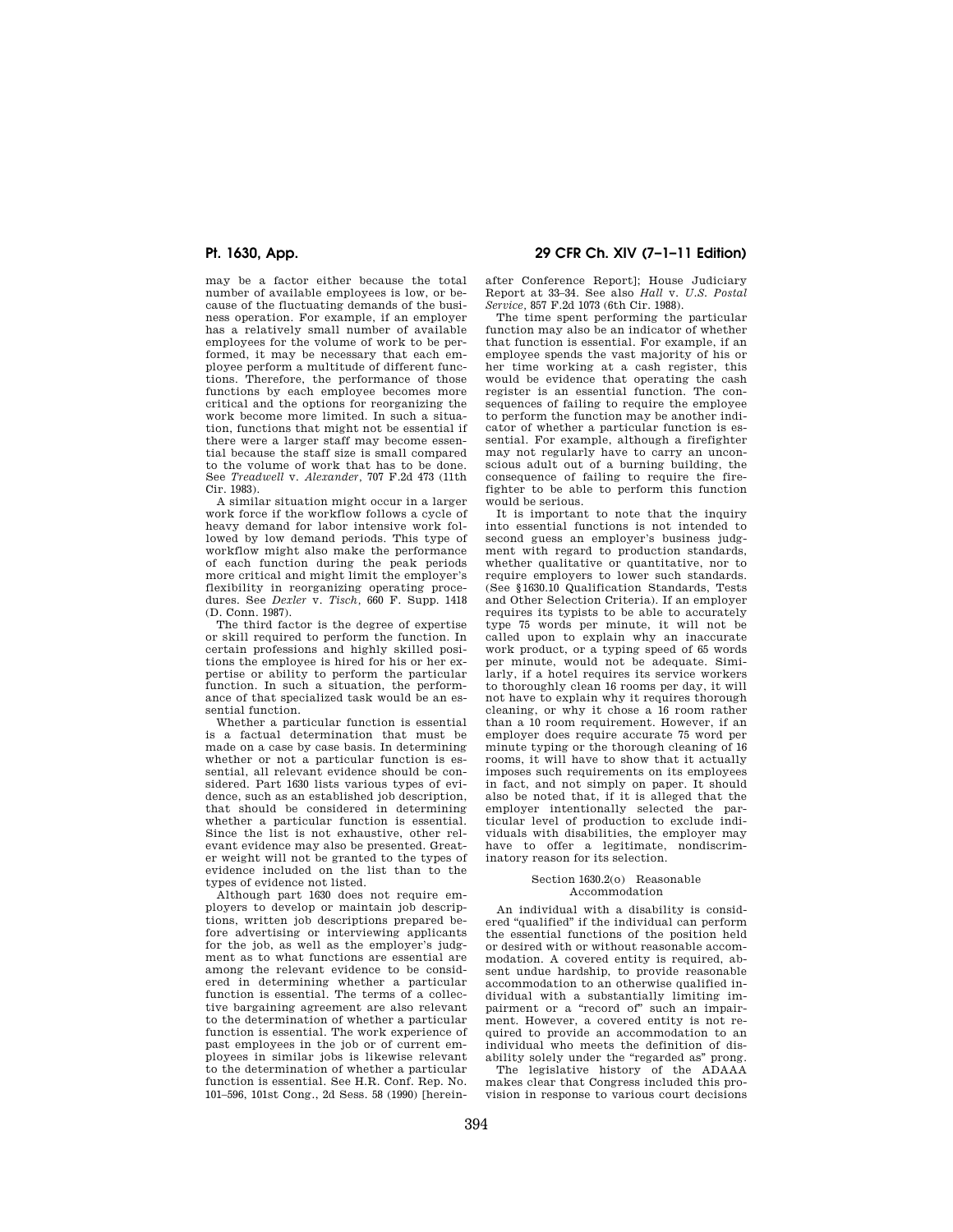may be a factor either because the total number of available employees is low, or because of the fluctuating demands of the business operation. For example, if an employer has a relatively small number of available employees for the volume of work to be performed, it may be necessary that each employee perform a multitude of different functions. Therefore, the performance of those functions by each employee becomes more critical and the options for reorganizing the work become more limited. In such a situation, functions that might not be essential if there were a larger staff may become essential because the staff size is small compared to the volume of work that has to be done. See *Treadwell* v. *Alexander,* 707 F.2d 473 (11th Cir. 1983).

A similar situation might occur in a larger work force if the workflow follows a cycle of heavy demand for labor intensive work followed by low demand periods. This type of workflow might also make the performance of each function during the peak periods more critical and might limit the employer's flexibility in reorganizing operating procedures. See *Dexler* v. *Tisch,* 660 F. Supp. 1418 (D. Conn. 1987).

The third factor is the degree of expertise or skill required to perform the function. In certain professions and highly skilled positions the employee is hired for his or her expertise or ability to perform the particular function. In such a situation, the performance of that specialized task would be an essential function.

Whether a particular function is essential is a factual determination that must be made on a case by case basis. In determining whether or not a particular function is essential, all relevant evidence should be considered. Part 1630 lists various types of evidence, such as an established job description, that should be considered in determining whether a particular function is essential. Since the list is not exhaustive, other relevant evidence may also be presented. Greater weight will not be granted to the types of evidence included on the list than to the types of evidence not listed.

Although part 1630 does not require employers to develop or maintain job descriptions, written job descriptions prepared before advertising or interviewing applicants for the job, as well as the employer's judgment as to what functions are essential are among the relevant evidence to be considered in determining whether a particular function is essential. The terms of a collective bargaining agreement are also relevant to the determination of whether a particular function is essential. The work experience of past employees in the job or of current employees in similar jobs is likewise relevant to the determination of whether a particular function is essential. See H.R. Conf. Rep. No. 101–596, 101st Cong., 2d Sess. 58 (1990) [herein-

## **Pt. 1630, App. 29 CFR Ch. XIV (7–1–11 Edition)**

after Conference Report]; House Judiciary Report at 33–34. See also *Hall* v. *U.S. Postal Service,* 857 F.2d 1073 (6th Cir. 1988).

The time spent performing the particular function may also be an indicator of whether that function is essential. For example, if an employee spends the vast majority of his or her time working at a cash register, this would be evidence that operating the cash register is an essential function. The consequences of failing to require the employee to perform the function may be another indicator of whether a particular function is essential. For example, although a firefighter may not regularly have to carry an unconscious adult out of a burning building, the consequence of failing to require the firefighter to be able to perform this function would be serious.

It is important to note that the inquiry into essential functions is not intended to second guess an employer's business judgment with regard to production standards, whether qualitative or quantitative, nor to require employers to lower such standards. (See §1630.10 Qualification Standards, Tests and Other Selection Criteria). If an employer requires its typists to be able to accurately type 75 words per minute, it will not be called upon to explain why an inaccurate work product, or a typing speed of 65 words per minute, would not be adequate. Similarly, if a hotel requires its service workers to thoroughly clean 16 rooms per day, it will not have to explain why it requires thorough cleaning, or why it chose a 16 room rather than a 10 room requirement. However, if an employer does require accurate 75 word per minute typing or the thorough cleaning of 16 rooms, it will have to show that it actually imposes such requirements on its employees in fact, and not simply on paper. It should also be noted that, if it is alleged that the employer intentionally selected the particular level of production to exclude individuals with disabilities, the employer may have to offer a legitimate, nondiscriminatory reason for its selection.

### Section 1630.2(o) Reasonable Accommodation

An individual with a disability is considered "qualified" if the individual can perform the essential functions of the position held or desired with or without reasonable accommodation. A covered entity is required, absent undue hardship, to provide reasonable accommodation to an otherwise qualified individual with a substantially limiting impairment or a "record of" such an impairment. However, a covered entity is not required to provide an accommodation to an individual who meets the definition of disability solely under the "regarded as" prong.

The legislative history of the ADAAA makes clear that Congress included this provision in response to various court decisions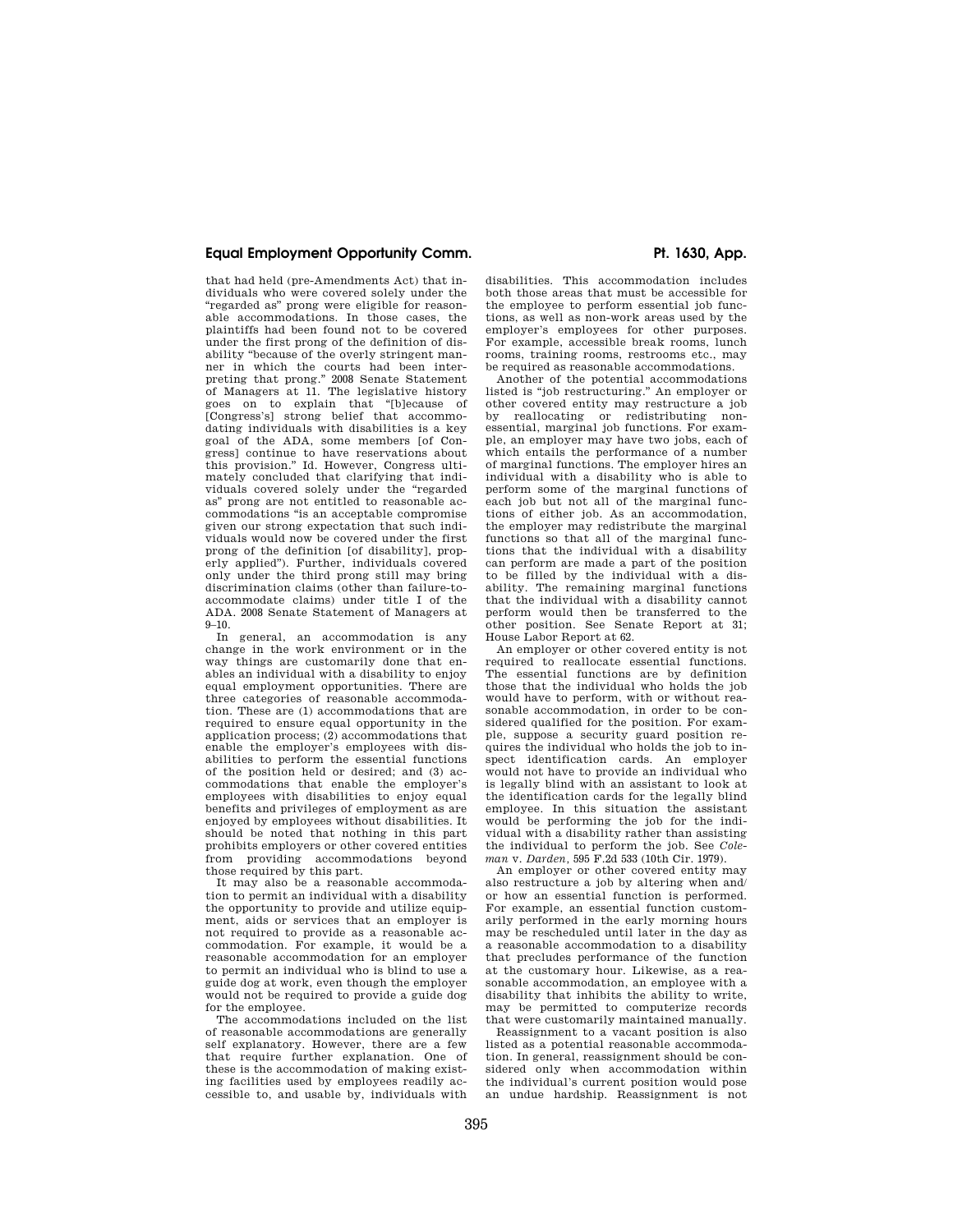that had held (pre-Amendments Act) that individuals who were covered solely under the ''regarded as'' prong were eligible for reasonable accommodations. In those cases, the plaintiffs had been found not to be covered under the first prong of the definition of disability ''because of the overly stringent manner in which the courts had been interpreting that prong.'' 2008 Senate Statement of Managers at 11. The legislative history goes on to explain that ''[b]ecause of [Congress's] strong belief that accommodating individuals with disabilities is a key goal of the ADA, some members [of Congress] continue to have reservations about this provision.'' Id. However, Congress ultimately concluded that clarifying that individuals covered solely under the ''regarded as'' prong are not entitled to reasonable accommodations ''is an acceptable compromise given our strong expectation that such individuals would now be covered under the first prong of the definition [of disability], properly applied''). Further, individuals covered only under the third prong still may bring discrimination claims (other than failure-toaccommodate claims) under title I of the ADA. 2008 Senate Statement of Managers at 9–10.

In general, an accommodation is any change in the work environment or in the way things are customarily done that enables an individual with a disability to enjoy equal employment opportunities. There are three categories of reasonable accommodation. These are (1) accommodations that are required to ensure equal opportunity in the application process; (2) accommodations that enable the employer's employees with disabilities to perform the essential functions of the position held or desired; and (3) accommodations that enable the employer's employees with disabilities to enjoy equal benefits and privileges of employment as are enjoyed by employees without disabilities. It should be noted that nothing in this part prohibits employers or other covered entities from providing accommodations beyond those required by this part.

It may also be a reasonable accommodation to permit an individual with a disability the opportunity to provide and utilize equipment, aids or services that an employer is not required to provide as a reasonable accommodation. For example, it would be a reasonable accommodation for an employer to permit an individual who is blind to use a guide dog at work, even though the employer would not be required to provide a guide dog for the employee.

The accommodations included on the list of reasonable accommodations are generally self explanatory. However, there are a few that require further explanation. One of these is the accommodation of making existing facilities used by employees readily accessible to, and usable by, individuals with disabilities. This accommodation includes both those areas that must be accessible for the employee to perform essential job functions, as well as non-work areas used by the employer's employees for other purposes. For example, accessible break rooms, lunch rooms, training rooms, restrooms etc., may be required as reasonable accommodations.

Another of the potential accommodations listed is ''job restructuring.'' An employer or other covered entity may restructure a job by reallocating or redistributing nonessential, marginal job functions. For example, an employer may have two jobs, each of which entails the performance of a number of marginal functions. The employer hires an individual with a disability who is able to perform some of the marginal functions of each job but not all of the marginal functions of either job. As an accommodation, the employer may redistribute the marginal functions so that all of the marginal functions that the individual with a disability can perform are made a part of the position to be filled by the individual with a disability. The remaining marginal functions that the individual with a disability cannot perform would then be transferred to the other position. See Senate Report at 31; House Labor Report at 62.

An employer or other covered entity is not required to reallocate essential functions. The essential functions are by definition those that the individual who holds the job would have to perform, with or without reasonable accommodation, in order to be considered qualified for the position. For example, suppose a security guard position requires the individual who holds the job to inspect identification cards. An employer would not have to provide an individual who is legally blind with an assistant to look at the identification cards for the legally blind employee. In this situation the assistant would be performing the job for the individual with a disability rather than assisting the individual to perform the job. See *Coleman* v. *Darden,* 595 F.2d 533 (10th Cir. 1979).

An employer or other covered entity may also restructure a job by altering when and/ or how an essential function is performed. For example, an essential function customarily performed in the early morning hours may be rescheduled until later in the day as a reasonable accommodation to a disability that precludes performance of the function at the customary hour. Likewise, as a reasonable accommodation, an employee with a disability that inhibits the ability to write, may be permitted to computerize records that were customarily maintained manually.

Reassignment to a vacant position is also listed as a potential reasonable accommodation. In general, reassignment should be considered only when accommodation within the individual's current position would pose an undue hardship. Reassignment is not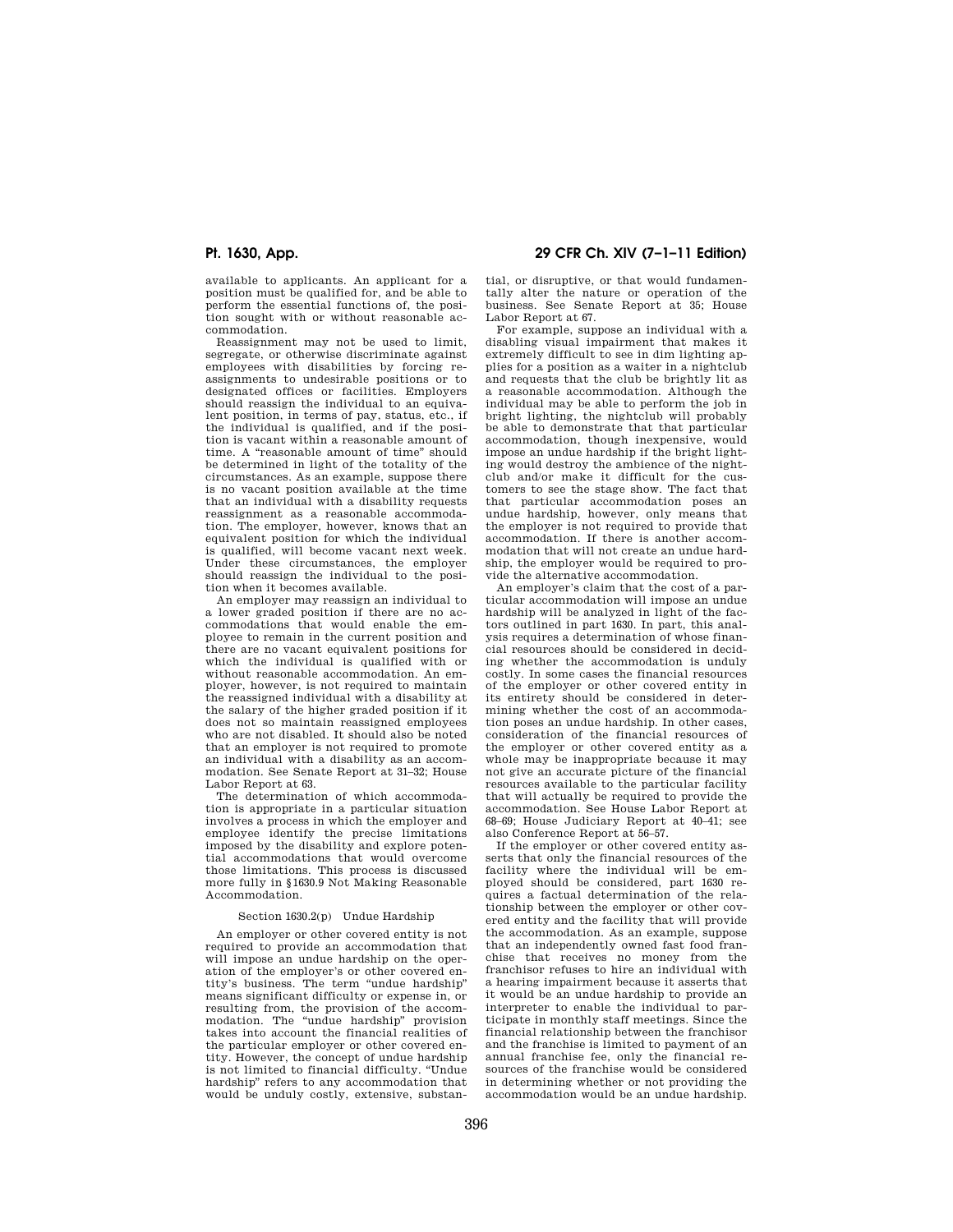available to applicants. An applicant for a position must be qualified for, and be able to perform the essential functions of, the position sought with or without reasonable accommodation.

Reassignment may not be used to limit, segregate, or otherwise discriminate against employees with disabilities by forcing reassignments to undesirable positions or to designated offices or facilities. Employers should reassign the individual to an equivalent position, in terms of pay, status, etc., if the individual is qualified, and if the position is vacant within a reasonable amount of time. A "reasonable amount of time" should be determined in light of the totality of the circumstances. As an example, suppose there is no vacant position available at the time that an individual with a disability requests reassignment as a reasonable accommodation. The employer, however, knows that an equivalent position for which the individual is qualified, will become vacant next week. Under these circumstances, the employer should reassign the individual to the position when it becomes available.

An employer may reassign an individual to a lower graded position if there are no accommodations that would enable the employee to remain in the current position and there are no vacant equivalent positions for which the individual is qualified with or without reasonable accommodation. An employer, however, is not required to maintain the reassigned individual with a disability at the salary of the higher graded position if it does not so maintain reassigned employees who are not disabled. It should also be noted that an employer is not required to promote an individual with a disability as an accommodation. See Senate Report at 31–32; House Labor Report at 63.

The determination of which accommodation is appropriate in a particular situation involves a process in which the employer and employee identify the precise limitations imposed by the disability and explore potential accommodations that would overcome those limitations. This process is discussed more fully in §1630.9 Not Making Reasonable Accommodation.

## Section 1630.2(p) Undue Hardship

An employer or other covered entity is not required to provide an accommodation that will impose an undue hardship on the operation of the employer's or other covered entity's business. The term ''undue hardship'' means significant difficulty or expense in, or resulting from, the provision of the accommodation. The ''undue hardship'' provision takes into account the financial realities of the particular employer or other covered entity. However, the concept of undue hardship is not limited to financial difficulty. ''Undue hardship'' refers to any accommodation that would be unduly costly, extensive, substan-

## **Pt. 1630, App. 29 CFR Ch. XIV (7–1–11 Edition)**

tial, or disruptive, or that would fundamentally alter the nature or operation of the business. See Senate Report at 35; House Labor Report at 67.

For example, suppose an individual with a disabling visual impairment that makes it extremely difficult to see in dim lighting applies for a position as a waiter in a nightclub and requests that the club be brightly lit as a reasonable accommodation. Although the individual may be able to perform the job in bright lighting, the nightclub will probably be able to demonstrate that that particular accommodation, though inexpensive, would impose an undue hardship if the bright lighting would destroy the ambience of the nightclub and/or make it difficult for the customers to see the stage show. The fact that that particular accommodation poses an undue hardship, however, only means that the employer is not required to provide that accommodation. If there is another accommodation that will not create an undue hardship, the employer would be required to provide the alternative accommodation.

An employer's claim that the cost of a particular accommodation will impose an undue hardship will be analyzed in light of the factors outlined in part 1630. In part, this analysis requires a determination of whose financial resources should be considered in deciding whether the accommodation is unduly costly. In some cases the financial resources of the employer or other covered entity in its entirety should be considered in determining whether the cost of an accommodation poses an undue hardship. In other cases, consideration of the financial resources of the employer or other covered entity as a whole may be inappropriate because it may not give an accurate picture of the financial resources available to the particular facility that will actually be required to provide the accommodation. See House Labor Report at 68–69; House Judiciary Report at 40–41; see also Conference Report at 56–57.

If the employer or other covered entity asserts that only the financial resources of the facility where the individual will be employed should be considered, part 1630 requires a factual determination of the relationship between the employer or other covered entity and the facility that will provide the accommodation. As an example, suppose that an independently owned fast food franchise that receives no money from the franchisor refuses to hire an individual with a hearing impairment because it asserts that it would be an undue hardship to provide an interpreter to enable the individual to participate in monthly staff meetings. Since the financial relationship between the franchisor and the franchise is limited to payment of an annual franchise fee, only the financial resources of the franchise would be considered in determining whether or not providing the accommodation would be an undue hardship.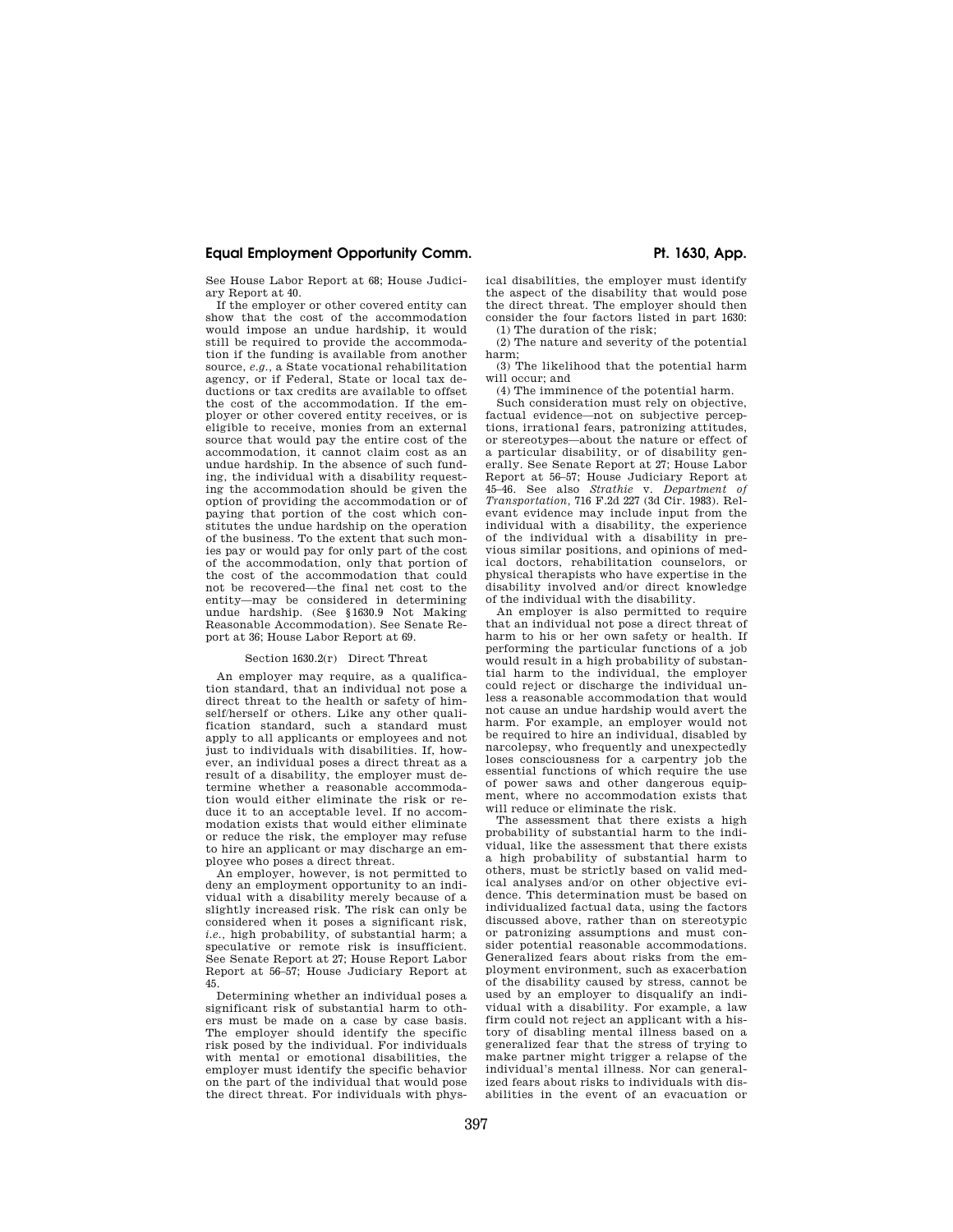See House Labor Report at 68; House Judiciary Report at 40.

If the employer or other covered entity can show that the cost of the accommodation would impose an undue hardship, it would still be required to provide the accommodation if the funding is available from another source, *e.g.,* a State vocational rehabilitation agency, or if Federal, State or local tax deductions or tax credits are available to offset the cost of the accommodation. If the employer or other covered entity receives, or is eligible to receive, monies from an external source that would pay the entire cost of the accommodation, it cannot claim cost as an undue hardship. In the absence of such funding, the individual with a disability requesting the accommodation should be given the option of providing the accommodation or of paying that portion of the cost which constitutes the undue hardship on the operation of the business. To the extent that such monies pay or would pay for only part of the cost of the accommodation, only that portion of the cost of the accommodation that could not be recovered—the final net cost to the entity—may be considered in determining undue hardship. (See §1630.9 Not Making Reasonable Accommodation). See Senate Report at 36; House Labor Report at 69.

## Section 1630.2(r) Direct Threat

An employer may require, as a qualification standard, that an individual not pose a direct threat to the health or safety of himself/herself or others. Like any other qualification standard, such a standard must apply to all applicants or employees and not just to individuals with disabilities. If, however, an individual poses a direct threat as a result of a disability, the employer must determine whether a reasonable accommodation would either eliminate the risk or reduce it to an acceptable level. If no accommodation exists that would either eliminate or reduce the risk, the employer may refuse to hire an applicant or may discharge an employee who poses a direct threat.

An employer, however, is not permitted to deny an employment opportunity to an individual with a disability merely because of a slightly increased risk. The risk can only be considered when it poses a significant risk, *i.e.,* high probability, of substantial harm; a speculative or remote risk is insufficient. See Senate Report at 27; House Report Labor Report at 56–57; House Judiciary Report at 45.

Determining whether an individual poses a significant risk of substantial harm to others must be made on a case by case basis. The employer should identify the specific risk posed by the individual. For individuals with mental or emotional disabilities, the employer must identify the specific behavior on the part of the individual that would pose the direct threat. For individuals with physical disabilities, the employer must identify the aspect of the disability that would pose the direct threat. The employer should then consider the four factors listed in part 1630:

(1) The duration of the risk; (2) The nature and severity of the potential harm;

(3) The likelihood that the potential harm will occur; and

(4) The imminence of the potential harm.

Such consideration must rely on objective, factual evidence—not on subjective perceptions, irrational fears, patronizing attitudes, or stereotypes—about the nature or effect of a particular disability, or of disability generally. See Senate Report at 27; House Labor Report at 56–57; House Judiciary Report at 45–46. See also *Strathie* v. *Department of Transportation,* 716 F.2d 227 (3d Cir. 1983). Relevant evidence may include input from the individual with a disability, the experience of the individual with a disability in previous similar positions, and opinions of medical doctors, rehabilitation counselors, or physical therapists who have expertise in the disability involved and/or direct knowledge of the individual with the disability.

An employer is also permitted to require that an individual not pose a direct threat of harm to his or her own safety or health. If performing the particular functions of a job would result in a high probability of substantial harm to the individual, the employer could reject or discharge the individual unless a reasonable accommodation that would not cause an undue hardship would avert the harm. For example, an employer would not be required to hire an individual, disabled by narcolepsy, who frequently and unexpectedly loses consciousness for a carpentry job the essential functions of which require the use of power saws and other dangerous equipment, where no accommodation exists that will reduce or eliminate the risk.

The assessment that there exists a high probability of substantial harm to the individual, like the assessment that there exists a high probability of substantial harm to others, must be strictly based on valid medical analyses and/or on other objective evidence. This determination must be based on individualized factual data, using the factors discussed above, rather than on stereotypic or patronizing assumptions and must consider potential reasonable accommodations. Generalized fears about risks from the employment environment, such as exacerbation of the disability caused by stress, cannot be used by an employer to disqualify an individual with a disability. For example, a law firm could not reject an applicant with a history of disabling mental illness based on a generalized fear that the stress of trying to make partner might trigger a relapse of the individual's mental illness. Nor can generalized fears about risks to individuals with disabilities in the event of an evacuation or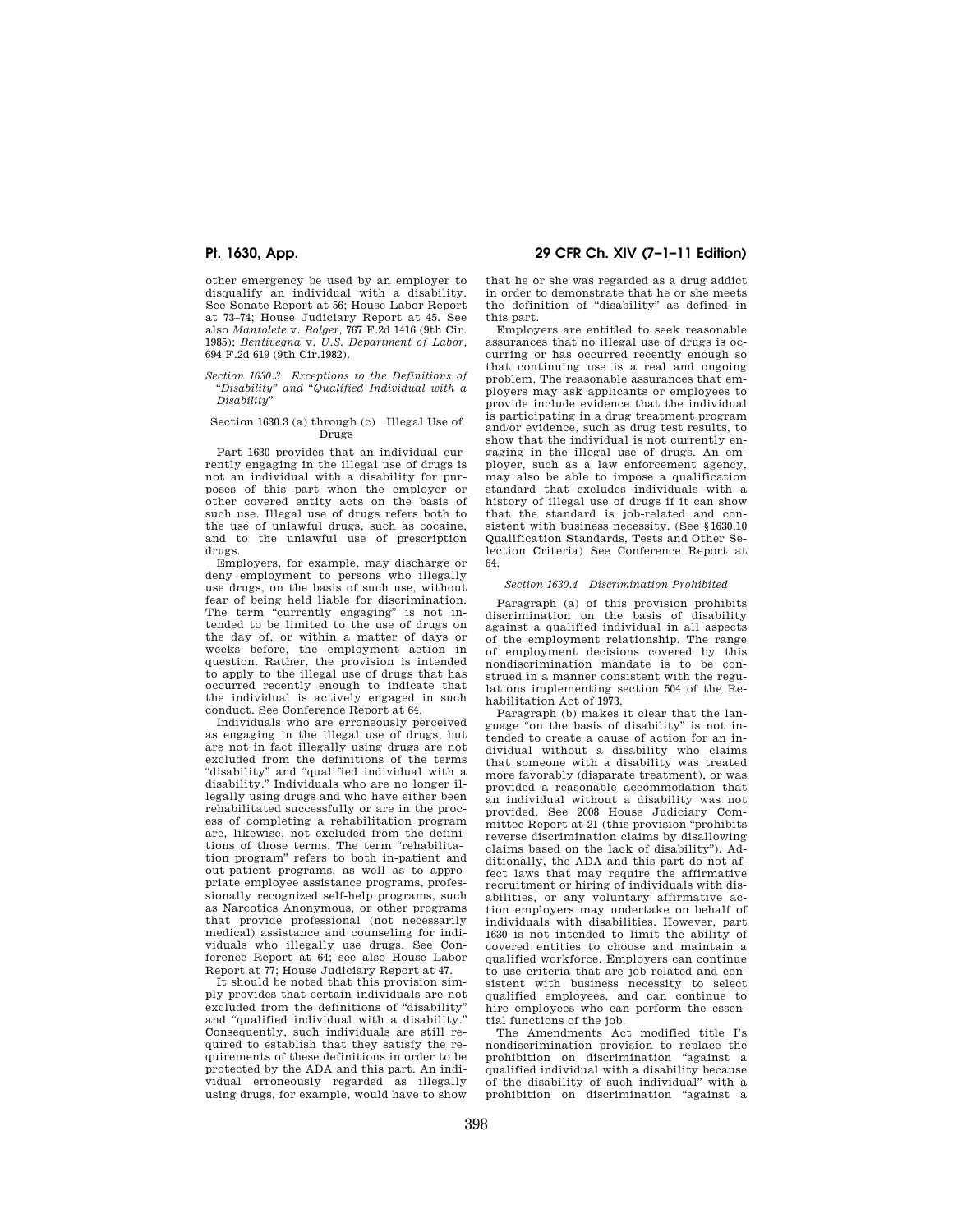other emergency be used by an employer to disqualify an individual with a disability. See Senate Report at 56; House Labor Report at 73–74; House Judiciary Report at 45. See also *Mantolete* v. *Bolger,* 767 F.2d 1416 (9th Cir. 1985); *Bentivegna* v. *U.S. Department of Labor,*  694 F.2d 619 (9th Cir.1982).

*Section 1630.3 Exceptions to the Definitions of*  ''*Disability*'' *and* ''*Qualified Individual with a Disability*''

#### Section 1630.3 (a) through (c) Illegal Use of Drugs

Part 1630 provides that an individual currently engaging in the illegal use of drugs is not an individual with a disability for purposes of this part when the employer or other covered entity acts on the basis of such use. Illegal use of drugs refers both to the use of unlawful drugs, such as cocaine, and to the unlawful use of prescription drugs.

Employers, for example, may discharge or deny employment to persons who illegally use drugs, on the basis of such use, without fear of being held liable for discrimination. The term "currently engaging" is not intended to be limited to the use of drugs on the day of, or within a matter of days or weeks before, the employment action in question. Rather, the provision is intended to apply to the illegal use of drugs that has occurred recently enough to indicate that the individual is actively engaged in such conduct. See Conference Report at 64.

Individuals who are erroneously perceived as engaging in the illegal use of drugs, but are not in fact illegally using drugs are not excluded from the definitions of the terms ''disability'' and ''qualified individual with a disability.'' Individuals who are no longer illegally using drugs and who have either been rehabilitated successfully or are in the process of completing a rehabilitation program are, likewise, not excluded from the definitions of those terms. The term "rehabilitation program'' refers to both in-patient and out-patient programs, as well as to appropriate employee assistance programs, professionally recognized self-help programs, such as Narcotics Anonymous, or other programs that provide professional (not necessarily medical) assistance and counseling for individuals who illegally use drugs. See Conference Report at 64; see also House Labor Report at 77; House Judiciary Report at 47.

It should be noted that this provision simply provides that certain individuals are not excluded from the definitions of ''disability'' and "qualified individual with a disability." Consequently, such individuals are still required to establish that they satisfy the requirements of these definitions in order to be protected by the ADA and this part. An individual erroneously regarded as illegally using drugs, for example, would have to show

**Pt. 1630, App. 29 CFR Ch. XIV (7–1–11 Edition)** 

that he or she was regarded as a drug addict in order to demonstrate that he or she meets the definition of ''disability'' as defined in this part.

Employers are entitled to seek reasonable assurances that no illegal use of drugs is occurring or has occurred recently enough so that continuing use is a real and ongoing problem. The reasonable assurances that employers may ask applicants or employees to provide include evidence that the individual is participating in a drug treatment program and/or evidence, such as drug test results, to show that the individual is not currently engaging in the illegal use of drugs. An employer, such as a law enforcement agency, may also be able to impose a qualification standard that excludes individuals with a history of illegal use of drugs if it can show that the standard is job-related and consistent with business necessity. (See §1630.10 Qualification Standards, Tests and Other Selection Criteria) See Conference Report at 64.

#### *Section 1630.4 Discrimination Prohibited*

Paragraph (a) of this provision prohibits discrimination on the basis of disability against a qualified individual in all aspects of the employment relationship. The range of employment decisions covered by this nondiscrimination mandate is to be construed in a manner consistent with the regulations implementing section 504 of the Rehabilitation Act of 1973.

Paragraph (b) makes it clear that the language ''on the basis of disability'' is not intended to create a cause of action for an individual without a disability who claims that someone with a disability was treated more favorably (disparate treatment), or was provided a reasonable accommodation that an individual without a disability was not provided. See 2008 House Judiciary Committee Report at 21 (this provision ''prohibits reverse discrimination claims by disallowing claims based on the lack of disability''). Additionally, the ADA and this part do not affect laws that may require the affirmative recruitment or hiring of individuals with disabilities, or any voluntary affirmative action employers may undertake on behalf of individuals with disabilities. However, part 1630 is not intended to limit the ability of covered entities to choose and maintain a qualified workforce. Employers can continue to use criteria that are job related and consistent with business necessity to select qualified employees, and can continue to hire employees who can perform the essential functions of the job.

The Amendments Act modified title I's nondiscrimination provision to replace the prohibition on discrimination ''against a qualified individual with a disability because of the disability of such individual'' with a prohibition on discrimination ''against a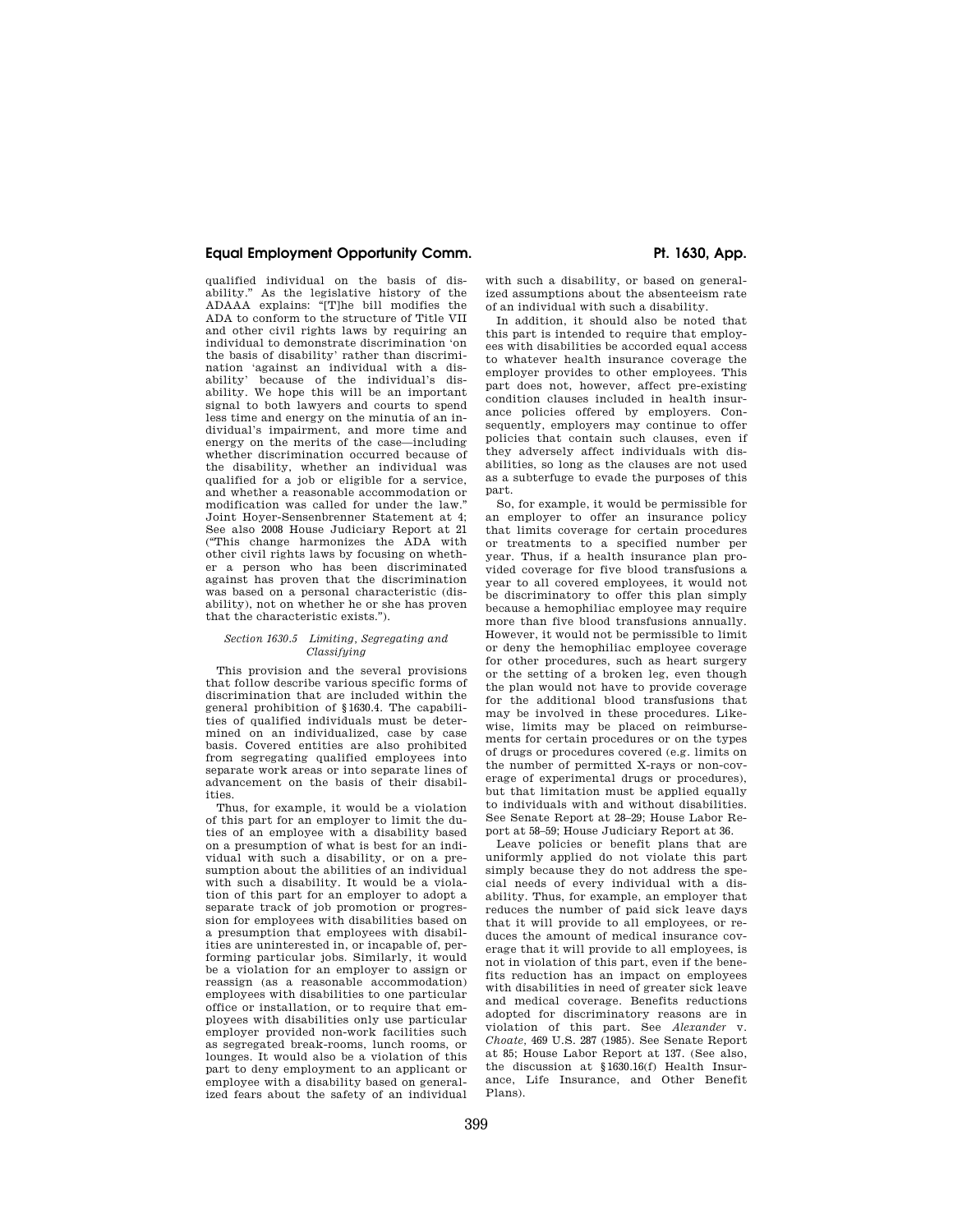qualified individual on the basis of disability.'' As the legislative history of the ADAAA explains: ''[T]he bill modifies the ADA to conform to the structure of Title VII and other civil rights laws by requiring an individual to demonstrate discrimination 'on the basis of disability' rather than discrimination 'against an individual with a disability' because of the individual's disability. We hope this will be an important signal to both lawyers and courts to spend less time and energy on the minutia of an individual's impairment, and more time and energy on the merits of the case—including whether discrimination occurred because of the disability, whether an individual was qualified for a job or eligible for a service, and whether a reasonable accommodation or modification was called for under the law.'' Joint Hoyer-Sensenbrenner Statement at 4; See also 2008 House Judiciary Report at 21 (''This change harmonizes the ADA with other civil rights laws by focusing on whether a person who has been discriminated against has proven that the discrimination was based on a personal characteristic (disability), not on whether he or she has proven that the characteristic exists.'').

### *Section 1630.5 Limiting, Segregating and Classifying*

This provision and the several provisions that follow describe various specific forms of discrimination that are included within the general prohibition of §1630.4. The capabilities of qualified individuals must be determined on an individualized, case by case basis. Covered entities are also prohibited from segregating qualified employees into separate work areas or into separate lines of advancement on the basis of their disabilities.

Thus, for example, it would be a violation of this part for an employer to limit the duties of an employee with a disability based on a presumption of what is best for an individual with such a disability, or on a presumption about the abilities of an individual with such a disability. It would be a violation of this part for an employer to adopt a separate track of job promotion or progression for employees with disabilities based on a presumption that employees with disabilities are uninterested in, or incapable of, performing particular jobs. Similarly, it would be a violation for an employer to assign or reassign (as a reasonable accommodation) employees with disabilities to one particular office or installation, or to require that employees with disabilities only use particular employer provided non-work facilities such as segregated break-rooms, lunch rooms, or lounges. It would also be a violation of this part to deny employment to an applicant or employee with a disability based on generalized fears about the safety of an individual with such a disability, or based on generalized assumptions about the absenteeism rate of an individual with such a disability.

In addition, it should also be noted that this part is intended to require that employees with disabilities be accorded equal access to whatever health insurance coverage the employer provides to other employees. This part does not, however, affect pre-existing condition clauses included in health insurance policies offered by employers. Consequently, employers may continue to offer policies that contain such clauses, even if they adversely affect individuals with disabilities, so long as the clauses are not used as a subterfuge to evade the purposes of this part.

So, for example, it would be permissible for an employer to offer an insurance policy that limits coverage for certain procedures or treatments to a specified number per year. Thus, if a health insurance plan provided coverage for five blood transfusions a year to all covered employees, it would not be discriminatory to offer this plan simply because a hemophiliac employee may require more than five blood transfusions annually. However, it would not be permissible to limit or deny the hemophiliac employee coverage for other procedures, such as heart surgery or the setting of a broken leg, even though the plan would not have to provide coverage for the additional blood transfusions that may be involved in these procedures. Likewise, limits may be placed on reimbursements for certain procedures or on the types of drugs or procedures covered (e.g. limits on the number of permitted X-rays or non-coverage of experimental drugs or procedures), but that limitation must be applied equally to individuals with and without disabilities. See Senate Report at 28–29; House Labor Report at 58–59; House Judiciary Report at 36.

Leave policies or benefit plans that are uniformly applied do not violate this part simply because they do not address the special needs of every individual with a disability. Thus, for example, an employer that reduces the number of paid sick leave days that it will provide to all employees, or reduces the amount of medical insurance coverage that it will provide to all employees, is not in violation of this part, even if the benefits reduction has an impact on employees with disabilities in need of greater sick leave and medical coverage. Benefits reductions adopted for discriminatory reasons are in violation of this part. See *Alexander* v. *Choate,* 469 U.S. 287 (1985). See Senate Report at 85; House Labor Report at 137. (See also, the discussion at §1630.16(f) Health Insurance, Life Insurance, and Other Benefit Plans).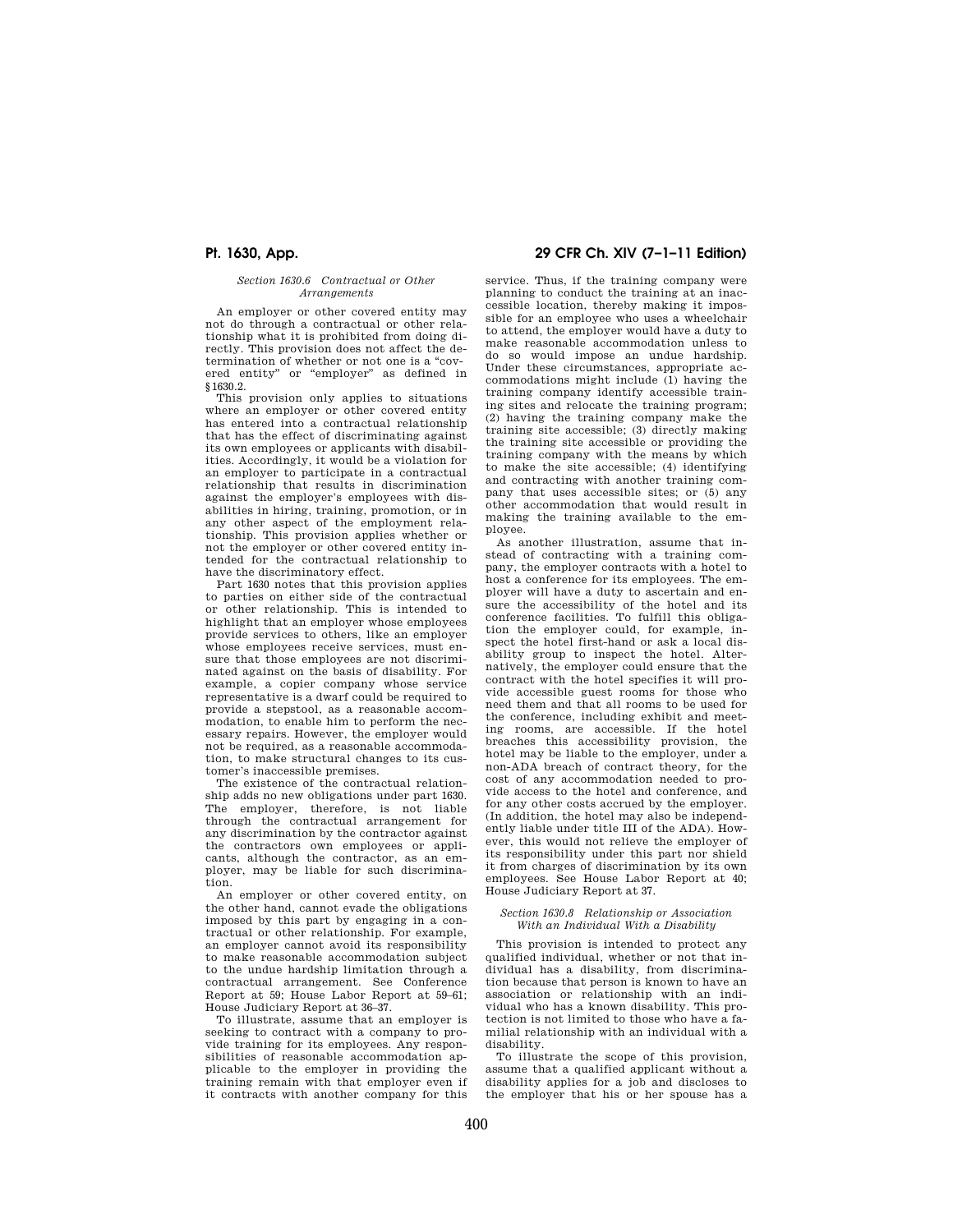#### *Section 1630.6 Contractual or Other Arrangements*

An employer or other covered entity may not do through a contractual or other relationship what it is prohibited from doing directly. This provision does not affect the determination of whether or not one is a ''covered entity" or "employer" as defined in §1630.2.

This provision only applies to situations where an employer or other covered entity has entered into a contractual relationship that has the effect of discriminating against its own employees or applicants with disabilities. Accordingly, it would be a violation for an employer to participate in a contractual relationship that results in discrimination against the employer's employees with disabilities in hiring, training, promotion, or in any other aspect of the employment relationship. This provision applies whether or not the employer or other covered entity intended for the contractual relationship to have the discriminatory effect.

Part 1630 notes that this provision applies to parties on either side of the contractual or other relationship. This is intended to highlight that an employer whose employees provide services to others, like an employer whose employees receive services, must ensure that those employees are not discriminated against on the basis of disability. For example, a copier company whose service representative is a dwarf could be required to provide a stepstool, as a reasonable accommodation, to enable him to perform the necessary repairs. However, the employer would not be required, as a reasonable accommodation, to make structural changes to its customer's inaccessible premises.

The existence of the contractual relationship adds no new obligations under part 1630. The employer, therefore, is not liable through the contractual arrangement for any discrimination by the contractor against the contractors own employees or applicants, although the contractor, as an employer, may be liable for such discrimination.

An employer or other covered entity, on the other hand, cannot evade the obligations imposed by this part by engaging in a contractual or other relationship. For example, an employer cannot avoid its responsibility to make reasonable accommodation subject to the undue hardship limitation through a contractual arrangement. See Conference Report at 59; House Labor Report at 59–61; House Judiciary Report at 36–37.

To illustrate, assume that an employer is seeking to contract with a company to provide training for its employees. Any responsibilities of reasonable accommodation applicable to the employer in providing the training remain with that employer even if it contracts with another company for this

# **Pt. 1630, App. 29 CFR Ch. XIV (7–1–11 Edition)**

service. Thus, if the training company were planning to conduct the training at an inaccessible location, thereby making it impossible for an employee who uses a wheelchair to attend, the employer would have a duty to make reasonable accommodation unless to do so would impose an undue hardship. Under these circumstances, appropriate accommodations might include (1) having the training company identify accessible training sites and relocate the training program; (2) having the training company make the training site accessible; (3) directly making the training site accessible or providing the training company with the means by which to make the site accessible; (4) identifying and contracting with another training company that uses accessible sites; or (5) any other accommodation that would result in making the training available to the employee.

As another illustration, assume that instead of contracting with a training company, the employer contracts with a hotel to host a conference for its employees. The employer will have a duty to ascertain and ensure the accessibility of the hotel and its conference facilities. To fulfill this obligation the employer could, for example, inspect the hotel first-hand or ask a local disability group to inspect the hotel. Alternatively, the employer could ensure that the contract with the hotel specifies it will provide accessible guest rooms for those who need them and that all rooms to be used for the conference, including exhibit and meeting rooms, are accessible. If the hotel breaches this accessibility provision, the hotel may be liable to the employer, under a non-ADA breach of contract theory, for the cost of any accommodation needed to provide access to the hotel and conference, and for any other costs accrued by the employer. (In addition, the hotel may also be independently liable under title III of the ADA). However, this would not relieve the employer of its responsibility under this part nor shield it from charges of discrimination by its own employees. See House Labor Report at 40; House Judiciary Report at 37.

### *Section 1630.8 Relationship or Association With an Individual With a Disability*

This provision is intended to protect any qualified individual, whether or not that individual has a disability, from discrimination because that person is known to have an association or relationship with an individual who has a known disability. This protection is not limited to those who have a familial relationship with an individual with a disability.

To illustrate the scope of this provision, assume that a qualified applicant without a disability applies for a job and discloses to the employer that his or her spouse has a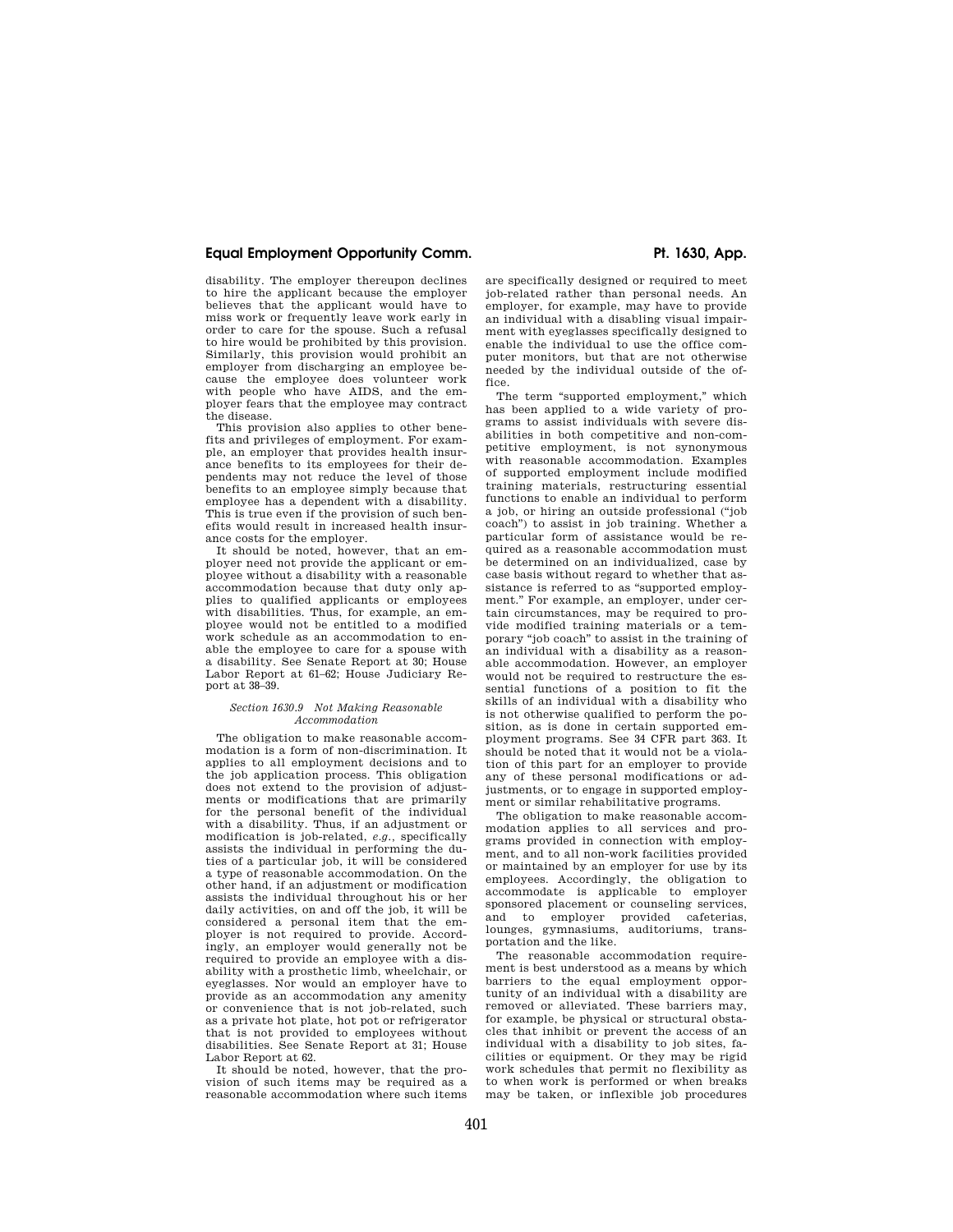disability. The employer thereupon declines to hire the applicant because the employer believes that the applicant would have to miss work or frequently leave work early in order to care for the spouse. Such a refusal to hire would be prohibited by this provision. Similarly, this provision would prohibit an employer from discharging an employee because the employee does volunteer work with people who have AIDS, and the employer fears that the employee may contract the disease.

This provision also applies to other benefits and privileges of employment. For example, an employer that provides health insurance benefits to its employees for their dependents may not reduce the level of those benefits to an employee simply because that employee has a dependent with a disability. This is true even if the provision of such benefits would result in increased health insurance costs for the employer.

It should be noted, however, that an employer need not provide the applicant or employee without a disability with a reasonable accommodation because that duty only applies to qualified applicants or employees with disabilities. Thus, for example, an employee would not be entitled to a modified work schedule as an accommodation to enable the employee to care for a spouse with a disability. See Senate Report at 30; House Labor Report at 61–62; House Judiciary Report at 38–39.

### *Section 1630.9 Not Making Reasonable Accommodation*

The obligation to make reasonable accommodation is a form of non-discrimination. It applies to all employment decisions and to the job application process. This obligation does not extend to the provision of adjustments or modifications that are primarily for the personal benefit of the individual with a disability. Thus, if an adjustment or modification is job-related, *e.g.,* specifically assists the individual in performing the duties of a particular job, it will be considered a type of reasonable accommodation. On the other hand, if an adjustment or modification assists the individual throughout his or her daily activities, on and off the job, it will be considered a personal item that the employer is not required to provide. Accordingly, an employer would generally not be required to provide an employee with a disability with a prosthetic limb, wheelchair, or eyeglasses. Nor would an employer have to provide as an accommodation any amenity or convenience that is not job-related, such as a private hot plate, hot pot or refrigerator that is not provided to employees without disabilities. See Senate Report at 31; House Labor Report at 62.

It should be noted, however, that the provision of such items may be required as a reasonable accommodation where such items are specifically designed or required to meet job-related rather than personal needs. An employer, for example, may have to provide an individual with a disabling visual impairment with eyeglasses specifically designed to enable the individual to use the office computer monitors, but that are not otherwise needed by the individual outside of the office.

The term "supported employment," which has been applied to a wide variety of programs to assist individuals with severe disabilities in both competitive and non-competitive employment, is not synonymous with reasonable accommodation. Examples of supported employment include modified training materials, restructuring essential functions to enable an individual to perform a job, or hiring an outside professional (''job coach'') to assist in job training. Whether a particular form of assistance would be required as a reasonable accommodation must be determined on an individualized, case by case basis without regard to whether that assistance is referred to as "supported employment.'' For example, an employer, under certain circumstances, may be required to provide modified training materials or a temporary ''job coach'' to assist in the training of an individual with a disability as a reasonable accommodation. However, an employer would not be required to restructure the essential functions of a position to fit the skills of an individual with a disability who is not otherwise qualified to perform the position, as is done in certain supported employment programs. See 34 CFR part 363. It should be noted that it would not be a violation of this part for an employer to provide any of these personal modifications or adjustments, or to engage in supported employment or similar rehabilitative programs.

The obligation to make reasonable accommodation applies to all services and programs provided in connection with employment, and to all non-work facilities provided or maintained by an employer for use by its employees. Accordingly, the obligation to accommodate is applicable to employer sponsored placement or counseling services, and to employer provided cafeterias, lounges, gymnasiums, auditoriums, transportation and the like.

The reasonable accommodation requirement is best understood as a means by which barriers to the equal employment opportunity of an individual with a disability are removed or alleviated. These barriers may, for example, be physical or structural obstacles that inhibit or prevent the access of an individual with a disability to job sites, facilities or equipment. Or they may be rigid work schedules that permit no flexibility as to when work is performed or when breaks may be taken, or inflexible job procedures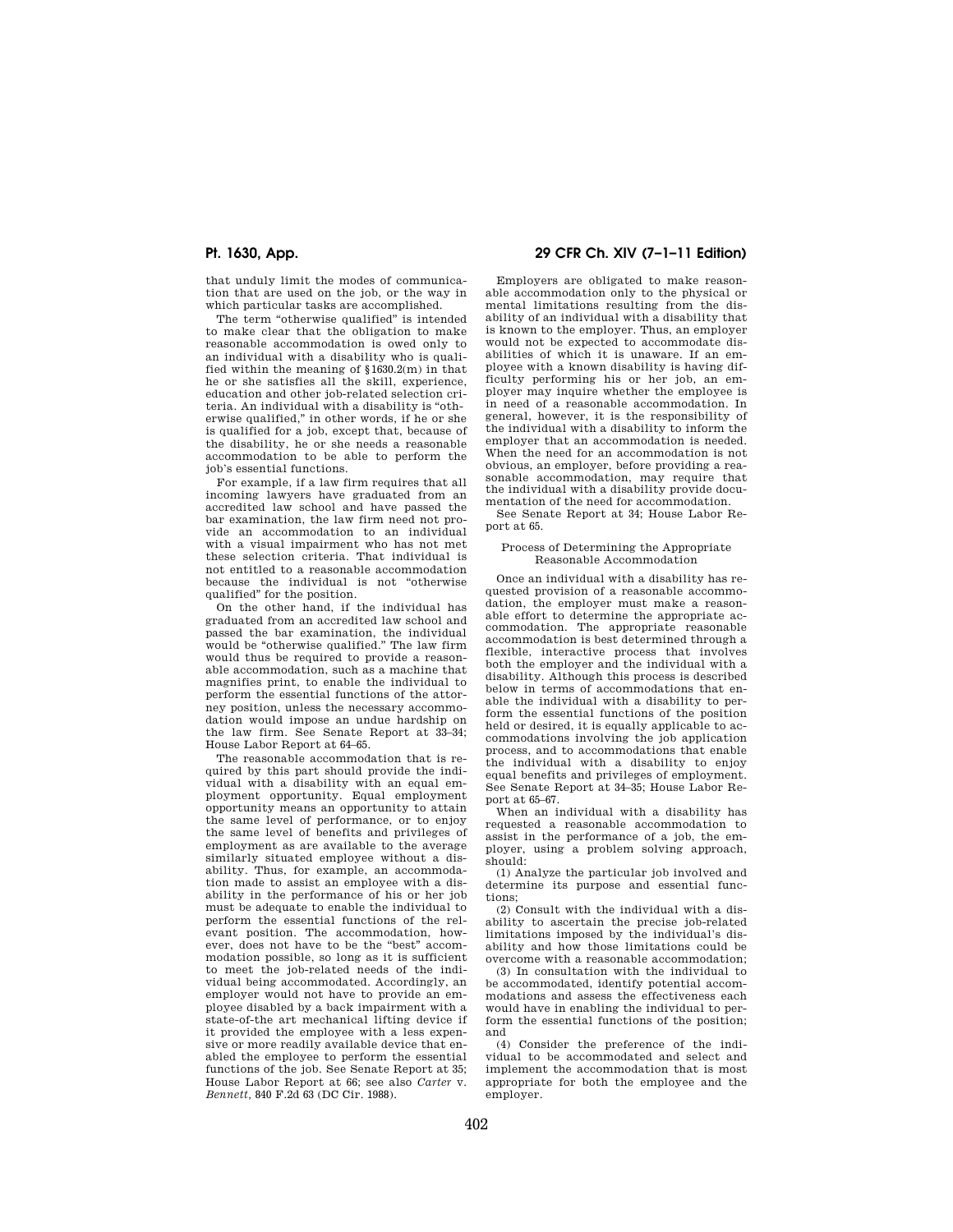that unduly limit the modes of communication that are used on the job, or the way in which particular tasks are accomplished.

The term "otherwise qualified" is intended to make clear that the obligation to make reasonable accommodation is owed only to an individual with a disability who is qualified within the meaning of §1630.2(m) in that he or she satisfies all the skill, experience, education and other job-related selection criteria. An individual with a disability is ''otherwise qualified,'' in other words, if he or she is qualified for a job, except that, because of the disability, he or she needs a reasonable accommodation to be able to perform the job's essential functions.

For example, if a law firm requires that all incoming lawyers have graduated from an accredited law school and have passed the bar examination, the law firm need not provide an accommodation to an individual with a visual impairment who has not met these selection criteria. That individual is not entitled to a reasonable accommodation because the individual is not ''otherwise qualified'' for the position.

On the other hand, if the individual has graduated from an accredited law school and passed the bar examination, the individual .<br>would be "otherwise qualified." The law firm would thus be required to provide a reasonable accommodation, such as a machine that magnifies print, to enable the individual to perform the essential functions of the attorney position, unless the necessary accommodation would impose an undue hardship on the law firm. See Senate Report at 33–34; House Labor Report at 64–65.

The reasonable accommodation that is required by this part should provide the individual with a disability with an equal employment opportunity. Equal employment opportunity means an opportunity to attain the same level of performance, or to enjoy the same level of benefits and privileges of employment as are available to the average similarly situated employee without a disability. Thus, for example, an accommodation made to assist an employee with a disability in the performance of his or her job must be adequate to enable the individual to perform the essential functions of the relevant position. The accommodation, however, does not have to be the ''best'' accommodation possible, so long as it is sufficient to meet the job-related needs of the individual being accommodated. Accordingly, an employer would not have to provide an employee disabled by a back impairment with a state-of-the art mechanical lifting device if it provided the employee with a less expensive or more readily available device that enabled the employee to perform the essential functions of the job. See Senate Report at 35; House Labor Report at 66; see also *Carter* v. *Bennett,* 840 F.2d 63 (DC Cir. 1988).

## **Pt. 1630, App. 29 CFR Ch. XIV (7–1–11 Edition)**

Employers are obligated to make reasonable accommodation only to the physical or mental limitations resulting from the disability of an individual with a disability that is known to the employer. Thus, an employer would not be expected to accommodate disabilities of which it is unaware. If an employee with a known disability is having difficulty performing his or her job, an employer may inquire whether the employee is in need of a reasonable accommodation. In general, however, it is the responsibility of the individual with a disability to inform the employer that an accommodation is needed. When the need for an accommodation is not obvious, an employer, before providing a reasonable accommodation, may require that the individual with a disability provide documentation of the need for accommodation.

See Senate Report at 34; House Labor Report at 65.

#### Process of Determining the Appropriate Reasonable Accommodation

Once an individual with a disability has requested provision of a reasonable accommodation, the employer must make a reasonable effort to determine the appropriate accommodation. The appropriate reasonable accommodation is best determined through a flexible, interactive process that involves both the employer and the individual with a disability. Although this process is described below in terms of accommodations that enable the individual with a disability to perform the essential functions of the position held or desired, it is equally applicable to accommodations involving the job application process, and to accommodations that enable the individual with a disability to enjoy equal benefits and privileges of employment. See Senate Report at 34–35; House Labor Report at 65–67.

When an individual with a disability has requested a reasonable accommodation to assist in the performance of a job, the employer, using a problem solving approach, should:

(1) Analyze the particular job involved and determine its purpose and essential functions;

(2) Consult with the individual with a disability to ascertain the precise job-related limitations imposed by the individual's disability and how those limitations could be overcome with a reasonable accommodation;

(3) In consultation with the individual to be accommodated, identify potential accommodations and assess the effectiveness each would have in enabling the individual to perform the essential functions of the position; and

(4) Consider the preference of the individual to be accommodated and select and implement the accommodation that is most appropriate for both the employee and the employer.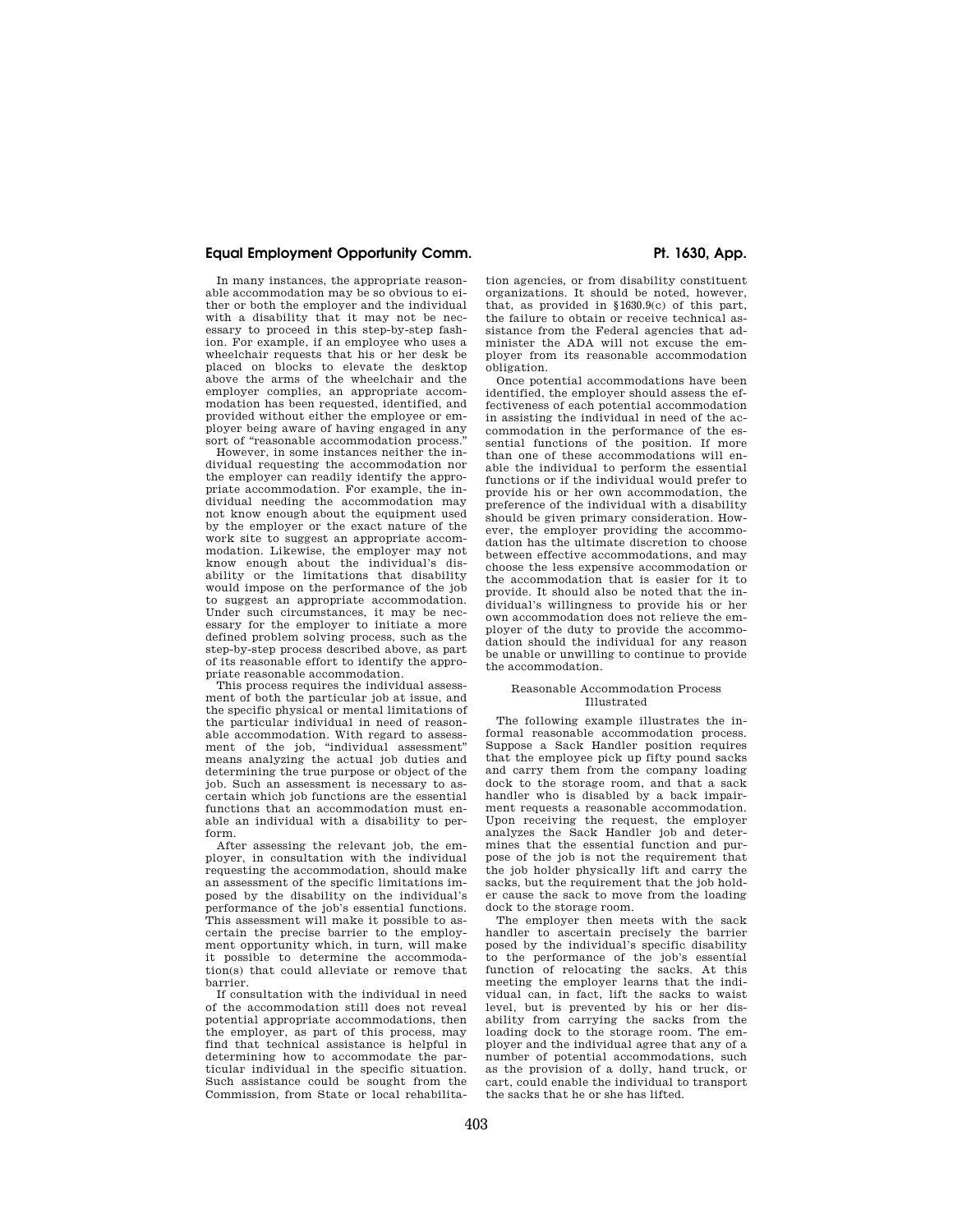In many instances, the appropriate reasonable accommodation may be so obvious to either or both the employer and the individual with a disability that it may not be necessary to proceed in this step-by-step fashion. For example, if an employee who uses a wheelchair requests that his or her desk be placed on blocks to elevate the desktop above the arms of the wheelchair and the employer complies, an appropriate accommodation has been requested, identified, and provided without either the employee or employer being aware of having engaged in any sort of "reasonable accommodation process."

However, in some instances neither the individual requesting the accommodation nor the employer can readily identify the appropriate accommodation. For example, the individual needing the accommodation may not know enough about the equipment used by the employer or the exact nature of the work site to suggest an appropriate accommodation. Likewise, the employer may not know enough about the individual's disability or the limitations that disability would impose on the performance of the job to suggest an appropriate accommodation. Under such circumstances, it may be necessary for the employer to initiate a more defined problem solving process, such as the step-by-step process described above, as part of its reasonable effort to identify the appropriate reasonable accommodation.

This process requires the individual assessment of both the particular job at issue, and the specific physical or mental limitations of the particular individual in need of reasonable accommodation. With regard to assessment of the job, "individual assessment" means analyzing the actual job duties and determining the true purpose or object of the job. Such an assessment is necessary to ascertain which job functions are the essential functions that an accommodation must enable an individual with a disability to perform.

After assessing the relevant job, the employer, in consultation with the individual requesting the accommodation, should make an assessment of the specific limitations imposed by the disability on the individual's performance of the job's essential functions. This assessment will make it possible to ascertain the precise barrier to the employment opportunity which, in turn, will make it possible to determine the accommodation(s) that could alleviate or remove that barrier.

If consultation with the individual in need of the accommodation still does not reveal potential appropriate accommodations, then the employer, as part of this process, may find that technical assistance is helpful in determining how to accommodate the particular individual in the specific situation. Such assistance could be sought from the Commission, from State or local rehabilitation agencies, or from disability constituent organizations. It should be noted, however, that, as provided in §1630.9(c) of this part, the failure to obtain or receive technical assistance from the Federal agencies that administer the ADA will not excuse the employer from its reasonable accommodation obligation.

Once potential accommodations have been identified, the employer should assess the effectiveness of each potential accommodation in assisting the individual in need of the accommodation in the performance of the essential functions of the position. If more than one of these accommodations will enable the individual to perform the essential functions or if the individual would prefer to provide his or her own accommodation, the preference of the individual with a disability should be given primary consideration. However, the employer providing the accommodation has the ultimate discretion to choose between effective accommodations, and may choose the less expensive accommodation or the accommodation that is easier for it to provide. It should also be noted that the individual's willingness to provide his or her own accommodation does not relieve the employer of the duty to provide the accommodation should the individual for any reason be unable or unwilling to continue to provide the accommodation.

#### Reasonable Accommodation Process Illustrated

The following example illustrates the informal reasonable accommodation process. Suppose a Sack Handler position requires that the employee pick up fifty pound sacks and carry them from the company loading dock to the storage room, and that a sack handler who is disabled by a back impairment requests a reasonable accommodation. Upon receiving the request, the employer analyzes the Sack Handler job and determines that the essential function and purpose of the job is not the requirement that the job holder physically lift and carry the sacks, but the requirement that the job holder cause the sack to move from the loading dock to the storage room.

The employer then meets with the sack handler to ascertain precisely the barrier posed by the individual's specific disability to the performance of the job's essential function of relocating the sacks. At this meeting the employer learns that the individual can, in fact, lift the sacks to waist level, but is prevented by his or her disability from carrying the sacks from the loading dock to the storage room. The employer and the individual agree that any of a number of potential accommodations, such as the provision of a dolly, hand truck, or cart, could enable the individual to transport the sacks that he or she has lifted.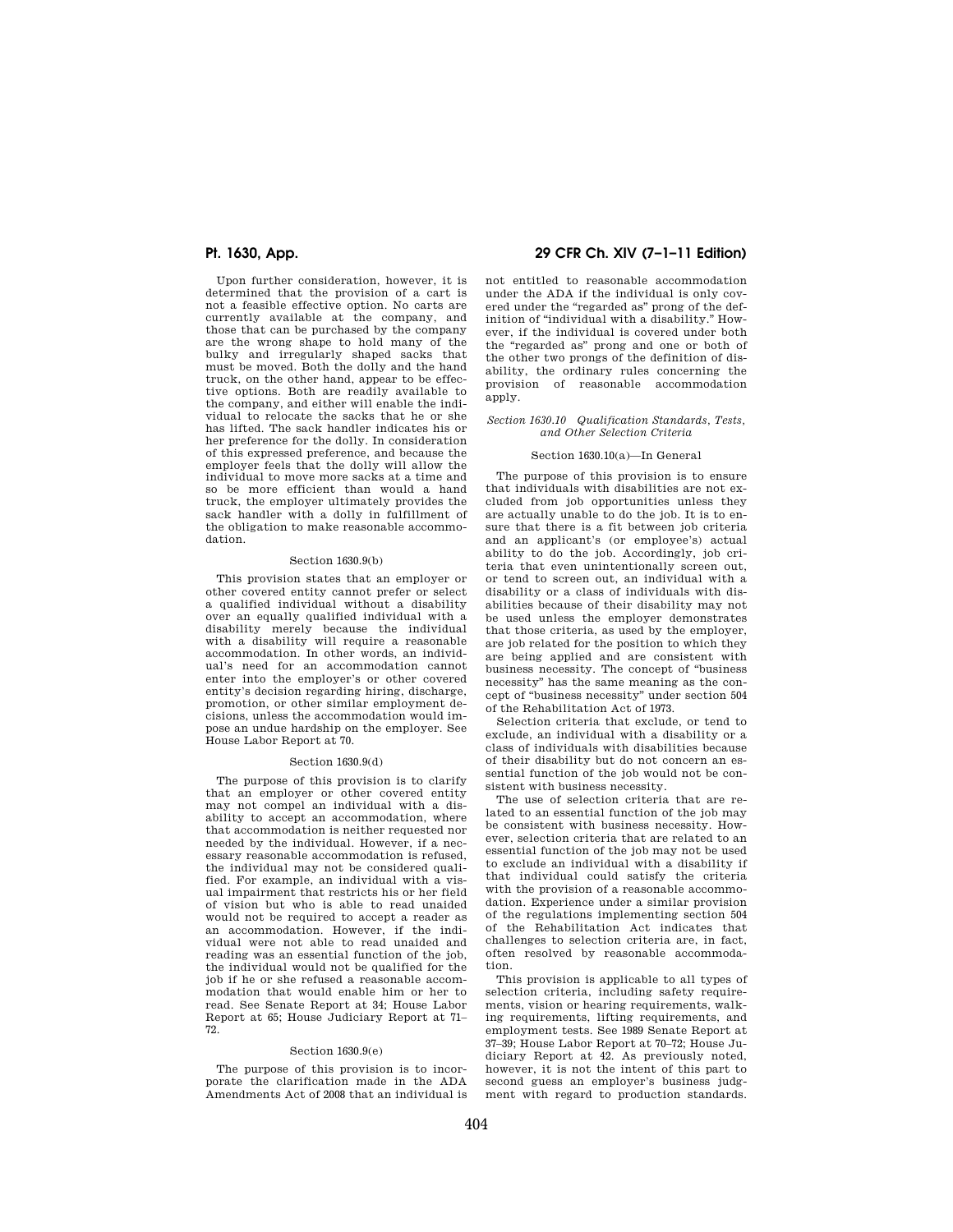Upon further consideration, however, it is determined that the provision of a cart is not a feasible effective option. No carts are currently available at the company, and those that can be purchased by the company are the wrong shape to hold many of the bulky and irregularly shaped sacks that must be moved. Both the dolly and the hand truck, on the other hand, appear to be effective options. Both are readily available to the company, and either will enable the individual to relocate the sacks that he or she has lifted. The sack handler indicates his or her preference for the dolly. In consideration of this expressed preference, and because the employer feels that the dolly will allow the individual to move more sacks at a time and so be more efficient than would a hand truck, the employer ultimately provides the sack handler with a dolly in fulfillment of the obligation to make reasonable accommodation.

#### Section 1630.9(b)

This provision states that an employer or other covered entity cannot prefer or select a qualified individual without a disability over an equally qualified individual with a disability merely because the individual with a disability will require a reasonable accommodation. In other words, an individual's need for an accommodation cannot enter into the employer's or other covered entity's decision regarding hiring, discharge, promotion, or other similar employment decisions, unless the accommodation would impose an undue hardship on the employer. See House Labor Report at 70.

#### Section 1630.9(d)

The purpose of this provision is to clarify that an employer or other covered entity may not compel an individual with a disability to accept an accommodation, where that accommodation is neither requested nor needed by the individual. However, if a necessary reasonable accommodation is refused, the individual may not be considered qualified. For example, an individual with a visual impairment that restricts his or her field of vision but who is able to read unaided would not be required to accept a reader as an accommodation. However, if the individual were not able to read unaided and reading was an essential function of the job, the individual would not be qualified for the job if he or she refused a reasonable accommodation that would enable him or her to read. See Senate Report at 34; House Labor Report at 65; House Judiciary Report at 71– 72.

### Section 1630.9(e)

The purpose of this provision is to incorporate the clarification made in the ADA Amendments Act of 2008 that an individual is

## **Pt. 1630, App. 29 CFR Ch. XIV (7–1–11 Edition)**

not entitled to reasonable accommodation under the ADA if the individual is only covered under the "regarded as" prong of the definition of ''individual with a disability.'' However, if the individual is covered under both the "regarded as" prong and one or both of the other two prongs of the definition of disability, the ordinary rules concerning the provision of reasonable accommodation apply.

#### *Section 1630.10 Qualification Standards, Tests, and Other Selection Criteria*

#### Section 1630.10(a)—In General

The purpose of this provision is to ensure that individuals with disabilities are not excluded from job opportunities unless they are actually unable to do the job. It is to ensure that there is a fit between job criteria and an applicant's (or employee's) actual ability to do the job. Accordingly, job criteria that even unintentionally screen out, or tend to screen out, an individual with a disability or a class of individuals with disabilities because of their disability may not be used unless the employer demonstrates that those criteria, as used by the employer, are job related for the position to which they are being applied and are consistent with business necessity. The concept of ''business necessity'' has the same meaning as the concept of ''business necessity'' under section 504 of the Rehabilitation Act of 1973.

Selection criteria that exclude, or tend to exclude, an individual with a disability or a class of individuals with disabilities because of their disability but do not concern an essential function of the job would not be consistent with business necessity.

The use of selection criteria that are related to an essential function of the job may be consistent with business necessity. However, selection criteria that are related to an essential function of the job may not be used to exclude an individual with a disability if that individual could satisfy the criteria with the provision of a reasonable accommodation. Experience under a similar provision of the regulations implementing section 504 of the Rehabilitation Act indicates that challenges to selection criteria are, in fact, often resolved by reasonable accommodation.

This provision is applicable to all types of selection criteria, including safety requirements, vision or hearing requirements, walking requirements, lifting requirements, and employment tests. See 1989 Senate Report at 37–39; House Labor Report at 70–72; House Judiciary Report at 42. As previously noted, however, it is not the intent of this part to second guess an employer's business judgment with regard to production standards.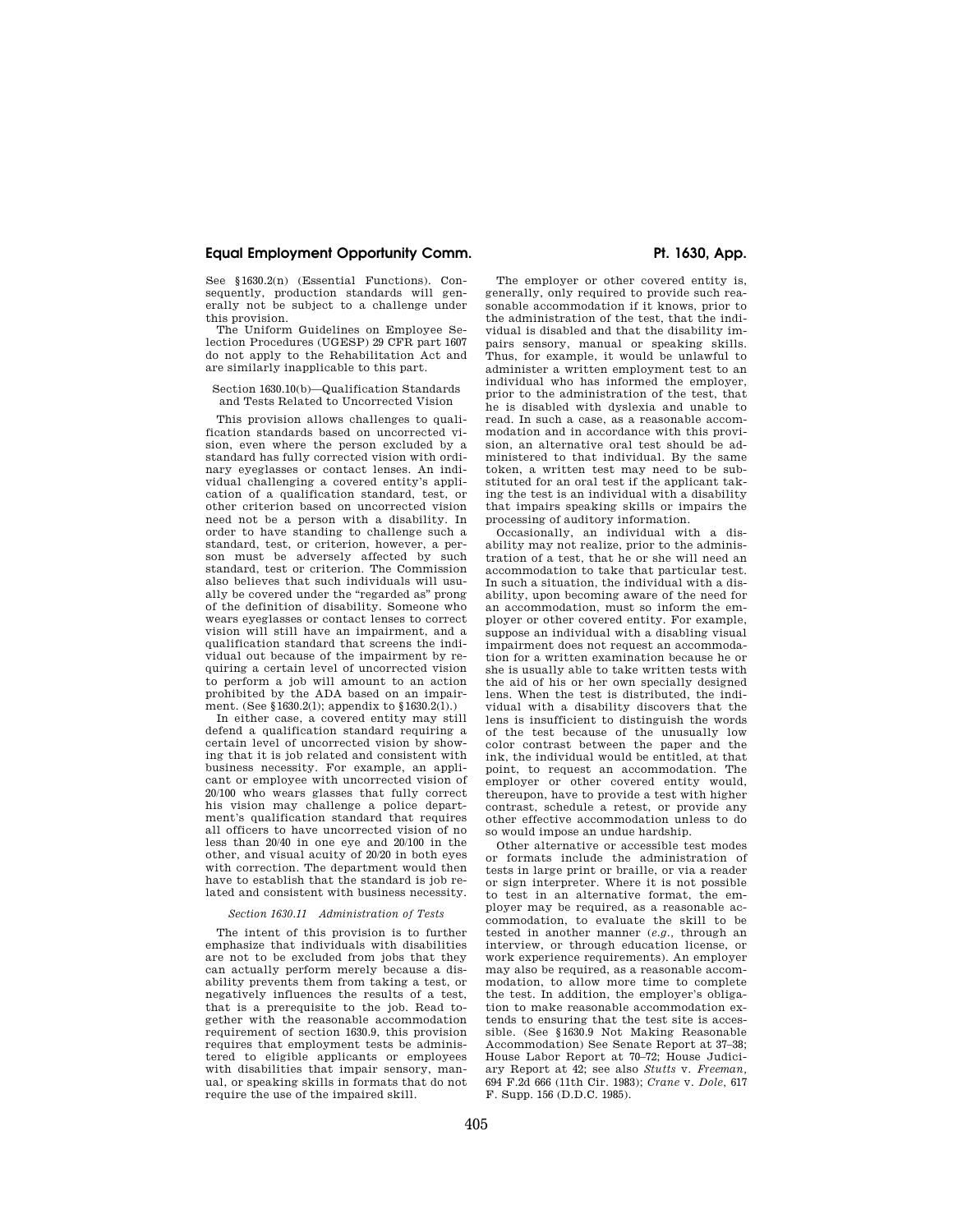See §1630.2(n) (Essential Functions). Consequently, production standards will generally not be subject to a challenge under this provision.

The Uniform Guidelines on Employee Selection Procedures (UGESP) 29 CFR part 1607 do not apply to the Rehabilitation Act and are similarly inapplicable to this part.

#### Section 1630.10(b)—Qualification Standards and Tests Related to Uncorrected Vision

This provision allows challenges to qualification standards based on uncorrected vision, even where the person excluded by a standard has fully corrected vision with ordinary eyeglasses or contact lenses. An individual challenging a covered entity's application of a qualification standard, test, or other criterion based on uncorrected vision need not be a person with a disability. In order to have standing to challenge such a standard, test, or criterion, however, a person must be adversely affected by such standard, test or criterion. The Commission also believes that such individuals will usually be covered under the "regarded as" prong of the definition of disability. Someone who wears eyeglasses or contact lenses to correct vision will still have an impairment, and a qualification standard that screens the individual out because of the impairment by requiring a certain level of uncorrected vision to perform a job will amount to an action prohibited by the ADA based on an impairment. (See §1630.2(l); appendix to §1630.2(l).)

In either case, a covered entity may still defend a qualification standard requiring a certain level of uncorrected vision by showing that it is job related and consistent with business necessity. For example, an applicant or employee with uncorrected vision of 20/100 who wears glasses that fully correct his vision may challenge a police department's qualification standard that requires all officers to have uncorrected vision of no less than 20/40 in one eye and 20/100 in the other, and visual acuity of 20/20 in both eyes with correction. The department would then have to establish that the standard is job related and consistent with business necessity.

### *Section 1630.11 Administration of Tests*

The intent of this provision is to further emphasize that individuals with disabilities are not to be excluded from jobs that they can actually perform merely because a disability prevents them from taking a test, or negatively influences the results of a test, that is a prerequisite to the job. Read together with the reasonable accommodation requirement of section 1630.9, this provision requires that employment tests be administered to eligible applicants or employees with disabilities that impair sensory, manual, or speaking skills in formats that do not require the use of the impaired skill.

generally, only required to provide such reasonable accommodation if it knows, prior to the administration of the test, that the individual is disabled and that the disability impairs sensory, manual or speaking skills. Thus, for example, it would be unlawful to administer a written employment test to an individual who has informed the employer, prior to the administration of the test, that he is disabled with dyslexia and unable to read. In such a case, as a reasonable accommodation and in accordance with this provision, an alternative oral test should be administered to that individual. By the same token, a written test may need to be substituted for an oral test if the applicant taking the test is an individual with a disability that impairs speaking skills or impairs the processing of auditory information.

The employer or other covered entity is.

Occasionally, an individual with a disability may not realize, prior to the administration of a test, that he or she will need an accommodation to take that particular test. In such a situation, the individual with a disability, upon becoming aware of the need for an accommodation, must so inform the employer or other covered entity. For example, suppose an individual with a disabling visual impairment does not request an accommodation for a written examination because he or she is usually able to take written tests with the aid of his or her own specially designed lens. When the test is distributed, the individual with a disability discovers that the lens is insufficient to distinguish the words of the test because of the unusually low color contrast between the paper and the ink, the individual would be entitled, at that point, to request an accommodation. The employer or other covered entity would, thereupon, have to provide a test with higher contrast, schedule a retest, or provide any other effective accommodation unless to do so would impose an undue hardship.

Other alternative or accessible test modes or formats include the administration of tests in large print or braille, or via a reader or sign interpreter. Where it is not possible to test in an alternative format, the employer may be required, as a reasonable accommodation, to evaluate the skill to be tested in another manner (*e.g.,* through an interview, or through education license, or work experience requirements). An employer may also be required, as a reasonable accommodation, to allow more time to complete the test. In addition, the employer's obligation to make reasonable accommodation extends to ensuring that the test site is accessible. (See §1630.9 Not Making Reasonable Accommodation) See Senate Report at 37–38; House Labor Report at 70–72; House Judiciary Report at 42; see also *Stutts* v. *Freeman,*  694 F.2d 666 (11th Cir. 1983); *Crane* v. *Dole,* 617 F. Supp. 156 (D.D.C. 1985).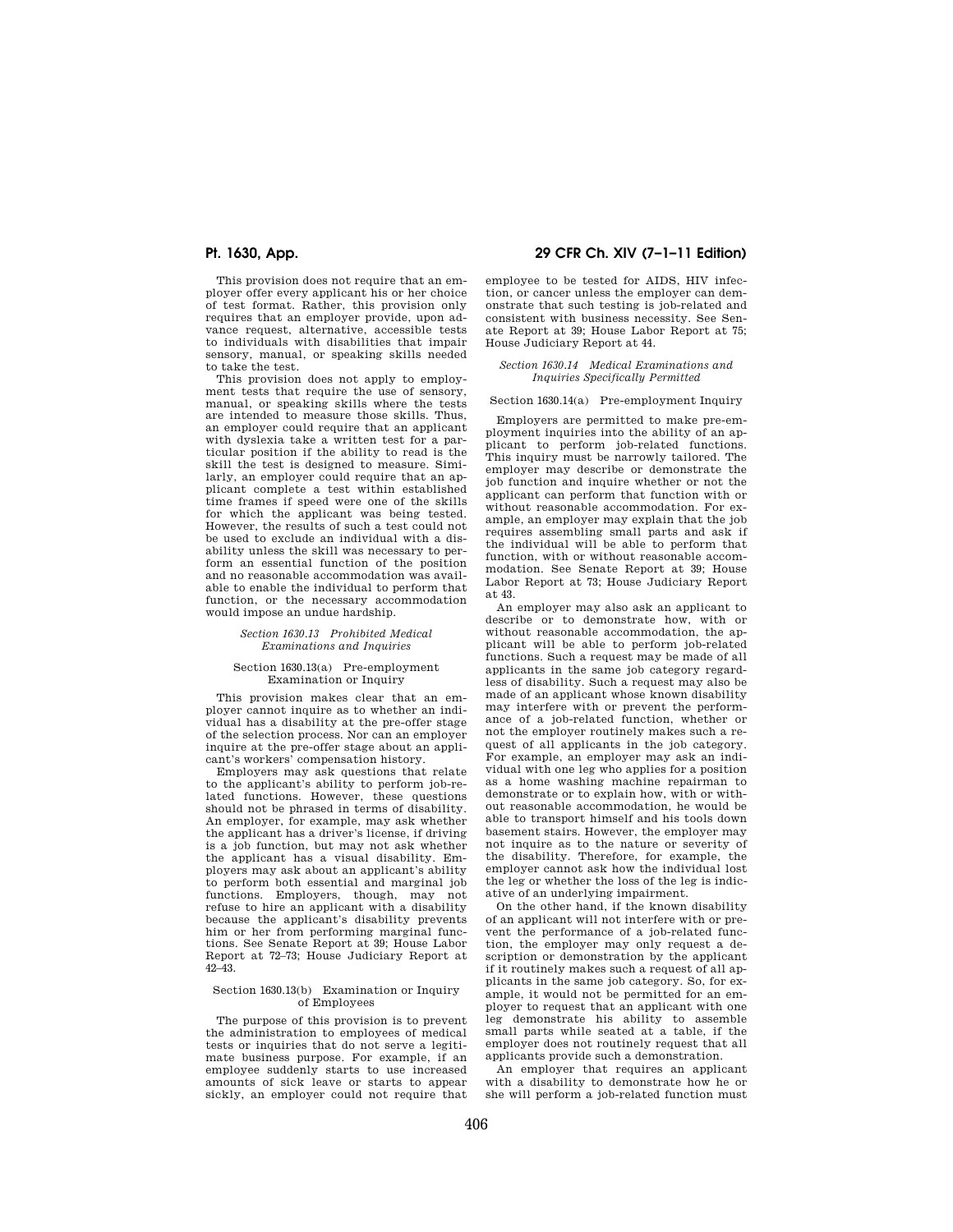This provision does not require that an employer offer every applicant his or her choice of test format. Rather, this provision only requires that an employer provide, upon advance request, alternative, accessible tests to individuals with disabilities that impair sensory, manual, or speaking skills needed to take the test.

This provision does not apply to employment tests that require the use of sensory, manual, or speaking skills where the tests are intended to measure those skills. Thus, an employer could require that an applicant with dyslexia take a written test for a particular position if the ability to read is the skill the test is designed to measure. Similarly, an employer could require that an applicant complete a test within established time frames if speed were one of the skills for which the applicant was being tested. However, the results of such a test could not be used to exclude an individual with a disability unless the skill was necessary to perform an essential function of the position and no reasonable accommodation was available to enable the individual to perform that function, or the necessary accommodation would impose an undue hardship.

#### *Section 1630.13 Prohibited Medical Examinations and Inquiries*

#### Section 1630.13(a) Pre-employment Examination or Inquiry

This provision makes clear that an employer cannot inquire as to whether an individual has a disability at the pre-offer stage of the selection process. Nor can an employer inquire at the pre-offer stage about an applicant's workers' compensation history.

Employers may ask questions that relate to the applicant's ability to perform job-related functions. However, these questions should not be phrased in terms of disability. An employer, for example, may ask whether the applicant has a driver's license, if driving is a job function, but may not ask whether the applicant has a visual disability. Employers may ask about an applicant's ability to perform both essential and marginal job functions. Employers, though, may not refuse to hire an applicant with a disability because the applicant's disability prevents him or her from performing marginal functions. See Senate Report at 39; House Labor Report at 72–73; House Judiciary Report at 42–43.

### Section 1630.13(b) Examination or Inquiry of Employees

The purpose of this provision is to prevent the administration to employees of medical tests or inquiries that do not serve a legitimate business purpose. For example, if an employee suddenly starts to use increased amounts of sick leave or starts to appear sickly, an employer could not require that

# **Pt. 1630, App. 29 CFR Ch. XIV (7–1–11 Edition)**

employee to be tested for AIDS, HIV infection, or cancer unless the employer can demonstrate that such testing is job-related and consistent with business necessity. See Senate Report at 39; House Labor Report at 75; House Judiciary Report at 44.

### *Section 1630.14 Medical Examinations and Inquiries Specifically Permitted*

## Section 1630.14(a) Pre-employment Inquiry

Employers are permitted to make pre-employment inquiries into the ability of an applicant to perform job-related functions. This inquiry must be narrowly tailored. The employer may describe or demonstrate the job function and inquire whether or not the applicant can perform that function with or without reasonable accommodation. For example, an employer may explain that the job requires assembling small parts and ask if the individual will be able to perform that function, with or without reasonable accommodation. See Senate Report at 39; House Labor Report at 73; House Judiciary Report at 43.

An employer may also ask an applicant to describe or to demonstrate how, with or without reasonable accommodation, the applicant will be able to perform job-related functions. Such a request may be made of all applicants in the same job category regardless of disability. Such a request may also be made of an applicant whose known disability may interfere with or prevent the performance of a job-related function, whether or not the employer routinely makes such a request of all applicants in the job category. For example, an employer may ask an individual with one leg who applies for a position as a home washing machine repairman to demonstrate or to explain how, with or without reasonable accommodation, he would be able to transport himself and his tools down basement stairs. However, the employer may not inquire as to the nature or severity of the disability. Therefore, for example, the employer cannot ask how the individual lost the leg or whether the loss of the leg is indicative of an underlying impairment.

On the other hand, if the known disability of an applicant will not interfere with or prevent the performance of a job-related function, the employer may only request a description or demonstration by the applicant if it routinely makes such a request of all applicants in the same job category. So, for example, it would not be permitted for an employer to request that an applicant with one leg demonstrate his ability to assemble small parts while seated at a table, if the employer does not routinely request that all applicants provide such a demonstration.

An employer that requires an applicant with a disability to demonstrate how he or she will perform a job-related function must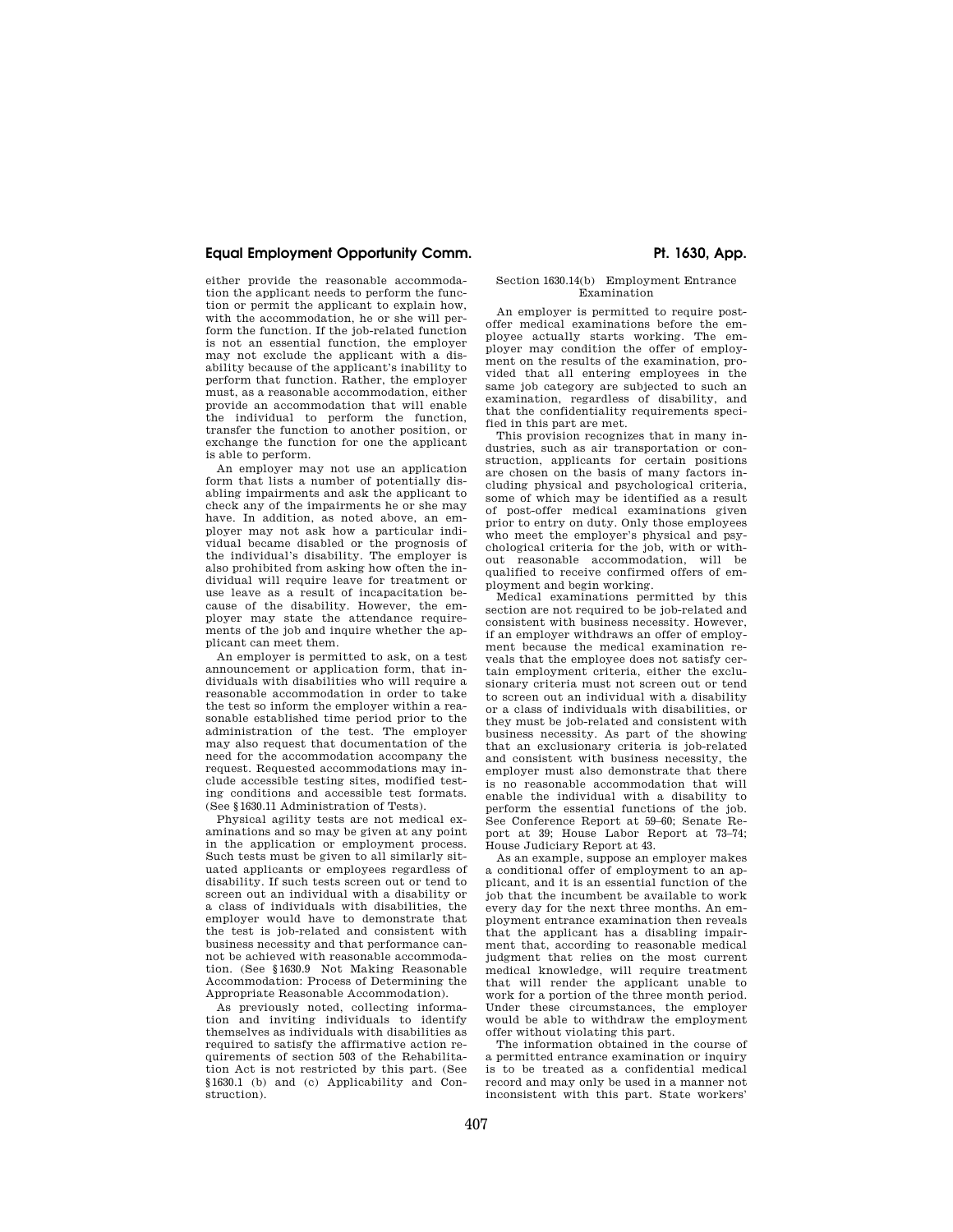either provide the reasonable accommodation the applicant needs to perform the function or permit the applicant to explain how, with the accommodation, he or she will perform the function. If the job-related function is not an essential function, the employer may not exclude the applicant with a disability because of the applicant's inability to perform that function. Rather, the employer must, as a reasonable accommodation, either provide an accommodation that will enable the individual to perform the function, transfer the function to another position, or exchange the function for one the applicant is able to perform.

An employer may not use an application form that lists a number of potentially disabling impairments and ask the applicant to check any of the impairments he or she may have. In addition, as noted above, an employer may not ask how a particular individual became disabled or the prognosis of the individual's disability. The employer is also prohibited from asking how often the individual will require leave for treatment or use leave as a result of incapacitation because of the disability. However, the employer may state the attendance requirements of the job and inquire whether the applicant can meet them.

An employer is permitted to ask, on a test announcement or application form, that individuals with disabilities who will require a reasonable accommodation in order to take the test so inform the employer within a reasonable established time period prior to the administration of the test. The employer may also request that documentation of the need for the accommodation accompany the request. Requested accommodations may include accessible testing sites, modified testing conditions and accessible test formats. (See §1630.11 Administration of Tests).

Physical agility tests are not medical examinations and so may be given at any point in the application or employment process. Such tests must be given to all similarly situated applicants or employees regardless of disability. If such tests screen out or tend to screen out an individual with a disability or a class of individuals with disabilities, the employer would have to demonstrate that the test is job-related and consistent with business necessity and that performance cannot be achieved with reasonable accommodation. (See §1630.9 Not Making Reasonable Accommodation: Process of Determining the Appropriate Reasonable Accommodation).

As previously noted, collecting information and inviting individuals to identify themselves as individuals with disabilities as required to satisfy the affirmative action requirements of section 503 of the Rehabilitation Act is not restricted by this part. (See §1630.1 (b) and (c) Applicability and Construction).

## Section 1630.14(b) Employment Entrance Examination

An employer is permitted to require postoffer medical examinations before the employee actually starts working. The employer may condition the offer of employment on the results of the examination, provided that all entering employees in the same job category are subjected to such an examination, regardless of disability, and that the confidentiality requirements specified in this part are met.

This provision recognizes that in many industries, such as air transportation or construction, applicants for certain positions are chosen on the basis of many factors including physical and psychological criteria, some of which may be identified as a result of post-offer medical examinations given prior to entry on duty. Only those employees who meet the employer's physical and psychological criteria for the job, with or without reasonable accommodation, will be qualified to receive confirmed offers of employment and begin working.

Medical examinations permitted by this section are not required to be job-related and consistent with business necessity. However, if an employer withdraws an offer of employment because the medical examination reveals that the employee does not satisfy certain employment criteria, either the exclusionary criteria must not screen out or tend to screen out an individual with a disability or a class of individuals with disabilities, or they must be job-related and consistent with business necessity. As part of the showing that an exclusionary criteria is job-related and consistent with business necessity, the employer must also demonstrate that there is no reasonable accommodation that will enable the individual with a disability to perform the essential functions of the job. See Conference Report at 59–60; Senate Report at 39; House Labor Report at 73–74; House Judiciary Report at 43.

As an example, suppose an employer makes a conditional offer of employment to an applicant, and it is an essential function of the job that the incumbent be available to work every day for the next three months. An employment entrance examination then reveals that the applicant has a disabling impairment that, according to reasonable medical judgment that relies on the most current medical knowledge, will require treatment that will render the applicant unable to work for a portion of the three month period. Under these circumstances, the employer would be able to withdraw the employment offer without violating this part.

The information obtained in the course of a permitted entrance examination or inquiry is to be treated as a confidential medical record and may only be used in a manner not inconsistent with this part. State workers'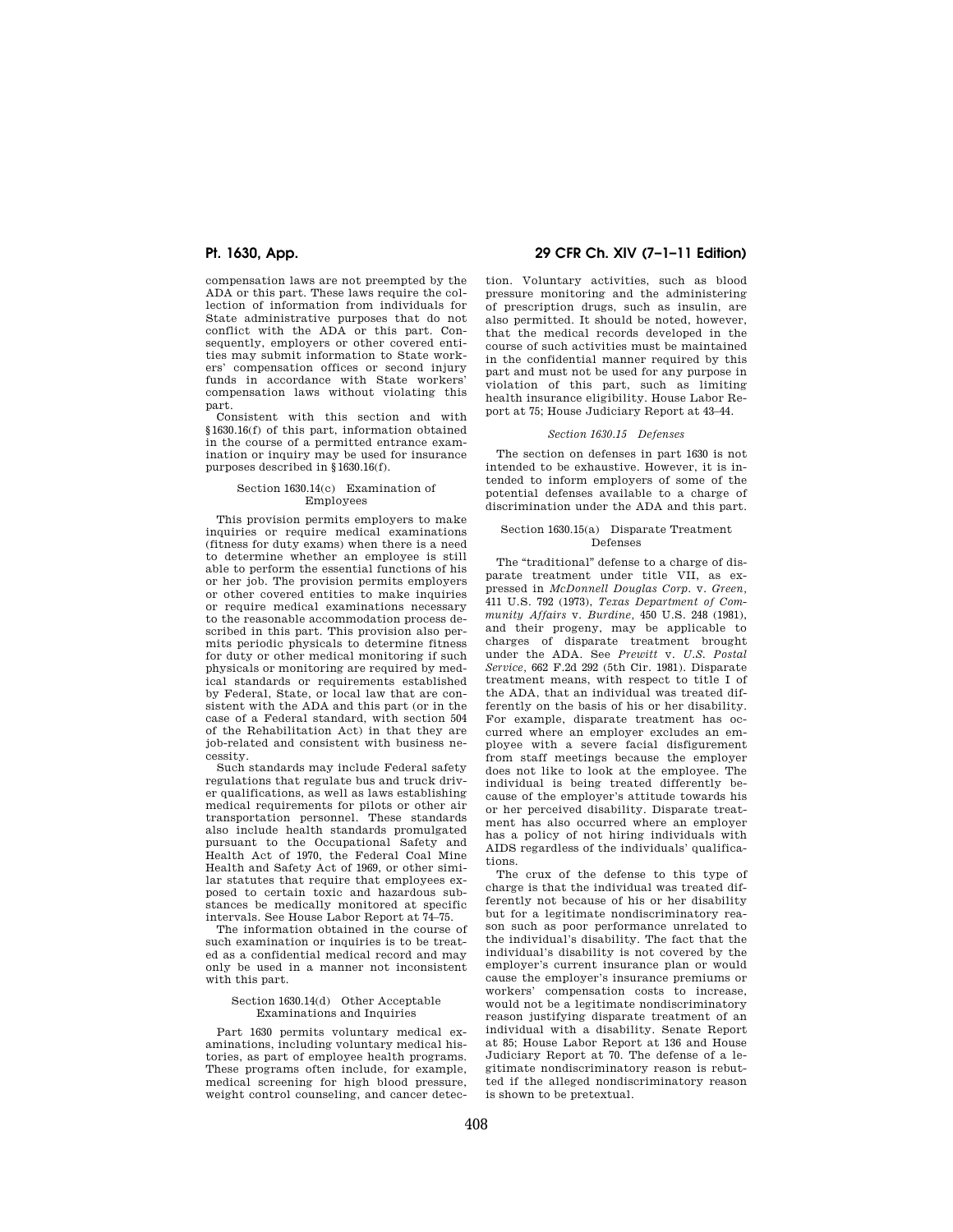compensation laws are not preempted by the ADA or this part. These laws require the collection of information from individuals for State administrative purposes that do not conflict with the ADA or this part. Consequently, employers or other covered entities may submit information to State workers' compensation offices or second injury funds in accordance with State workers' compensation laws without violating this part.

Consistent with this section and with §1630.16(f) of this part, information obtained in the course of a permitted entrance examination or inquiry may be used for insurance purposes described in §1630.16(f).

## Section 1630.14(c) Examination of Employees

This provision permits employers to make inquiries or require medical examinations (fitness for duty exams) when there is a need to determine whether an employee is still able to perform the essential functions of his or her job. The provision permits employers or other covered entities to make inquiries or require medical examinations necessary to the reasonable accommodation process described in this part. This provision also permits periodic physicals to determine fitness for duty or other medical monitoring if such physicals or monitoring are required by medical standards or requirements established by Federal, State, or local law that are consistent with the ADA and this part (or in the case of a Federal standard, with section 504 of the Rehabilitation Act) in that they are job-related and consistent with business necessity.

Such standards may include Federal safety regulations that regulate bus and truck driver qualifications, as well as laws establishing medical requirements for pilots or other air transportation personnel. These standards also include health standards promulgated pursuant to the Occupational Safety and Health Act of 1970, the Federal Coal Mine Health and Safety Act of 1969, or other similar statutes that require that employees exposed to certain toxic and hazardous substances be medically monitored at specific intervals. See House Labor Report at 74–75.

The information obtained in the course of such examination or inquiries is to be treated as a confidential medical record and may only be used in a manner not inconsistent with this part.

#### Section 1630.14(d) Other Acceptable Examinations and Inquiries

Part 1630 permits voluntary medical examinations, including voluntary medical histories, as part of employee health programs. These programs often include, for example, medical screening for high blood pressure, weight control counseling, and cancer detec-

# **Pt. 1630, App. 29 CFR Ch. XIV (7–1–11 Edition)**

tion. Voluntary activities, such as blood pressure monitoring and the administering of prescription drugs, such as insulin, are also permitted. It should be noted, however, that the medical records developed in the course of such activities must be maintained in the confidential manner required by this part and must not be used for any purpose in violation of this part, such as limiting health insurance eligibility. House Labor Report at 75; House Judiciary Report at 43–44.

### *Section 1630.15 Defenses*

The section on defenses in part 1630 is not intended to be exhaustive. However, it is intended to inform employers of some of the potential defenses available to a charge of discrimination under the ADA and this part.

### Section 1630.15(a) Disparate Treatment Defenses

The "traditional" defense to a charge of disparate treatment under title VII, as expressed in *McDonnell Douglas Corp.* v. *Green,*  411 U.S. 792 (1973), *Texas Department of Community Affairs* v. *Burdine,* 450 U.S. 248 (1981), and their progeny, may be applicable to charges of disparate treatment brought under the ADA. See *Prewitt* v. *U.S. Postal Service,* 662 F.2d 292 (5th Cir. 1981). Disparate treatment means, with respect to title I of the ADA, that an individual was treated differently on the basis of his or her disability. For example, disparate treatment has occurred where an employer excludes an employee with a severe facial disfigurement from staff meetings because the employer does not like to look at the employee. The individual is being treated differently because of the employer's attitude towards his or her perceived disability. Disparate treatment has also occurred where an employer has a policy of not hiring individuals with AIDS regardless of the individuals' qualifications.

The crux of the defense to this type of charge is that the individual was treated differently not because of his or her disability but for a legitimate nondiscriminatory reason such as poor performance unrelated to the individual's disability. The fact that the individual's disability is not covered by the employer's current insurance plan or would cause the employer's insurance premiums or workers' compensation costs to increase, would not be a legitimate nondiscriminatory reason justifying disparate treatment of an individual with a disability. Senate Report at 85; House Labor Report at 136 and House Judiciary Report at 70. The defense of a legitimate nondiscriminatory reason is rebutted if the alleged nondiscriminatory reason is shown to be pretextual.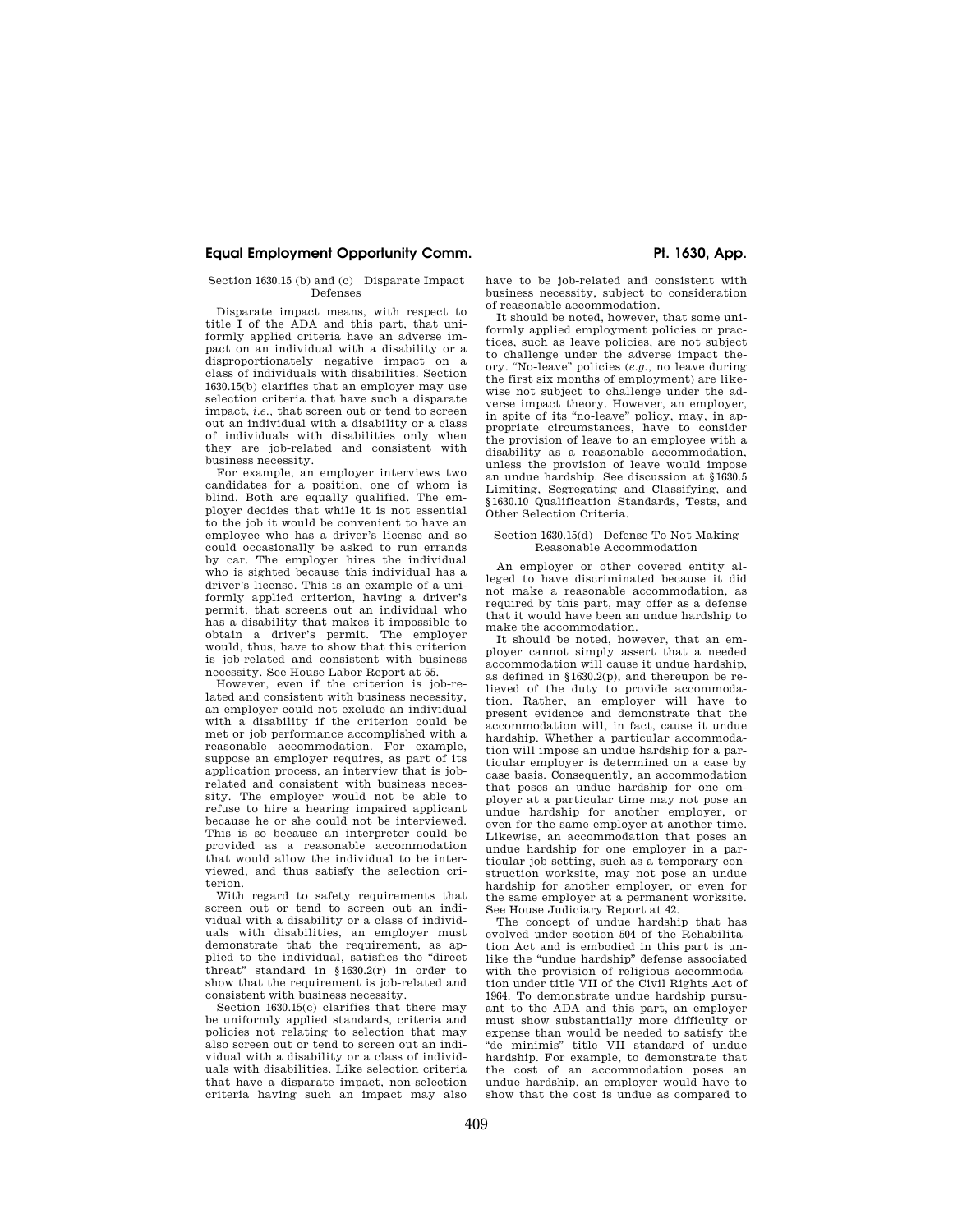### Section 1630.15 (b) and (c) Disparate Impact Defenses

Disparate impact means, with respect to title I of the ADA and this part, that uniformly applied criteria have an adverse impact on an individual with a disability or a disproportionately negative impact on a class of individuals with disabilities. Section 1630.15(b) clarifies that an employer may use selection criteria that have such a disparate impact, *i.e.,* that screen out or tend to screen out an individual with a disability or a class of individuals with disabilities only when they are job-related and consistent with business necessity.

For example, an employer interviews two candidates for a position, one of whom is blind. Both are equally qualified. The employer decides that while it is not essential to the job it would be convenient to have an employee who has a driver's license and so could occasionally be asked to run errands by car. The employer hires the individual who is sighted because this individual has a driver's license. This is an example of a uniformly applied criterion, having a driver's permit, that screens out an individual who has a disability that makes it impossible to obtain a driver's permit. The employer would, thus, have to show that this criterion is job-related and consistent with business necessity. See House Labor Report at 55.

However, even if the criterion is job-related and consistent with business necessity, an employer could not exclude an individual with a disability if the criterion could be met or job performance accomplished with a reasonable accommodation. For example, suppose an employer requires, as part of its application process, an interview that is jobrelated and consistent with business necessity. The employer would not be able to refuse to hire a hearing impaired applicant because he or she could not be interviewed. This is so because an interpreter could be provided as a reasonable accommodation that would allow the individual to be interviewed, and thus satisfy the selection criterion.

With regard to safety requirements that screen out or tend to screen out an individual with a disability or a class of individuals with disabilities, an employer must demonstrate that the requirement, as applied to the individual, satisfies the ''direct threat'' standard in §1630.2(r) in order to show that the requirement is job-related and consistent with business necessity.

Section 1630.15(c) clarifies that there may be uniformly applied standards, criteria and policies not relating to selection that may also screen out or tend to screen out an individual with a disability or a class of individuals with disabilities. Like selection criteria that have a disparate impact, non-selection criteria having such an impact may also have to be job-related and consistent with business necessity, subject to consideration of reasonable accommodation.

It should be noted, however, that some uniformly applied employment policies or practices, such as leave policies, are not subject to challenge under the adverse impact theory. ''No-leave'' policies (*e.g.,* no leave during the first six months of employment) are likewise not subject to challenge under the adverse impact theory. However, an employer, in spite of its ''no-leave'' policy, may, in appropriate circumstances, have to consider the provision of leave to an employee with a disability as a reasonable accommodation, unless the provision of leave would impose an undue hardship. See discussion at §1630.5 Limiting, Segregating and Classifying, and §1630.10 Qualification Standards, Tests, and Other Selection Criteria.

#### Section 1630.15(d) Defense To Not Making Reasonable Accommodation

An employer or other covered entity alleged to have discriminated because it did not make a reasonable accommodation, as required by this part, may offer as a defense that it would have been an undue hardship to make the accommodation.

It should be noted, however, that an employer cannot simply assert that a needed accommodation will cause it undue hardship, as defined in §1630.2(p), and thereupon be relieved of the duty to provide accommodation. Rather, an employer will have to present evidence and demonstrate that the accommodation will, in fact, cause it undue hardship. Whether a particular accommodation will impose an undue hardship for a particular employer is determined on a case by case basis. Consequently, an accommodation that poses an undue hardship for one employer at a particular time may not pose an undue hardship for another employer, or even for the same employer at another time. Likewise, an accommodation that poses an undue hardship for one employer in a particular job setting, such as a temporary construction worksite, may not pose an undue hardship for another employer, or even for the same employer at a permanent worksite. See House Judiciary Report at 42.

The concept of undue hardship that has evolved under section 504 of the Rehabilitation Act and is embodied in this part is unlike the "undue hardship" defense associated with the provision of religious accommodation under title VII of the Civil Rights Act of 1964. To demonstrate undue hardship pursuant to the ADA and this part, an employer must show substantially more difficulty or expense than would be needed to satisfy the ''de minimis'' title VII standard of undue hardship. For example, to demonstrate that the cost of an accommodation poses an undue hardship, an employer would have to show that the cost is undue as compared to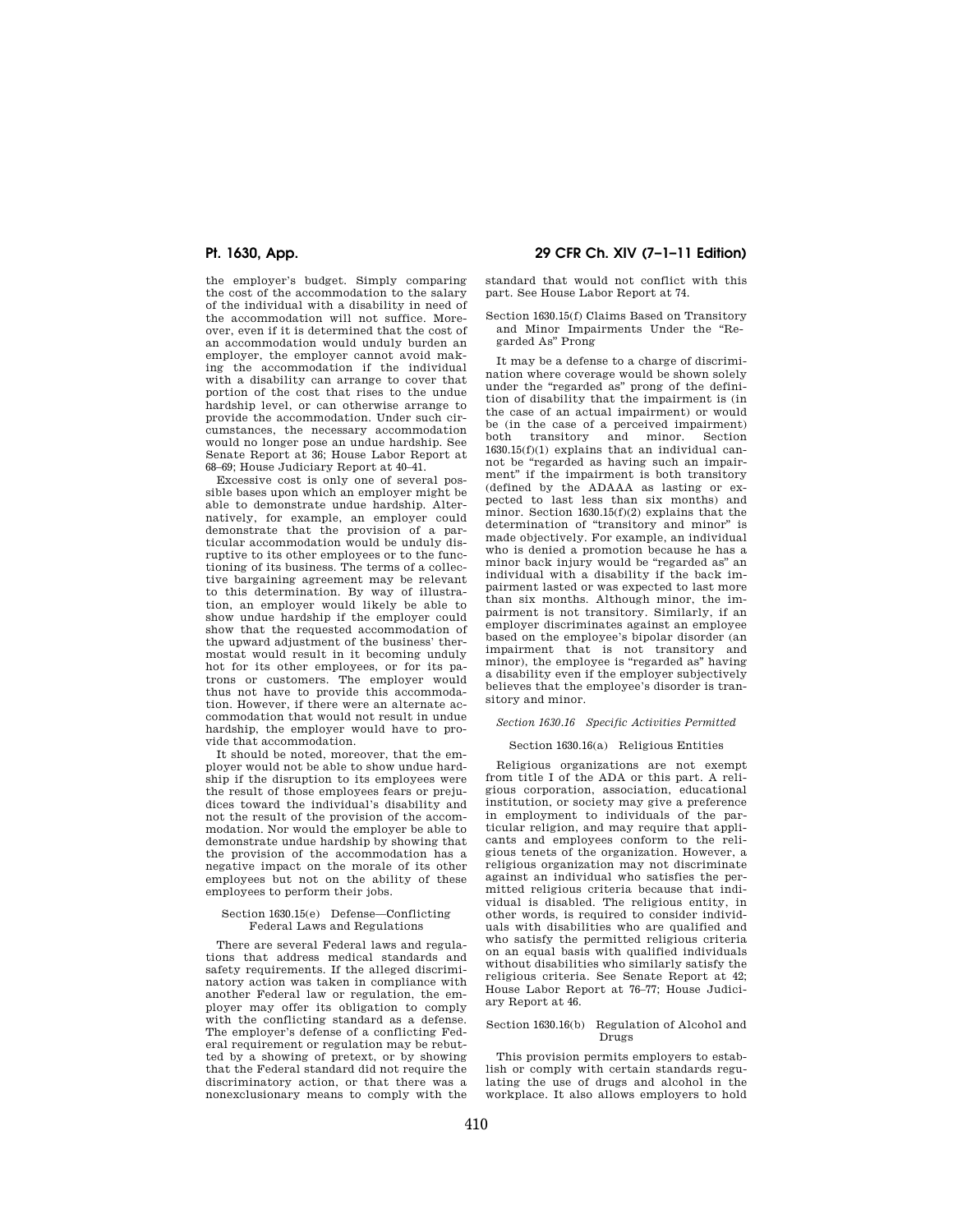the employer's budget. Simply comparing the cost of the accommodation to the salary of the individual with a disability in need of the accommodation will not suffice. Moreover, even if it is determined that the cost of an accommodation would unduly burden an employer, the employer cannot avoid making the accommodation if the individual with a disability can arrange to cover that portion of the cost that rises to the undue hardship level, or can otherwise arrange to provide the accommodation. Under such circumstances, the necessary accommodation would no longer pose an undue hardship. See Senate Report at 36; House Labor Report at 68–69; House Judiciary Report at 40–41.

Excessive cost is only one of several possible bases upon which an employer might be able to demonstrate undue hardship. Alternatively, for example, an employer could demonstrate that the provision of a particular accommodation would be unduly disruptive to its other employees or to the functioning of its business. The terms of a collective bargaining agreement may be relevant to this determination. By way of illustration, an employer would likely be able to show undue hardship if the employer could show that the requested accommodation of the upward adjustment of the business' thermostat would result in it becoming unduly hot for its other employees, or for its patrons or customers. The employer would thus not have to provide this accommodation. However, if there were an alternate accommodation that would not result in undue hardship, the employer would have to provide that accommodation.

It should be noted, moreover, that the employer would not be able to show undue hardship if the disruption to its employees were the result of those employees fears or prejudices toward the individual's disability and not the result of the provision of the accommodation. Nor would the employer be able to demonstrate undue hardship by showing that the provision of the accommodation has a negative impact on the morale of its other employees but not on the ability of these employees to perform their jobs.

### Section 1630.15(e) Defense—Conflicting Federal Laws and Regulations

There are several Federal laws and regulations that address medical standards and safety requirements. If the alleged discriminatory action was taken in compliance with another Federal law or regulation, the employer may offer its obligation to comply with the conflicting standard as a defense. The employer's defense of a conflicting Federal requirement or regulation may be rebutted by a showing of pretext, or by showing that the Federal standard did not require the discriminatory action, or that there was a nonexclusionary means to comply with the

# **Pt. 1630, App. 29 CFR Ch. XIV (7–1–11 Edition)**

standard that would not conflict with this part. See House Labor Report at 74.

### Section 1630.15(f) Claims Based on Transitory and Minor Impairments Under the "Regarded As'' Prong

It may be a defense to a charge of discrimination where coverage would be shown solely under the "regarded as" prong of the definition of disability that the impairment is (in the case of an actual impairment) or would be (in the case of a perceived impairment) both transitory and minor. Section 1630.15(f)(1) explains that an individual cannot be ''regarded as having such an impairment'' if the impairment is both transitory (defined by the ADAAA as lasting or expected to last less than six months) and minor. Section 1630.15(f)(2) explains that the determination of ''transitory and minor'' is made objectively. For example, an individual who is denied a promotion because he has a minor back injury would be "regarded as" an individual with a disability if the back impairment lasted or was expected to last more than six months. Although minor, the impairment is not transitory. Similarly, if an employer discriminates against an employee based on the employee's bipolar disorder (an impairment that is not transitory and minor), the employee is "regarded as" having a disability even if the employer subjectively believes that the employee's disorder is transitory and minor.

### *Section 1630.16 Specific Activities Permitted*

#### Section 1630.16(a) Religious Entities

Religious organizations are not exempt from title I of the ADA or this part. A religious corporation, association, educational institution, or society may give a preference in employment to individuals of the particular religion, and may require that applicants and employees conform to the religious tenets of the organization. However, a religious organization may not discriminate against an individual who satisfies the permitted religious criteria because that individual is disabled. The religious entity, in other words, is required to consider individuals with disabilities who are qualified and who satisfy the permitted religious criteria on an equal basis with qualified individuals without disabilities who similarly satisfy the religious criteria. See Senate Report at 42; House Labor Report at 76–77; House Judiciary Report at 46.

#### Section 1630.16(b) Regulation of Alcohol and Drugs

This provision permits employers to establish or comply with certain standards regulating the use of drugs and alcohol in the workplace. It also allows employers to hold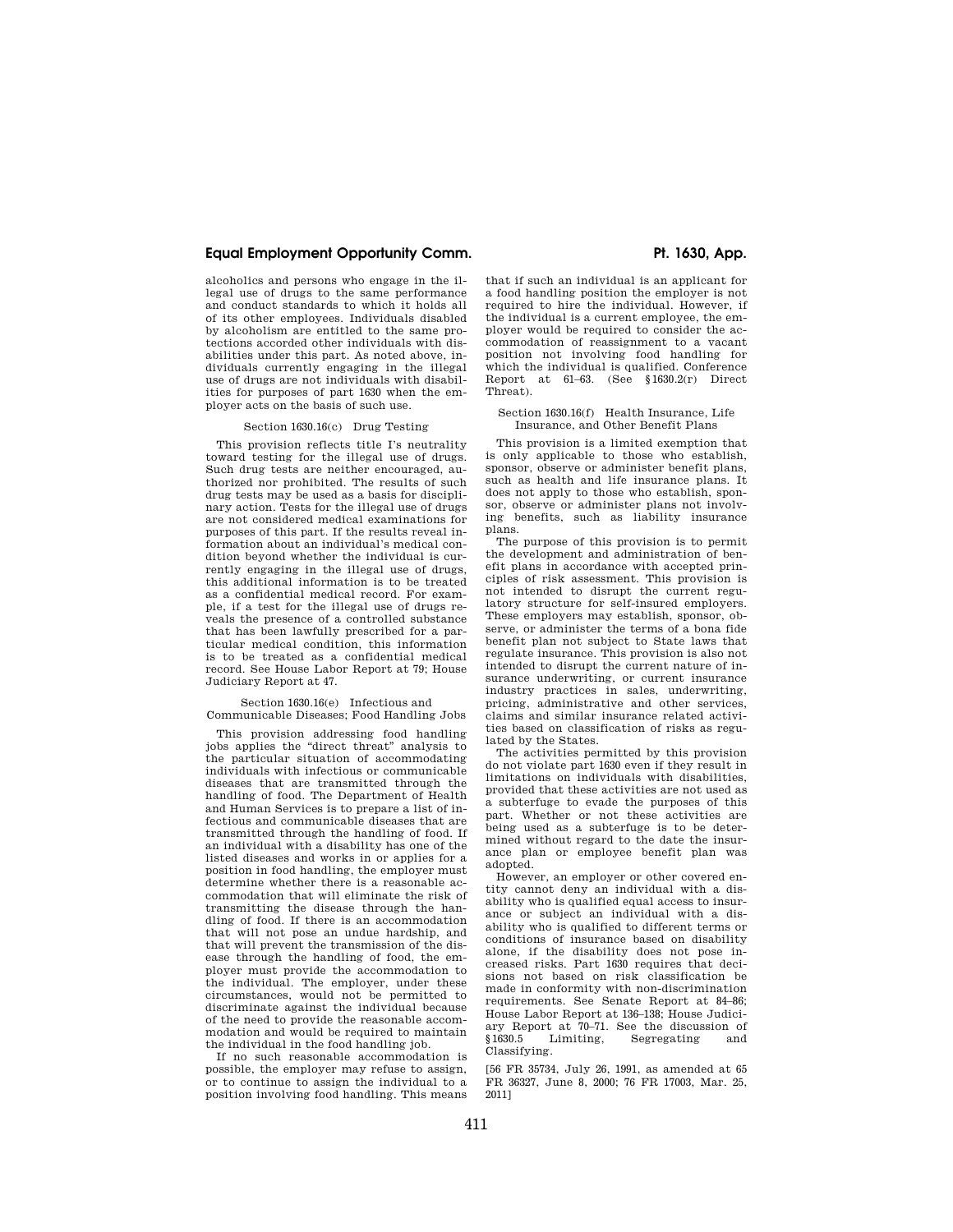alcoholics and persons who engage in the illegal use of drugs to the same performance and conduct standards to which it holds all of its other employees. Individuals disabled by alcoholism are entitled to the same protections accorded other individuals with disabilities under this part. As noted above, individuals currently engaging in the illegal use of drugs are not individuals with disabilities for purposes of part 1630 when the employer acts on the basis of such use.

## Section 1630.16(c) Drug Testing

This provision reflects title I's neutrality toward testing for the illegal use of drugs. Such drug tests are neither encouraged, authorized nor prohibited. The results of such drug tests may be used as a basis for disciplinary action. Tests for the illegal use of drugs are not considered medical examinations for purposes of this part. If the results reveal information about an individual's medical condition beyond whether the individual is currently engaging in the illegal use of drugs, this additional information is to be treated as a confidential medical record. For example, if a test for the illegal use of drugs reveals the presence of a controlled substance that has been lawfully prescribed for a particular medical condition, this information is to be treated as a confidential medical record. See House Labor Report at 79; House Judiciary Report at 47.

### Section 1630.16(e) Infectious and Communicable Diseases; Food Handling Jobs

This provision addressing food handling jobs applies the "direct threat" analysis to the particular situation of accommodating individuals with infectious or communicable diseases that are transmitted through the handling of food. The Department of Health and Human Services is to prepare a list of infectious and communicable diseases that are transmitted through the handling of food. If an individual with a disability has one of the listed diseases and works in or applies for a position in food handling, the employer must determine whether there is a reasonable accommodation that will eliminate the risk of transmitting the disease through the handling of food. If there is an accommodation that will not pose an undue hardship, and that will prevent the transmission of the disease through the handling of food, the employer must provide the accommodation to the individual. The employer, under these circumstances, would not be permitted to discriminate against the individual because of the need to provide the reasonable accommodation and would be required to maintain the individual in the food handling job.

If no such reasonable accommodation is possible, the employer may refuse to assign, or to continue to assign the individual to a position involving food handling. This means that if such an individual is an applicant for a food handling position the employer is not required to hire the individual. However, if the individual is a current employee, the employer would be required to consider the accommodation of reassignment to a vacant position not involving food handling for which the individual is qualified. Conference Report at 61–63. (See §1630.2(r) Direct Threat).

#### Section 1630.16(f) Health Insurance, Life Insurance, and Other Benefit Plans

This provision is a limited exemption that is only applicable to those who establish, sponsor, observe or administer benefit plans, such as health and life insurance plans. It does not apply to those who establish, sponsor, observe or administer plans not involving benefits, such as liability insurance plans.

The purpose of this provision is to permit the development and administration of benefit plans in accordance with accepted principles of risk assessment. This provision is not intended to disrupt the current regulatory structure for self-insured employers. These employers may establish, sponsor, observe, or administer the terms of a bona fide benefit plan not subject to State laws that regulate insurance. This provision is also not intended to disrupt the current nature of insurance underwriting, or current insurance industry practices in sales, underwriting, pricing, administrative and other services, claims and similar insurance related activities based on classification of risks as regulated by the States.

The activities permitted by this provision do not violate part 1630 even if they result in limitations on individuals with disabilities, provided that these activities are not used as a subterfuge to evade the purposes of this part. Whether or not these activities are being used as a subterfuge is to be determined without regard to the date the insurance plan or employee benefit plan was adopted.

However, an employer or other covered entity cannot deny an individual with a disability who is qualified equal access to insurance or subject an individual with a disability who is qualified to different terms or conditions of insurance based on disability alone, if the disability does not pose increased risks. Part 1630 requires that decisions not based on risk classification be made in conformity with non-discrimination requirements. See Senate Report at 84–86; House Labor Report at 136–138; House Judiciary Report at 70–71. See the discussion of §1630.5 Limiting, Segregating and Classifying.

[56 FR 35734, July 26, 1991, as amended at 65 FR 36327, June 8, 2000; 76 FR 17003, Mar. 25, 2011]